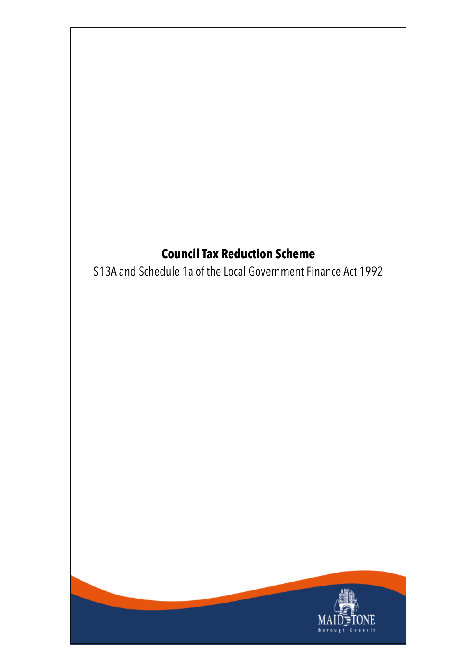# **Council Tax Reduction Scheme**

S13A and Schedule 1a of the Local Government Finance Act 1992

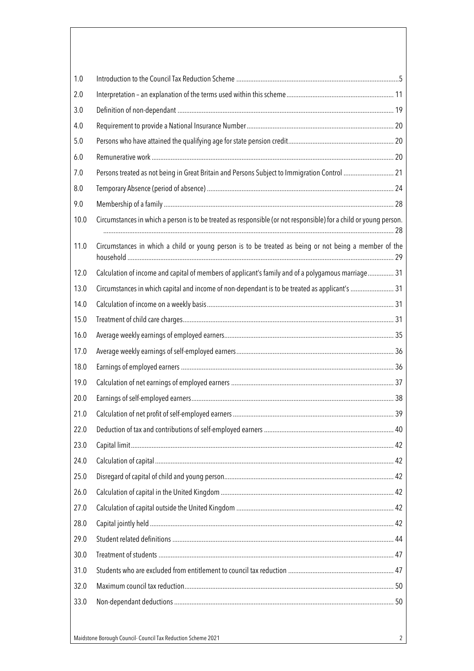| 1.0  |                                                                                                                   |   |  |  |  |
|------|-------------------------------------------------------------------------------------------------------------------|---|--|--|--|
| 2.0  |                                                                                                                   |   |  |  |  |
| 3.0  |                                                                                                                   |   |  |  |  |
| 4.0  |                                                                                                                   |   |  |  |  |
| 5.0  |                                                                                                                   |   |  |  |  |
| 6.0  |                                                                                                                   |   |  |  |  |
| 7.0  | Persons treated as not being in Great Britain and Persons Subject to Immigration Control  21                      |   |  |  |  |
| 8.0  |                                                                                                                   |   |  |  |  |
| 9.0  |                                                                                                                   |   |  |  |  |
| 10.0 | Circumstances in which a person is to be treated as responsible (or not responsible) for a child or young person. |   |  |  |  |
| 11.0 | Circumstances in which a child or young person is to be treated as being or not being a member of the             |   |  |  |  |
| 12.0 | Calculation of income and capital of members of applicant's family and of a polygamous marriage 31                |   |  |  |  |
| 13.0 | Circumstances in which capital and income of non-dependant is to be treated as applicant's  31                    |   |  |  |  |
| 14.0 |                                                                                                                   |   |  |  |  |
| 15.0 |                                                                                                                   |   |  |  |  |
| 16.0 |                                                                                                                   |   |  |  |  |
| 17.0 |                                                                                                                   |   |  |  |  |
| 18.0 |                                                                                                                   |   |  |  |  |
| 19.0 |                                                                                                                   |   |  |  |  |
| 20.0 |                                                                                                                   |   |  |  |  |
| 21.0 |                                                                                                                   |   |  |  |  |
| 22.0 |                                                                                                                   |   |  |  |  |
| 23.0 |                                                                                                                   |   |  |  |  |
| 24.0 |                                                                                                                   |   |  |  |  |
| 25.0 |                                                                                                                   |   |  |  |  |
| 26.0 |                                                                                                                   |   |  |  |  |
| 27.0 |                                                                                                                   |   |  |  |  |
| 28.0 |                                                                                                                   |   |  |  |  |
| 29.0 |                                                                                                                   |   |  |  |  |
| 30.0 |                                                                                                                   |   |  |  |  |
| 31.0 |                                                                                                                   |   |  |  |  |
| 32.0 |                                                                                                                   |   |  |  |  |
| 33.0 |                                                                                                                   |   |  |  |  |
|      |                                                                                                                   |   |  |  |  |
|      | Maidstone Borough Council- Council Tax Reduction Scheme 2021                                                      | 2 |  |  |  |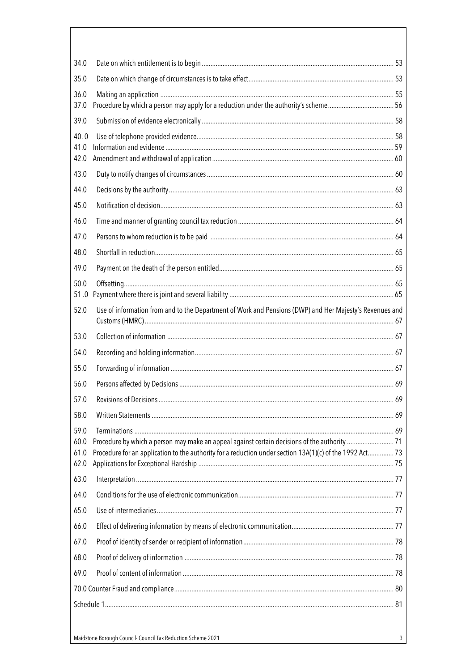| 34.0         |                                                                                                         |   |  |
|--------------|---------------------------------------------------------------------------------------------------------|---|--|
| 35.0         |                                                                                                         |   |  |
| 36.0         |                                                                                                         |   |  |
| 37.0         | Procedure by which a person may apply for a reduction under the authority's scheme56                    |   |  |
| 39.0         |                                                                                                         |   |  |
| 40.0<br>41.0 |                                                                                                         |   |  |
| 42.0         |                                                                                                         |   |  |
| 43.0         |                                                                                                         |   |  |
| 44.0         |                                                                                                         |   |  |
| 45.0         |                                                                                                         |   |  |
| 46.0         |                                                                                                         |   |  |
| 47.0         |                                                                                                         |   |  |
| 48.0         |                                                                                                         |   |  |
| 49.0         |                                                                                                         |   |  |
| 50.0         |                                                                                                         |   |  |
| 51.0         |                                                                                                         |   |  |
| 52.0         | Use of information from and to the Department of Work and Pensions (DWP) and Her Majesty's Revenues and |   |  |
| 53.0         |                                                                                                         |   |  |
| 54.0         |                                                                                                         |   |  |
| 55.0         |                                                                                                         |   |  |
| 56.0         |                                                                                                         |   |  |
|              |                                                                                                         |   |  |
| 58.0         |                                                                                                         |   |  |
| 59.0         |                                                                                                         |   |  |
| 60.0<br>61.0 | Procedure for an application to the authority for a reduction under section 13A(1)(c) of the 1992 Act73 |   |  |
| 62.0         |                                                                                                         |   |  |
| 63.0         |                                                                                                         |   |  |
| 64.0         |                                                                                                         |   |  |
| 65.0         |                                                                                                         |   |  |
| 66.0         |                                                                                                         |   |  |
| 67.0         |                                                                                                         |   |  |
| 68.0         |                                                                                                         |   |  |
| 69.0         |                                                                                                         |   |  |
|              |                                                                                                         |   |  |
|              |                                                                                                         |   |  |
|              |                                                                                                         |   |  |
|              | Maidstone Borough Council- Council Tax Reduction Scheme 2021                                            | 3 |  |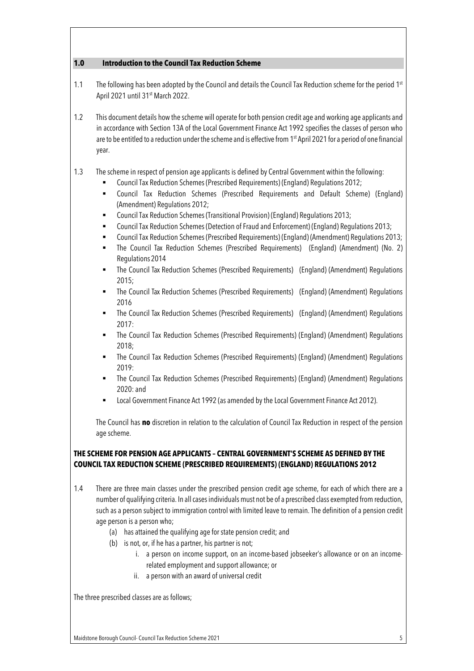#### **1.0 Introduction to the Council Tax Reduction Scheme**

- 1.1 The following has been adopted by the Council and details the Council Tax Reduction scheme for the period  $1^{st}$ April 2021 until 31<sup>st</sup> March 2022.
- 1.2 This document details how the scheme will operate for both pension credit age and working age applicants and in accordance with Section 13A of the Local Government Finance Act 1992 specifies the classes of person who are to be entitled to a reduction under the scheme and is effective from 1st April 2021 for a period of one financial year.
- 1.3 The scheme in respect of pension age applicants is defined by Central Government within the following:
	- § Council Tax Reduction Schemes (Prescribed Requirements) (England) Regulations 2012;
	- § Council Tax Reduction Schemes (Prescribed Requirements and Default Scheme) (England) (Amendment) Regulations 2012;
	- § Council Tax Reduction Schemes (Transitional Provision) (England) Regulations 2013;
	- § Council Tax Reduction Schemes (Detection of Fraud and Enforcement) (England) Regulations 2013;
	- § Council Tax Reduction Schemes (Prescribed Requirements) (England) (Amendment) Regulations 2013;
	- § The Council Tax Reduction Schemes (Prescribed Requirements) (England) (Amendment) (No. 2) Regulations2014
	- § The Council Tax Reduction Schemes (Prescribed Requirements) (England) (Amendment) Regulations 2015;
	- § The Council Tax Reduction Schemes (Prescribed Requirements) (England) (Amendment) Regulations 2016
	- § The Council Tax Reduction Schemes (Prescribed Requirements) (England) (Amendment) Regulations 2017:
	- § The Council Tax Reduction Schemes (Prescribed Requirements) (England) (Amendment) Regulations 2018;
	- § The Council Tax Reduction Schemes (Prescribed Requirements) (England) (Amendment) Regulations 2019:
	- § The Council Tax Reduction Schemes (Prescribed Requirements) (England) (Amendment) Regulations 2020: and
	- § Local Government Finance Act 1992 (as amended by the Local Government Finance Act 2012).

The Council has **no** discretion in relation to the calculation of Council Tax Reduction in respect of the pension age scheme.

# **THE SCHEME FOR PENSION AGE APPLICANTS – CENTRAL GOVERNMENT'S SCHEME AS DEFINED BY THE COUNCIL TAX REDUCTION SCHEME (PRESCRIBED REQUIREMENTS) (ENGLAND) REGULATIONS 2012**

- 1.4 There are three main classes under the prescribed pension credit age scheme, for each of which there are a number of qualifying criteria. In all cases individuals must not be of a prescribed class exempted fromreduction, such as a person subject to immigration control with limited leave to remain. The definition of a pension credit age person is a person who;
	- (a) has attained the qualifying age for state pension credit; and
	- (b) is not, or, if he has a partner, his partner is not;
		- i. a person on income support, on an income-based jobseeker's allowance or on an incomerelated employment and support allowance; or
		- ii. a person with an award of universal credit

The three prescribed classes are as follows;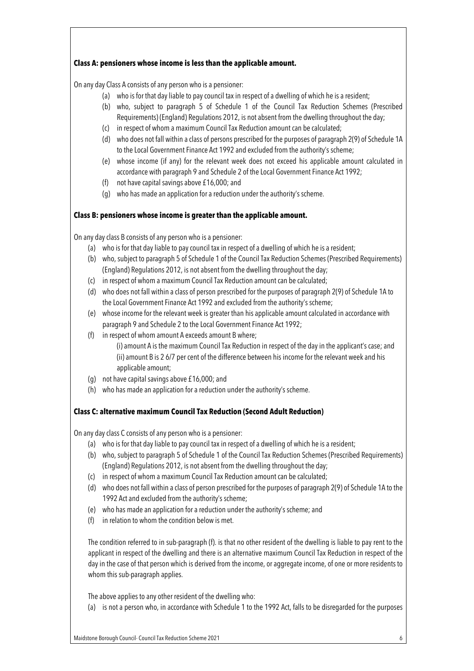## **Class A: pensioners whose income is less than the applicable amount.**

On any day Class A consists of any person who is a pensioner:

- (a) who is for that day liable to pay council tax in respect of a dwelling of which he is a resident;
- (b) who, subject to paragraph 5 of Schedule 1 of the Council Tax Reduction Schemes (Prescribed Requirements) (England) Regulations 2012, is not absent from the dwelling throughout the day;
- (c) in respect of whom a maximum Council Tax Reduction amount can be calculated;
- (d) who does not fall within a class of persons prescribed for the purposes of paragraph 2(9) of Schedule 1A to the Local Government Finance Act 1992 and excluded from the authority's scheme;
- (e) whose income (if any) for the relevant week does not exceed his applicable amount calculated in accordance with paragraph 9 and Schedule 2 of the Local Government Finance Act 1992;
- (f) not have capital savings above £16,000; and
- (g) who has made an application for a reduction under the authority's scheme.

# **Class B: pensioners whose income is greater than the applicable amount.**

On any day class B consists of any person who is a pensioner:

- (a) who is for that day liable to pay council tax in respect of a dwelling of which he is a resident;
- (b) who, subject to paragraph 5 of Schedule 1 of the Council Tax Reduction Schemes (Prescribed Requirements) (England) Regulations 2012, is not absent from the dwelling throughout the day;
- (c) in respect of whom a maximum Council Tax Reduction amount can be calculated;
- (d) who does not fall within a class of person prescribed for the purposes of paragraph 2(9) of Schedule 1A to the Local Government Finance Act 1992 and excluded from the authority's scheme;
- (e) whose income for the relevant week is greater than his applicable amount calculated in accordance with paragraph 9 and Schedule 2 to the Local Government Finance Act 1992;
- (f) in respect of whom amount A exceeds amount B where;
	- (i) amount A is the maximum Council Tax Reduction in respect of the day in the applicant's case; and (ii) amount B is 2 6/7 per cent of the difference between his income for the relevant week and his applicable amount;
- (g) not have capital savings above £16,000; and
- (h) who has made an application for a reduction under the authority's scheme.

# **Class C: alternative maximum Council Tax Reduction (Second Adult Reduction)**

On any day class C consists of any person who is a pensioner:

- (a) who is for that day liable to pay council tax in respect of a dwelling of which he is a resident;
- (b) who, subject to paragraph 5 of Schedule 1 of the Council Tax Reduction Schemes (Prescribed Requirements) (England) Regulations 2012, is not absent from the dwelling throughout the day;
- (c) in respect of whom a maximum Council Tax Reduction amount can be calculated;
- (d) who does not fall within a class of person prescribed for the purposes of paragraph 2(9) of Schedule 1A to the 1992 Act and excluded from the authority's scheme;
- (e) who has made an application for a reduction under the authority's scheme; and
- (f) in relation to whom the condition below is met.

The condition referred to in sub-paragraph (f). is that no other resident of the dwelling is liable to pay rent to the applicant in respect of the dwelling and there is an alternative maximum Council Tax Reduction in respect of the day in the case of that person which is derived from the income, or aggregate income, of one or more residents to whom this sub-paragraph applies.

The above applies to any other resident of the dwelling who:

(a) is not a person who, in accordance with Schedule 1 to the 1992 Act, falls to be disregarded for the purposes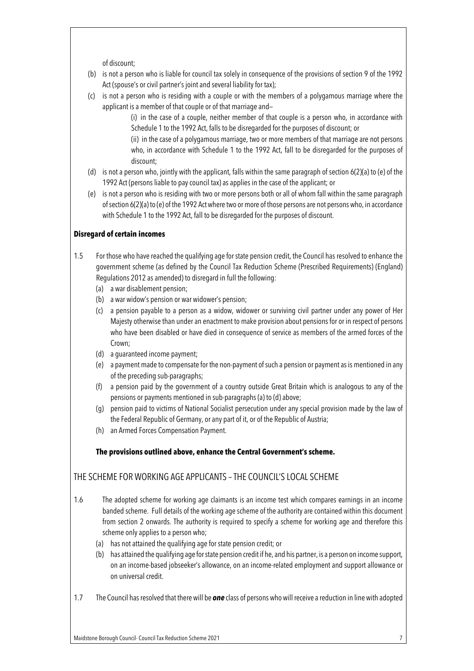of discount;

- (b) is not a person who is liable for council tax solely in consequence of the provisions of section 9 of the 1992 Act (spouse's or civil partner's joint and several liability for tax);
- (c) is not a person who is residing with a couple or with the members of a polygamous marriage where the applicant is a member of that couple or of that marriage and—

(i) in the case of a couple, neither member of that couple is a person who, in accordance with Schedule 1 to the 1992 Act, falls to be disregarded for the purposes of discount; or

(ii) in the case of a polygamous marriage, two or more members of that marriage are not persons who, in accordance with Schedule 1 to the 1992 Act, fall to be disregarded for the purposes of discount;

- (d) is not a person who, jointly with the applicant, falls within the same paragraph of section 6(2)(a) to (e) of the 1992 Act (persons liable to pay council tax) as applies in the case of the applicant; or
- (e) is not a person who is residing with two or more persons both or all of whom fall within the same paragraph of section 6(2)(a) to (e) of the 1992 Act where two or more of those persons are not persons who, in accordance with Schedule 1 to the 1992 Act, fall to be disregarded for the purposes of discount.

# **Disregard of certain incomes**

1.5 For those who have reached the qualifying age for state pension credit, the Council has resolved to enhance the government scheme (as defined by the Council Tax Reduction Scheme (Prescribed Requirements) (England) Regulations 2012 as amended) to disregard in full the following:

- (a) a war disablement pension;
- (b) a war widow's pension or war widower's pension;
- (c) a pension payable to a person as a widow, widower or surviving civil partner under any power of Her Majesty otherwise than under an enactment to make provision about pensions for or in respect of persons who have been disabled or have died in consequence of service as members of the armed forces of the Crown;
- (d) a guaranteed income payment;
- (e) a payment made to compensate for the non-payment of such a pension or payment as is mentioned in any of the preceding sub-paragraphs;
- (f) a pension paid by the government of a country outside Great Britain which is analogous to any of the pensions or payments mentioned in sub-paragraphs (a) to (d) above;
- (g) pension paid to victims of National Socialist persecution under any special provision made by the law of the Federal Republic of Germany, or any part of it, or of the Republic of Austria;
- (h) an Armed Forces Compensation Payment.

### **The provisions outlined above, enhance the Central Government's scheme.**

# THE SCHEME FOR WORKING AGE APPLICANTS – THE COUNCIL'S LOCAL SCHEME

- 1.6 The adopted scheme for working age claimants is an income test which compares earnings in an income banded scheme. Full details of the working age scheme of the authority are contained within this document from section 2 onwards. The authority is required to specify a scheme for working age and therefore this scheme only applies to a person who;
	- (a) has not attained the qualifying age for state pension credit; or
	- (b) has attained the qualifying age for state pension credit if he, and his partner, is a person on income support, on an income-based jobseeker's allowance, on an income-related employment and support allowance or on universal credit.
- 1.7 The Council has resolved that there will be *one* class of persons who will receive a reduction in line with adopted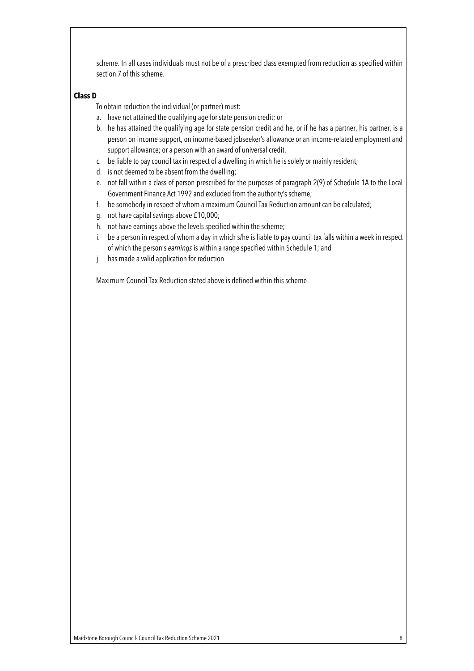scheme. In all cases individuals must not be of a prescribed class exempted from reduction as specified within section 7 of this scheme.

#### **Class D**

To obtain reduction the individual (or partner) must:

- a. have not attained the qualifying age for state pension credit; or
- b. he has attained the qualifying age for state pension credit and he, or if he has a partner, his partner, is a person on income support, on income-based jobseeker's allowance or an income-related employment and support allowance; or a person with an award of universal credit.
- c. be liable to pay council tax in respect of a dwelling in which he is solely or mainly resident;
- d. is not deemed to be absent from the dwelling;
- e. not fall within a class of person prescribed for the purposes of paragraph 2(9) of Schedule 1A to the Local Government Finance Act 1992 and excluded from the authority's scheme;
- f. be somebody in respect of whom a maximum Council Tax Reduction amount can be calculated;
- g. not have capital savings above £10,000;
- h. not have earnings above the levels specified within the scheme;
- i. be a person in respect of whom a day in which s/he is liable to pay council tax falls within a week in respect of which the person's *earnings* is within a range specified within Schedule 1; and
- j. has made a valid application for reduction

Maximum Council Tax Reduction stated above is defined within this scheme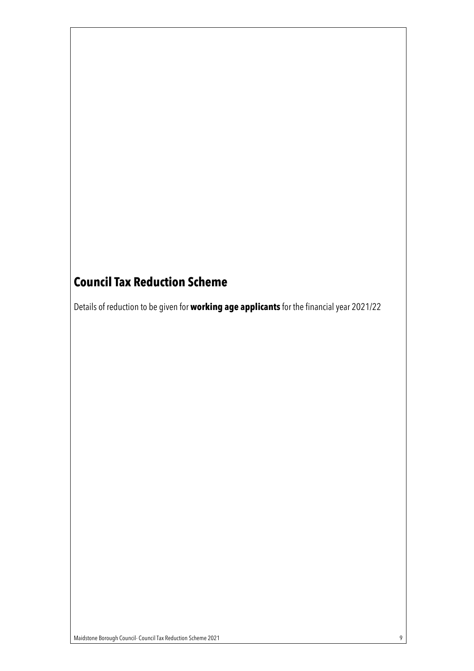# **Council Tax Reduction Scheme**

Details of reduction to be given for **working age applicants** for the financial year 2021/22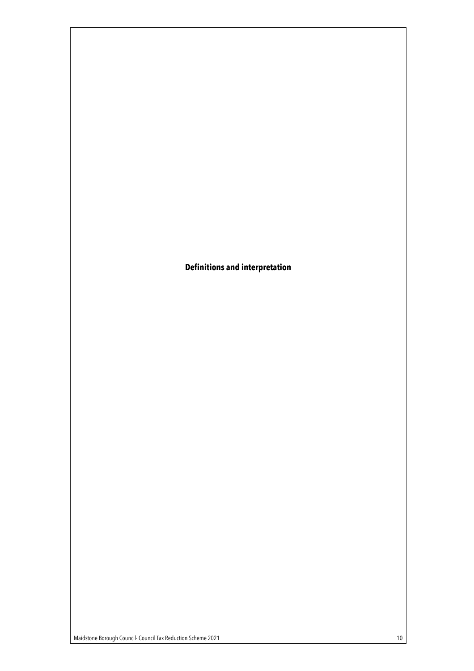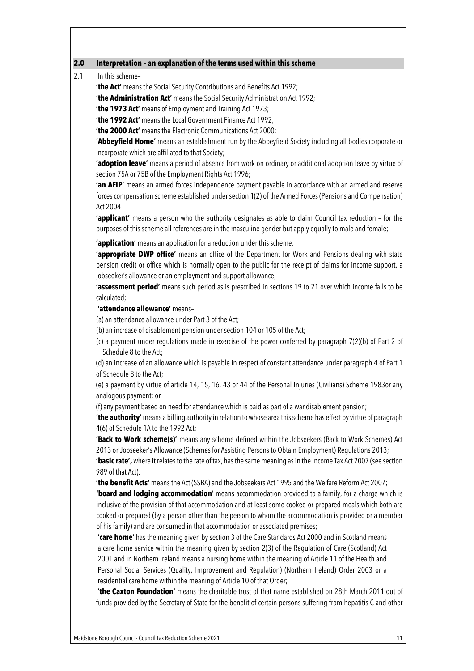#### **2.0 Interpretation – an explanation of the terms used within this scheme**

2.1 In this scheme–

**'the Act'** means the Social Security Contributions and Benefits Act 1992; **'the Administration Act'** means the Social Security Administration Act 1992;

**'the 1973 Act'** means of Employment and Training Act 1973;

**'the 1992 Act'** means the Local Government Finance Act 1992;

**'the 2000 Act'** means the Electronic Communications Act 2000;

**'Abbeyfield Home'** means an establishment run by the Abbeyfield Society including all bodies corporate or incorporate which are affiliated to that Society;

**'adoption leave'** means a period of absence from work on ordinary or additional adoption leave by virtue of section 75A or 75B of the Employment Rights Act 1996;

**'an AFIP'** means an armed forces independence payment payable in accordance with an armed and reserve forces compensation scheme established under section 1(2) of the Armed Forces (Pensions and Compensation) Act 2004

**'applicant'** means a person who the authority designates as able to claim Council tax reduction – for the purposes of this scheme all references are in the masculine gender but apply equally to male and female;

**'application'** means an application for a reduction under this scheme:

**'appropriate DWP office'** means an office of the Department for Work and Pensions dealing with state pension credit or office which is normally open to the public for the receipt of claims for income support, a jobseeker's allowance or an employment and support allowance;

**'assessment period'** means such period as is prescribed in sections 19 to 21 over which income falls to be calculated;

**'attendance allowance'** means–

(a) an attendance allowance under Part 3 of the Act;

(b) an increase of disablement pension under section 104 or 105 of the Act;

(c) a payment under regulations made in exercise of the power conferred by paragraph 7(2)(b) of Part 2 of Schedule 8 to the Act;

(d) an increase of an allowance which is payable in respect of constant attendance under paragraph 4 of Part 1 of Schedule 8 to the Act;

(e) a payment by virtue of article 14, 15, 16, 43 or 44 of the Personal Injuries (Civilians) Scheme 1983or any analogous payment; or

(f) any payment based on need for attendance which is paid as part of a war disablement pension;

**'the authority'** means a billing authority in relation to whose area this scheme has effect by virtue of paragraph 4(6) of Schedule 1A to the 1992 Act;

**'Back to Work scheme(s)'** means any scheme defined within the Jobseekers (Back to Work Schemes) Act 2013 or Jobseeker's Allowance (Schemes for Assisting Persons to Obtain Employment) Regulations 2013;

**'basic rate',** where it relates to the rate of tax, has the same meaning as in the Income Tax Act 2007 (see section 989 of that Act).

**'the benefit Acts'** means the Act (SSBA) and the Jobseekers Act 1995 and the Welfare Reform Act 2007;

**'board and lodging accommodation**' means accommodation provided to a family, for a charge which is inclusive of the provision of that accommodation and at least some cooked or prepared meals which both are cooked or prepared (by a person other than the person to whom the accommodation is provided or a member of his family) and are consumed in that accommodation or associated premises;

**'care home'** has the meaning given by section 3 of the Care Standards Act 2000 and in Scotland means a care home service within the meaning given by section 2(3) of the Regulation of Care (Scotland) Act 2001 and in Northern Ireland means a nursing home within the meaning of Article 11 of the Health and Personal Social Services (Quality, Improvement and Regulation) (Northern Ireland) Order 2003 or a residential care home within the meaning of Article 10 of that Order;

**'the Caxton Foundation'** means the charitable trust of that name established on 28th March 2011 out of funds provided by the Secretary of State for the benefit of certain persons suffering from hepatitis C and other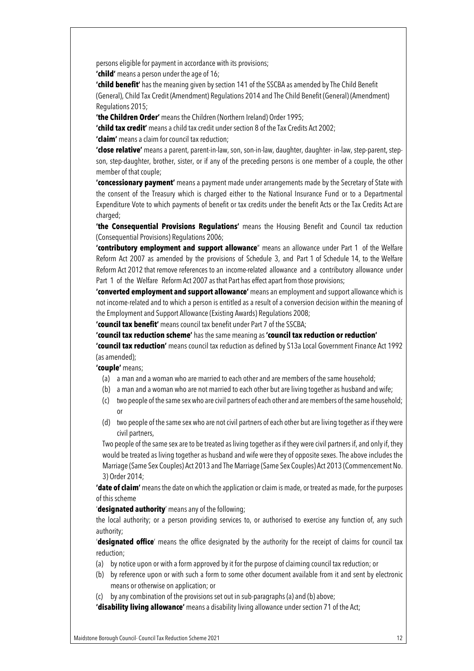persons eligible for payment in accordance with its provisions;

**'child'** means a person under the age of 16;

**'child benefit'** has the meaning given by section 141 of the SSCBA as amended by The Child Benefit (General), Child Tax Credit (Amendment) Regulations 2014 and The Child Benefit (General) (Amendment) Regulations 2015;

**'the Children Order'** means the Children (Northern Ireland) Order 1995;

**'child tax credit'** means a child tax credit under section 8 of the Tax Credits Act 2002;

**'claim'** means a claim for council tax reduction;

**'close relative'** means a parent, parent-in-law, son, son-in-law, daughter, daughter- in-law, step-parent, stepson, step-daughter, brother, sister, or if any of the preceding persons is one member of a couple, the other member of that couple;

**'concessionary payment'** means a payment made under arrangements made by the Secretary of State with the consent of the Treasury which is charged either to the National Insurance Fund or to a Departmental Expenditure Vote to which payments of benefit or tax credits under the benefit Acts or the Tax Credits Act are charged:

**'the Consequential Provisions Regulations'** means the Housing Benefit and Council tax reduction (Consequential Provisions) Regulations 2006;

**'contributory employment and support allowance**" means an allowance under Part 1 of the Welfare Reform Act 2007 as amended by the provisions of Schedule 3, and Part 1 of Schedule 14, to the Welfare Reform Act 2012 that remove references to an income-related allowance and a contributory allowance under Part 1 of the Welfare Reform Act 2007 as that Part has effect apart from those provisions;

**'converted employment and support allowance'** means an employment and support allowance which is not income-related and to which a person is entitled as a result of a conversion decision within the meaning of the Employment and Support Allowance (Existing Awards) Regulations 2008;

**'council tax benefit'** means council tax benefit under Part 7 of the SSCBA;

**'council tax reduction scheme'** has the same meaning as **'council tax reduction or reduction' 'council tax reduction'** means council tax reduction as defined by S13a Local Government Finance Act 1992 (as amended);

**'couple'** means;

- (a) a man and a woman who are married to each other and are members of the same household;
- (b) a man and a woman who are not married to each other but are living together as husband and wife;
- (c) two people of the same sex who are civil partners of each other and are members of the same household; or
- (d) two people of the same sex who are not civil partners of each other but are living together as if they were civil partners,

Two people of the same sex are to be treated as living together as if they were civil partners if, and only if, they would be treated as living together as husband and wife were they of opposite sexes. The above includes the Marriage (Same Sex Couples) Act 2013 and The Marriage (Same Sex Couples) Act 2013 (Commencement No. 3) Order 2014;

**'date of claim'** means the date on which the application or claim is made, or treated as made, for the purposes of this scheme

'**designated authority**' means any of the following;

the local authority; or a person providing services to, or authorised to exercise any function of, any such authority;

'**designated office**' means the office designated by the authority for the receipt of claims for council tax reduction;

- (a) by notice upon or with a form approved by it for the purpose of claiming council tax reduction; or
- (b) by reference upon or with such a form to some other document available from it and sent by electronic means or otherwise on application; or
- (c) by any combination of the provisions set out in sub-paragraphs (a) and (b) above;

**'disability living allowance'** means a disability living allowance under section 71 of the Act;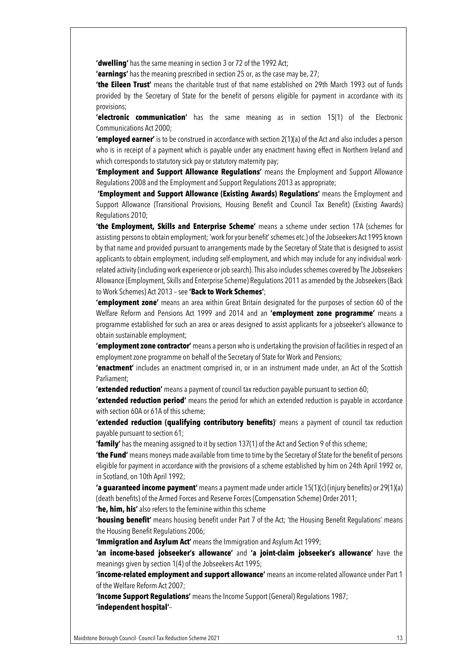**'dwelling'** has the same meaning in section 3 or 72 of the 1992 Act;

**'earnings'** has the meaning prescribed in section 25 or, as the case may be, 27;

**'the Eileen Trust'** means the charitable trust of that name established on 29th March 1993 out of funds provided by the Secretary of State for the benefit of persons eligible for payment in accordance with its provisions;

**'electronic communication'** has the same meaning as in section 15(1) of the Electronic Communications Act 2000;

**'employed earner'** is to be construed in accordance with section 2(1)(a) of the Act and also includes a person who is in receipt of a payment which is payable under any enactment having effect in Northern Ireland and which corresponds to statutory sick pay or statutory maternity pay;

**'Employment and Support Allowance Regulations'** means the Employment and Support Allowance Regulations 2008 and the Employment and Support Regulations 2013 as appropriate;

**'Employment and Support Allowance (Existing Awards) Regulations'** means the Employment and Support Allowance (Transitional Provisions, Housing Benefit and Council Tax Benefit) (Existing Awards) Regulations 2010;

**'the Employment, Skills and Enterprise Scheme'** means a scheme under section 17A (schemes for assisting persons to obtain employment; 'work for your benefit' schemes etc.) of the Jobseekers Act 1995 known by that name and provided pursuant to arrangements made by the Secretary of State that is designed to assist applicants to obtain employment, including self-employment, and which may include for any individual workrelated activity (including work experience or job search). This also includes schemes covered by The Jobseekers Allowance (Employment, Skills and Enterprise Scheme) Regulations 2011 as amended by the Jobseekers (Back to Work Schemes) Act 2013 – see **'Back to Work Schemes'**;

**'employment zone'** means an area within Great Britain designated for the purposes of section 60 of the Welfare Reform and Pensions Act 1999 and 2014 and an **'employment zone programme'** means a programme established for such an area or areas designed to assist applicants for a jobseeker's allowance to obtain sustainable employment;

**'employment zone contractor'** means a person who is undertaking the provision of facilities in respect of an employment zone programme on behalf of the Secretary of State for Work and Pensions;

**'enactment'** includes an enactment comprised in, or in an instrument made under, an Act of the Scottish Parliament;

**'extended reduction'** means a payment of council tax reduction payable pursuant to section 60;

**'extended reduction period'** means the period for which an extended reduction is payable in accordance with section 60A or 61A of this scheme;

**'extended reduction (qualifying contributory benefits)**' means a payment of council tax reduction payable pursuant to section 61;

**'family'** has the meaning assigned to it by section 137(1) of the Act and Section 9 of this scheme;

**'the Fund'** means moneys made available from time to time by the Secretary of State for the benefit of persons eligible for payment in accordance with the provisions of a scheme established by him on 24th April 1992 or, in Scotland, on 10th April 1992;

**'a guaranteed income payment'** means a payment made under article 15(1)(c) (injury benefits) or 29(1)(a) (death benefits) of the Armed Forces and Reserve Forces (Compensation Scheme) Order 2011;

**'he, him, his'** also refers to the feminine within this scheme

**'housing benefit'** means housing benefit under Part 7 of the Act; 'the Housing Benefit Regulations' means the Housing Benefit Regulations 2006;

**'Immigration and Asylum Act'** means the Immigration and Asylum Act 1999;

**'an income-based jobseeker's allowance'** and **'a joint-claim jobseeker's allowance'** have the meanings given by section 1(4) of the Jobseekers Act 1995;

**'income-related employment and support allowance'** means an income-related allowance under Part 1 of the Welfare Reform Act 2007;

**'Income Support Regulations'** means the Income Support (General) Regulations 1987; **'independent hospital'**–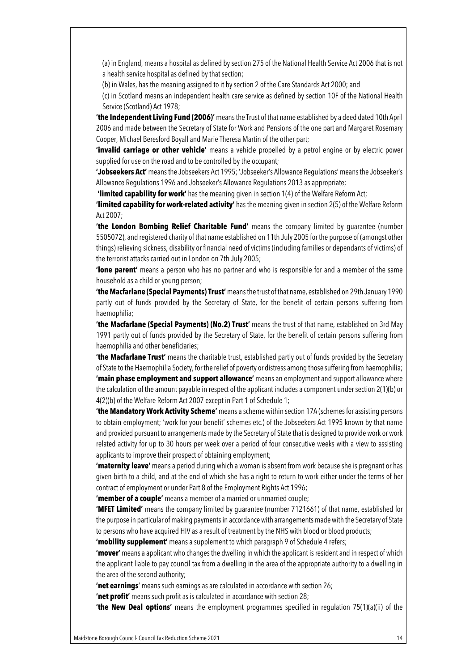(a) in England, means a hospital as defined by section 275 of the National Health Service Act 2006 that is not a health service hospital as defined by that section;

(b) in Wales, has the meaning assigned to it by section 2 of the Care Standards Act 2000; and

(c) in Scotland means an independent health care service as defined by section 10F of the National Health Service (Scotland) Act 1978;

**'the Independent Living Fund (2006)'** means the Trust of that name established by a deed dated 10th April 2006 and made between the Secretary of State for Work and Pensions of the one part and Margaret Rosemary Cooper, Michael Beresford Boyall and Marie Theresa Martin of the other part;

**'invalid carriage or other vehicle'** means a vehicle propelled by a petrol engine or by electric power supplied for use on the road and to be controlled by the occupant;

**'Jobseekers Act'** means the Jobseekers Act 1995; 'Jobseeker's Allowance Regulations' means the Jobseeker's Allowance Regulations 1996 and Jobseeker's Allowance Regulations 2013 as appropriate;

**'limited capability for work'** has the meaning given in section 1(4) of the Welfare Reform Act;

**'limited capability for work-related activity'** has the meaning given in section 2(5) of the Welfare Reform Act 2007;

**'the London Bombing Relief Charitable Fund'** means the company limited by guarantee (number 5505072), and registered charity of that name established on 11th July 2005 for the purpose of (amongst other things) relieving sickness, disability or financial need of victims (including families or dependants of victims) of the terrorist attacks carried out in London on 7th July 2005;

**'lone parent'** means a person who has no partner and who is responsible for and a member of the same household as a child or young person;

**'the Macfarlane (Special Payments) Trust'**means the trust of that name, established on 29th January 1990 partly out of funds provided by the Secretary of State, for the benefit of certain persons suffering from haemophilia;

**'the Macfarlane (Special Payments) (No.2) Trust'** means the trust of that name, established on 3rd May 1991 partly out of funds provided by the Secretary of State, for the benefit of certain persons suffering from haemophilia and other beneficiaries;

**'the Macfarlane Trust'** means the charitable trust, established partly out of funds provided by the Secretary of State to the Haemophilia Society, for the relief of poverty or distress among those suffering from haemophilia; **'main phase employment and support allowance'** means an employment and support allowance where the calculation of the amount payable in respect of the applicant includes a component under section 2(1)(b) or 4(2)(b) of the Welfare Reform Act 2007 except in Part 1 of Schedule 1;

**'the Mandatory Work Activity Scheme'** means a scheme within section 17A (schemes for assisting persons to obtain employment; 'work for your benefit' schemes etc.) of the Jobseekers Act 1995 known by that name and provided pursuant to arrangements made by the Secretary of State that is designed to provide work or work related activity for up to 30 hours per week over a period of four consecutive weeks with a view to assisting applicants to improve their prospect of obtaining employment;

**'maternity leave'** means a period during which a woman is absent from work because she is pregnant or has given birth to a child, and at the end of which she has a right to return to work either under the terms of her contract of employment or under Part 8 of the Employment Rights Act 1996;

**'member of a couple'** means a member of a married or unmarried couple;

**'MFET Limited'** means the company limited by guarantee (number 7121661) of that name, established for the purpose in particular of making payments in accordance with arrangements made with the Secretary of State to persons who have acquired HIV as a result of treatment by the NHS with blood or blood products;

**'mobility supplement'** means a supplement to which paragraph 9 of Schedule 4 refers;

**'mover'** means a applicant who changes the dwelling in which the applicant is resident and in respect of which the applicant liable to pay council tax from a dwelling in the area of the appropriate authority to a dwelling in the area of the second authority;

**'net earnings**' means such earnings as are calculated in accordance with section 26;

**'net profit'** means such profit as is calculated in accordance with section 28;

**'the New Deal options'** means the employment programmes specified in regulation 75(1)(a)(ii) of the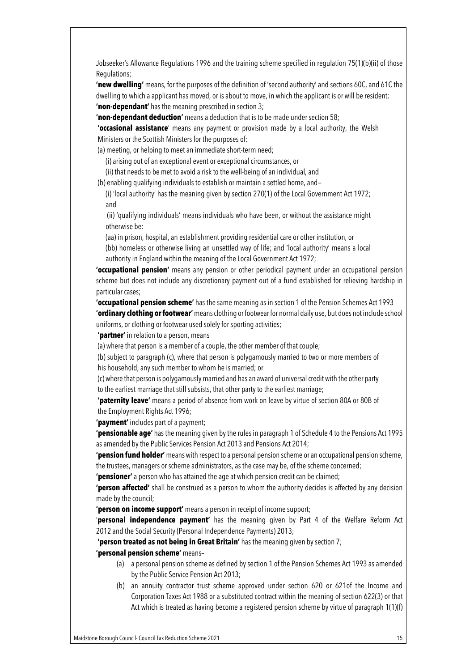Jobseeker's Allowance Regulations 1996 and the training scheme specified in regulation 75(1)(b)(ii) of those Regulations;

**'new dwelling'** means, for the purposes of the definition of 'second authority' and sections 60C, and 61C the dwelling to which a applicant has moved, or is about to move, in which the applicant is or will be resident; **'non-dependant'** has the meaning prescribed in section 3;

**'non-dependant deduction'** means a deduction that is to be made under section 58;

**'occasional assistance**' means any payment or provision made by a local authority, the Welsh Ministers or the Scottish Ministers for the purposes of:

(a) meeting, or helping to meet an immediate short-term need;

(i) arising out of an exceptional event or exceptional circumstances, or

(ii) that needs to be met to avoid a risk to the well-being of an individual, and

(b) enabling qualifying individuals to establish or maintain a settled home, and—

(i) 'local authority' has the meaning given by section 270(1) of the Local Government Act 1972; and

(ii) 'qualifying individuals' means individuals who have been, or without the assistance might otherwise be:

(aa) in prison, hospital, an establishment providing residential care or other institution, or

(bb) homeless or otherwise living an unsettled way of life; and 'local authority' means a local authority in England within the meaning of the Local Government Act 1972;

**'occupational pension'** means any pension or other periodical payment under an occupational pension scheme but does not include any discretionary payment out of a fund established for relieving hardship in particular cases;

**'occupational pension scheme'** has the same meaning as in section 1 of the Pension Schemes Act 1993 **'ordinary clothing or footwear'**means clothing or footwear for normal daily use, but does not include school uniforms, or clothing or footwear used solely for sporting activities;

**'partner'** in relation to a person, means

(a) where that person is a member of a couple, the other member of that couple;

(b) subject to paragraph (c), where that person is polygamously married to two or more members of his household, any such member to whom he is married; or

(c) where that person is polygamously married and has an award of universal credit with the other party to the earliest marriage that still subsists, that other party to the earliest marriage;

**'paternity leave'** means a period of absence from work on leave by virtue of section 80A or 80B of the Employment Rights Act 1996;

**'payment'** includes part of a payment;

**'pensionable age'** has the meaning given by the rules in paragraph 1 of Schedule 4 to the Pensions Act 1995 as amended by the Public Services Pension Act 2013 and Pensions Act 2014;

**'pension fund holder'** means with respect to a personal pension scheme or an occupational pension scheme, the trustees, managers or scheme administrators, as the case may be, of the scheme concerned;

**'pensioner'** a person who has attained the age at which pension credit can be claimed;

**'person affected'** shall be construed as a person to whom the authority decides is affected by any decision made by the council;

**'person on income support'** means a person in receipt of income support;

'**personal independence payment'** has the meaning given by Part 4 of the Welfare Reform Act 2012 and the Social Security (Personal Independence Payments) 2013;

**'person treated as not being in Great Britain'** has the meaning given by section 7; **'personal pension scheme'** means–

- (a) a personal pension scheme as defined by section 1 of the Pension Schemes Act 1993 as amended by the Public Service Pension Act 2013;
- (b) an annuity contractor trust scheme approved under section 620 or 621of the Income and Corporation Taxes Act 1988 or a substituted contract within the meaning of section 622(3) or that Act which is treated as having become a registered pension scheme by virtue of paragraph 1(1)(f)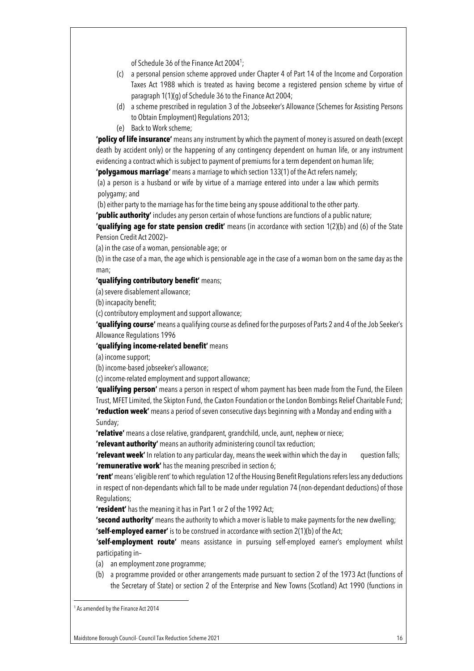of Schedule 36 of the Finance Act 20041 ;

- (c) a personal pension scheme approved under Chapter 4 of Part 14 of the Income and Corporation Taxes Act 1988 which is treated as having become a registered pension scheme by virtue of paragraph 1(1)(g) of Schedule 36 to the Finance Act 2004;
- (d) a scheme prescribed in regulation 3 of the Jobseeker's Allowance (Schemes for Assisting Persons to Obtain Employment) Regulations 2013;
- (e) Back to Work scheme;

**'policy of life insurance'** means any instrument by which the payment of money is assured on death (except death by accident only) or the happening of any contingency dependent on human life, or any instrument evidencing a contract which is subject to payment of premiums for a term dependent on human life;

**'polygamous marriage'** means a marriage to which section 133(1) of the Act refers namely;

(a) a person is a husband or wife by virtue of a marriage entered into under a law which permits polygamy; and

(b) either party to the marriage has for the time being any spouse additional to the other party.

**'public authority'** includes any person certain of whose functions are functions of a public nature;

**'qualifying age for state pension credit'** means (in accordance with section 1(2)(b) and (6) of the State Pension Credit Act 2002)–

(a) in the case of a woman, pensionable age; or

(b) in the case of a man, the age which is pensionable age in the case of a woman born on the same day as the man;

#### **'qualifying contributory benefit'** means;

(a) severe disablement allowance;

(b) incapacity benefit;

(c) contributory employment and support allowance;

**'qualifying course'** means a qualifying course as defined for the purposes of Parts 2 and 4 of the Job Seeker's Allowance Regulations 1996

#### **'qualifying income-related benefit'** means

(a) income support;

(b) income-based jobseeker's allowance;

(c) income-related employment and support allowance;

**'qualifying person'** means a person in respect of whom payment has been made from the Fund, the Eileen Trust, MFET Limited, the Skipton Fund, the Caxton Foundation or the London Bombings Relief Charitable Fund; **'reduction week'** means a period of seven consecutive days beginning with a Monday and ending with a Sunday;

**'relative'** means a close relative, grandparent, grandchild, uncle, aunt, nephew or niece;

**'relevant authority'** means an authority administering council tax reduction;

**'relevant week'** In relation to any particular day, means the week within which the day in question falls; **'remunerative work'** has the meaning prescribed in section 6;

**'rent'**means 'eligible rent' to which regulation 12 of the Housing Benefit Regulations refers less any deductions in respect of non-dependants which fall to be made under regulation 74 (non-dependant deductions) of those Regulations;

**'resident'** has the meaning it has in Part 1 or 2 of the 1992 Act;

**'second authority'** means the authority to which a mover is liable to make payments for the new dwelling; **'self-employed earner'** is to be construed in accordance with section 2(1)(b) of the Act;

**'self-employment route'** means assistance in pursuing self-employed earner's employment whilst participating in–

- (a) an employment zone programme;
- (b) a programme provided or other arrangements made pursuant to section 2 of the 1973 Act (functions of the Secretary of State) or section 2 of the Enterprise and New Towns (Scotland) Act 1990 (functions in

<sup>&</sup>lt;sup>1</sup> As amended by the Finance Act 2014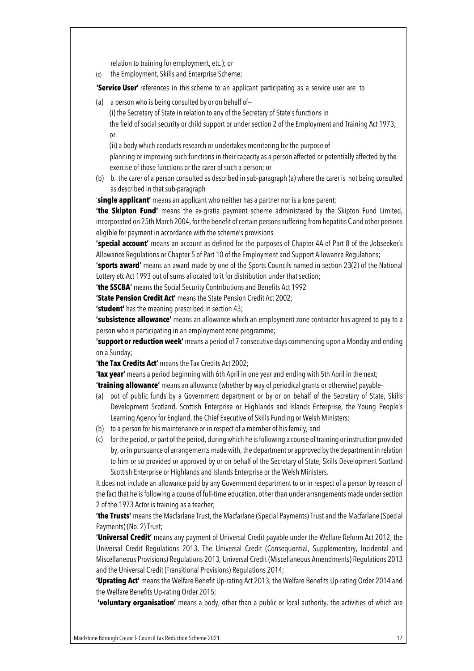relation to training for employment, etc.); or

(c) the Employment, Skills and Enterprise Scheme;

**'Service User'** references in this scheme to an applicant participating as a service user are to

(a) a person who is being consulted by or on behalf of—

(i) the Secretary of State in relation to any of the Secretary of State's functions in

the field of social security or child support or under section 2 of the Employment and Training Act 1973; or

(ii) a body which conducts research or undertakes monitoring for the purpose of

planning or improving such functions in their capacity as a person affected or potentially affected by the exercise of those functions or the carer of such a person; or

(b) b. the carer of a person consulted as described in sub-paragraph (a) where the carer is not being consulted as described in that sub-paragraph

'**single applicant'** means an applicant who neither has a partner nor is a lone parent;

**'the Skipton Fund'** means the ex-gratia payment scheme administered by the Skipton Fund Limited, incorporated on 25th March 2004, for the benefit of certain persons suffering from hepatitis C and other persons eligible for payment in accordance with the scheme's provisions.

**'special account'** means an account as defined for the purposes of Chapter 4A of Part 8 of the Jobseeker's Allowance Regulations or Chapter 5 of Part 10 of the Employment and Support Allowance Regulations;

**'sports award'** means an award made by one of the Sports Councils named in section 23(2) of the National Lottery etc Act 1993 out of sums allocated to it for distribution under that section;

**'the SSCBA'** means the Social Security Contributions and Benefits Act 1992

**'State Pension Credit Act'** means the State Pension Credit Act 2002;

**'student'** has the meaning prescribed in section 43;

**'subsistence allowance'** means an allowance which an employment zone contractor has agreed to pay to a person who is participating in an employment zone programme;

**'support or reduction week'** means a period of 7 consecutive days commencing upon a Monday and ending on a Sunday;

**'the Tax Credits Act'** means the Tax Credits Act 2002;

**'tax year'** means a period beginning with 6th April in one year and ending with 5th April in the next; **'training allowance'** means an allowance (whether by way of periodical grants or otherwise) payable–

(a) out of public funds by a Government department or by or on behalf of the Secretary of State, Skills Development Scotland, Scottish Enterprise or Highlands and Islands Enterprise, the Young People's Learning Agency for England, the Chief Executive of Skills Funding or Welsh Ministers;

(b) to a person for his maintenance or in respect of a member of his family; and

(c) for the period, or part of the period, during which he is following a course of training or instruction provided by, or in pursuance of arrangements made with, the department or approved by the department in relation to him or so provided or approved by or on behalf of the Secretary of State, Skills Development Scotland Scottish Enterprise or Highlands and Islands Enterprise or the Welsh Ministers.

It does not include an allowance paid by any Government department to or in respect of a person by reason of the fact that he is following a course of full-time education, other than under arrangements made under section 2 of the 1973 Actor is training as a teacher;

**'the Trusts'** means the Macfarlane Trust, the Macfarlane (Special Payments) Trust and the Macfarlane (Special Payments) (No. 2) Trust;

**'Universal Credit'** means any payment of Universal Credit payable under the Welfare Reform Act 2012, the Universal Credit Regulations 2013, The Universal Credit (Consequential, Supplementary, Incidental and Miscellaneous Provisions) Regulations 2013, Universal Credit (Miscellaneous Amendments) Regulations 2013 and the Universal Credit (Transitional Provisions) Regulations 2014;

**'Uprating Act'** means the Welfare Benefit Up-rating Act 2013, the Welfare Benefits Up-rating Order 2014 and the Welfare Benefits Up-rating Order 2015;

**'voluntary organisation'** means a body, other than a public or local authority, the activities of which are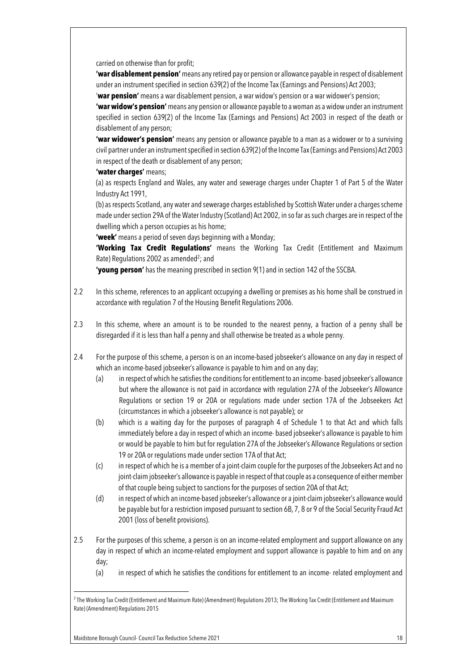carried on otherwise than for profit;

**'war disablement pension'** means any retired pay or pension or allowance payable in respect of disablement under an instrument specified in section 639(2) of the Income Tax (Earnings and Pensions) Act 2003;

'**war pension'** means a war disablement pension, a war widow's pension or a war widower's pension; **'war widow's pension'** means any pension or allowance payable to a woman as a widow under an instrument specified in section 639(2) of the Income Tax (Earnings and Pensions) Act 2003 in respect of the death or disablement of any person;

**'war widower's pension'** means any pension or allowance payable to a man as a widower or to a surviving civil partner under an instrument specified in section 639(2) of the Income Tax (Earnings and Pensions) Act 2003 in respect of the death or disablement of any person;

#### **'water charges'** means;

(a) as respects England and Wales, any water and sewerage charges under Chapter 1 of Part 5 of the Water Industry Act 1991,

(b) as respects Scotland, any water and sewerage charges established by Scottish Water under a charges scheme made under section 29A of the Water Industry (Scotland) Act 2002, in so far as such charges are in respect of the dwelling which a person occupies as his home;

**'week'** means a period of seven days beginning with a Monday;

**'Working Tax Credit Regulations'** means the Working Tax Credit (Entitlement and Maximum Rate) Regulations 2002 as amended<sup>2</sup>; and

**'young person'** has the meaning prescribed in section 9(1) and in section 142 of the SSCBA.

- 2.2 In this scheme, references to an applicant occupying a dwelling or premises as his home shall be construed in accordance with regulation 7 of the Housing Benefit Regulations 2006.
- 2.3 In this scheme, where an amount is to be rounded to the nearest penny, a fraction of a penny shall be disregarded if it is less than half a penny and shall otherwise be treated as a whole penny.
- 2.4 For the purpose of this scheme, a person is on an income-based jobseeker's allowance on any day in respect of which an income-based jobseeker's allowance is payable to him and on any day;
	- (a) in respect of which he satisfies the conditions for entitlement to an income- based jobseeker's allowance but where the allowance is not paid in accordance with regulation 27A of the Jobseeker's Allowance Regulations or section 19 or 20A or regulations made under section 17A of the Jobseekers Act (circumstances in which a jobseeker's allowance is not payable); or
	- (b) which is a waiting day for the purposes of paragraph 4 of Schedule 1 to that Act and which falls immediately before a day in respect of which an income- based jobseeker's allowance is payable to him or would be payable to him but for regulation 27A of the Jobseeker's Allowance Regulations orsection 19 or 20A or regulations made under section 17A of that Act;
	- (c) in respect of which he is a member of a joint-claim couple for the purposes of the Jobseekers Act and no joint-claim jobseeker's allowance is payable in respect of that couple as a consequence of either member of that couple being subject to sanctions for the purposes of section 20A of that Act;
	- (d) in respect of which an income-based jobseeker's allowance or a joint-claim jobseeker's allowance would be payable but for a restriction imposed pursuant to section 6B, 7, 8 or 9 of the Social Security Fraud Act 2001 (loss of benefit provisions).
- 2.5 For the purposes of this scheme, a person is on an income-related employment and support allowance on any day in respect of which an income-related employment and support allowance is payable to him and on any day;
	- (a) in respect of which he satisfies the conditions for entitlement to an income- related employment and

<sup>&</sup>lt;sup>2</sup> The Working Tax Credit (Entitlement and Maximum Rate) (Amendment) Regulations 2013; The Working Tax Credit (Entitlement and Maximum Rate) (Amendment) Regulations 2015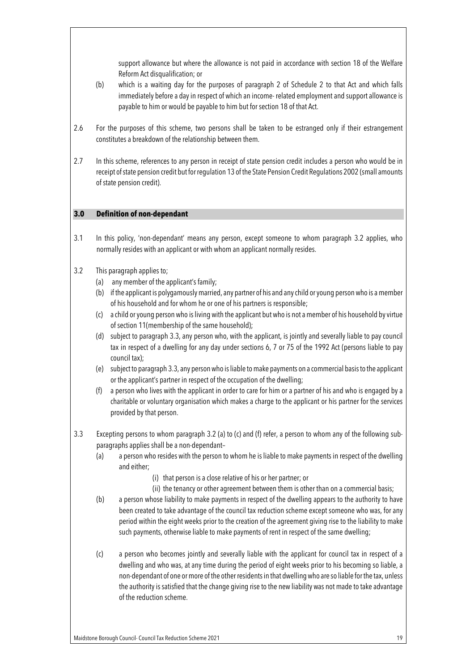support allowance but where the allowance is not paid in accordance with section 18 of the Welfare Reform Act disqualification; or

- (b) which is a waiting day for the purposes of paragraph 2 of Schedule 2 to that Act and which falls immediately before a day in respect of which an income- related employment and support allowance is payable to him or would be payable to him but for section 18 of that Act.
- 2.6 For the purposes of this scheme, two persons shall be taken to be estranged only if their estrangement constitutes a breakdown of the relationship between them.
- 2.7 In this scheme, references to any person in receipt of state pension credit includes a person who would be in receipt of state pension credit but for regulation 13 of the State Pension Credit Regulations 2002 (small amounts of state pension credit).

# **3.0 Definition of non-dependant**

- 3.1 In this policy, 'non-dependant' means any person, except someone to whom paragraph 3.2 applies, who normally resides with an applicant or with whom an applicant normally resides.
- 3.2 This paragraph applies to;
	- (a) any member of the applicant's family;
	- (b) if the applicant is polygamously married, any partner of his and any child or young person who is a member of his household and for whom he or one of his partners is responsible;
	- (c) a child or young person who is living with the applicant but who is not a member of his household by virtue of section 11(membership of the same household);
	- (d) subject to paragraph 3.3, any person who, with the applicant, is jointly and severally liable to pay council tax in respect of a dwelling for any day under sections 6, 7 or 75 of the 1992 Act (persons liable to pay council tax);
	- (e) subject to paragraph 3.3, any person who is liable to make payments on a commercial basis to the applicant or the applicant's partner in respect of the occupation of the dwelling;
	- (f) a person who lives with the applicant in order to care for him or a partner of his and who is engaged by a charitable or voluntary organisation which makes a charge to the applicant or his partner for the services provided by that person.
- 3.3 Excepting persons to whom paragraph 3.2 (a) to (c) and (f) refer, a person to whom any of the following subparagraphs applies shall be a non-dependant–
	- (a) a person who resides with the person to whom he is liable to make payments in respect of the dwelling and either;
		- (i) that person is a close relative of his or her partner; or
		- (ii) the tenancy or other agreement between them is other than on a commercial basis;
	- (b) a person whose liability to make payments in respect of the dwelling appears to the authority to have been created to take advantage of the council tax reduction scheme except someone who was, for any period within the eight weeks prior to the creation of the agreement giving rise to the liability to make such payments, otherwise liable to make payments of rent in respect of the same dwelling;
	- (c) a person who becomes jointly and severally liable with the applicant for council tax in respect of a dwelling and who was, at any time during the period of eight weeks prior to his becoming so liable, a non-dependant of one or more of the other residents in that dwelling who are so liable for the tax, unless the authority is satisfied that the change giving rise to the new liability was not made to take advantage of the reduction scheme.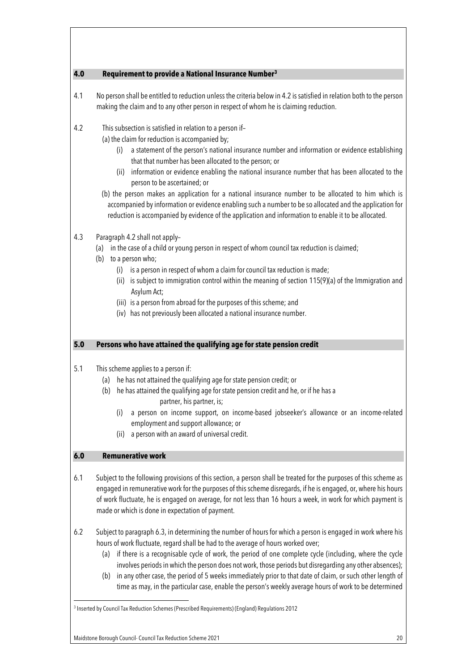| 4.0 | Requirement to provide a National Insurance Number <sup>3</sup>                                                                                                                                                                                                                                                                                                                                                                                                                                                                                                                                                                                                                                                                                |
|-----|------------------------------------------------------------------------------------------------------------------------------------------------------------------------------------------------------------------------------------------------------------------------------------------------------------------------------------------------------------------------------------------------------------------------------------------------------------------------------------------------------------------------------------------------------------------------------------------------------------------------------------------------------------------------------------------------------------------------------------------------|
| 4.1 | No person shall be entitled to reduction unless the criteria below in 4.2 is satisfied in relation both to the person<br>making the claim and to any other person in respect of whom he is claiming reduction.                                                                                                                                                                                                                                                                                                                                                                                                                                                                                                                                 |
| 4.2 | This subsection is satisfied in relation to a person if-<br>(a) the claim for reduction is accompanied by;<br>a statement of the person's national insurance number and information or evidence establishing<br>(i)<br>that that number has been allocated to the person; or<br>(ii) information or evidence enabling the national insurance number that has been allocated to the<br>person to be ascertained; or<br>(b) the person makes an application for a national insurance number to be allocated to him which is<br>accompanied by information or evidence enabling such a number to be so allocated and the application for<br>reduction is accompanied by evidence of the application and information to enable it to be allocated. |
| 4.3 | Paragraph 4.2 shall not apply-<br>in the case of a child or young person in respect of whom council tax reduction is claimed;<br>(a)<br>(b) to a person who;<br>is a person in respect of whom a claim for council tax reduction is made;<br>(i)<br>(ii) is subject to immigration control within the meaning of section 115(9)(a) of the Immigration and<br>Asylum Act;<br>(iii) is a person from abroad for the purposes of this scheme; and<br>(iv) has not previously been allocated a national insurance number.                                                                                                                                                                                                                          |
| 5.0 | Persons who have attained the qualifying age for state pension credit                                                                                                                                                                                                                                                                                                                                                                                                                                                                                                                                                                                                                                                                          |
| 5.1 | This scheme applies to a person if:<br>he has not attained the qualifying age for state pension credit; or<br>(a)<br>he has attained the qualifying age for state pension credit and he, or if he has a<br>(b)<br>partner, his partner, is;<br>(i) a person on income support, on income-based jobseeker's allowance or an income-related<br>employment and support allowance; or<br>a person with an award of universal credit.<br>(ii)                                                                                                                                                                                                                                                                                                       |
| 6.0 | <b>Remunerative work</b>                                                                                                                                                                                                                                                                                                                                                                                                                                                                                                                                                                                                                                                                                                                       |
| 6.1 | Subject to the following provisions of this section, a person shall be treated for the purposes of this scheme as<br>engaged in remunerative work for the purposes of this scheme disregards, if he is engaged, or, where his hours<br>of work fluctuate, he is engaged on average, for not less than 16 hours a week, in work for which payment is<br>made or which is done in expectation of payment.                                                                                                                                                                                                                                                                                                                                        |
| 6.2 | Subject to paragraph 6.3, in determining the number of hours for which a person is engaged in work where his<br>hours of work fluctuate, regard shall be had to the average of hours worked over;<br>if there is a recognisable cycle of work, the period of one complete cycle (including, where the cycle<br>(a)<br>involves periods in which the person does not work, those periods but disregarding any other absences);<br>in any other case, the period of 5 weeks immediately prior to that date of claim, or such other length of<br>(b)<br>time as may, in the particular case, enable the person's weekly average hours of work to be determined                                                                                    |

 $^3$  Inserted by Council Tax Reduction Schemes (Prescribed Requirements) (England) Regulations 2012

Maidstone Borough Council- Council Tax Reduction Scheme 2021 20 20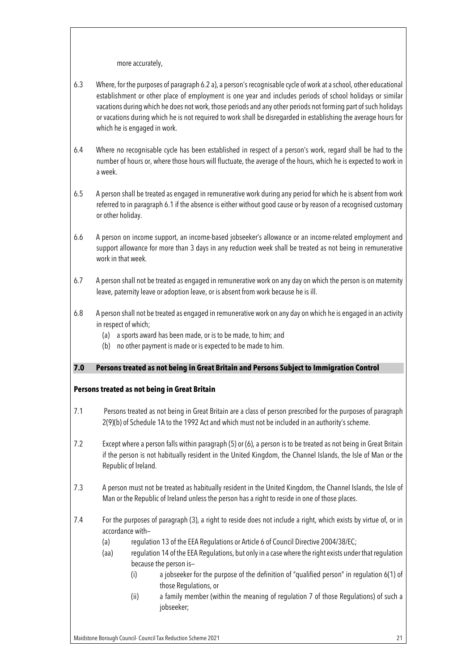#### more accurately,

- 6.3 Where, for the purposes of paragraph 6.2 a), a person's recognisable cycle of work at a school, other educational establishment or other place of employment is one year and includes periods of school holidays or similar vacations during which he does not work, those periods and any other periods not forming part of such holidays or vacations during which he is not required to work shall be disregarded in establishing the average hours for which he is engaged in work.
- 6.4 Where no recognisable cycle has been established in respect of a person's work, regard shall be had to the number of hours or, where those hours will fluctuate, the average of the hours, which he is expected to work in a week.
- 6.5 A person shall be treated as engaged in remunerative work during any period for which he is absent from work referred to in paragraph 6.1 if the absence is either without good cause or by reason of a recognised customary or other holiday.
- 6.6 A person on income support, an income-based jobseeker's allowance or an income-related employment and support allowance for more than 3 days in any reduction week shall be treated as not being in remunerative work in that week.
- 6.7 A person shall not be treated as engaged in remunerative work on any day on which the person is on maternity leave, paternity leave or adoption leave, or is absent from work because he is ill.
- 6.8 A person shall not be treated as engaged in remunerative work on any day on which he is engaged in an activity in respect of which;
	- (a) a sports award has been made, or is to be made, to him; and
	- (b) no other payment is made or is expected to be made to him.

### **7.0 Persons treated as not being in Great Britain and Persons Subject to Immigration Control**

### **Persons treated as not being in Great Britain**

- 7.1 Persons treated as not being in Great Britain are a class of person prescribed for the purposes of paragraph 2(9)(b) of Schedule 1A to the 1992 Act and which must not be included in an authority's scheme.
- 7.2 Except where a person falls within paragraph (5) or (6), a person is to be treated as not being in Great Britain if the person is not habitually resident in the United Kingdom, the Channel Islands, the Isle of Man or the Republic of Ireland.
- 7.3 A person must not be treated as habitually resident in the United Kingdom, the Channel Islands, the Isle of Man or the Republic of Ireland unless the person has a right to reside in one of those places.
- 7.4 For the purposes of paragraph (3), a right to reside does not include a right, which exists by virtue of, or in accordance with—
	- (a) regulation 13 of the EEA Regulations or Article 6 of Council Directive 2004/38/EC;
	- (aa) regulation 14 of the EEA Regulations, but only in a case where the right exists under that regulation because the person is—
		- (i) a jobseeker for the purpose of the definition of "qualified person" in regulation 6(1) of those Regulations, or
		- (ii) a family member (within the meaning of regulation 7 of those Regulations) of such a jobseeker;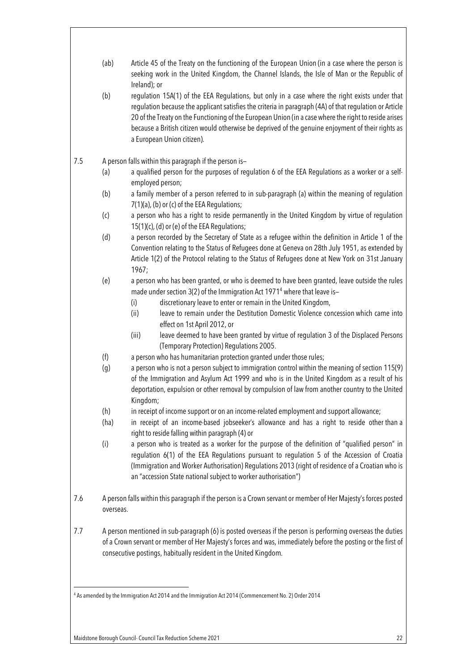|                                                                                                                  | (ab)<br>(b) | Article 45 of the Treaty on the functioning of the European Union (in a case where the person is<br>seeking work in the United Kingdom, the Channel Islands, the Isle of Man or the Republic of<br>Ireland); or<br>regulation 15A(1) of the EEA Regulations, but only in a case where the right exists under that                                                                            |  |  |  |  |
|------------------------------------------------------------------------------------------------------------------|-------------|----------------------------------------------------------------------------------------------------------------------------------------------------------------------------------------------------------------------------------------------------------------------------------------------------------------------------------------------------------------------------------------------|--|--|--|--|
|                                                                                                                  |             | regulation because the applicant satisfies the criteria in paragraph (4A) of that regulation or Article<br>20 of the Treaty on the Functioning of the European Union (in a case where the right to reside arises<br>because a British citizen would otherwise be deprived of the genuine enjoyment of their rights as<br>a European Union citizen).                                          |  |  |  |  |
| 7.5                                                                                                              |             | A person falls within this paragraph if the person is-                                                                                                                                                                                                                                                                                                                                       |  |  |  |  |
|                                                                                                                  | (a)         | a qualified person for the purposes of regulation 6 of the EEA Regulations as a worker or a self-<br>employed person;                                                                                                                                                                                                                                                                        |  |  |  |  |
|                                                                                                                  | (b)         | a family member of a person referred to in sub-paragraph (a) within the meaning of regulation<br>7(1)(a), (b) or (c) of the EEA Regulations;                                                                                                                                                                                                                                                 |  |  |  |  |
|                                                                                                                  | (c)         | a person who has a right to reside permanently in the United Kingdom by virtue of regulation<br>15(1)(c), (d) or (e) of the EEA Regulations;                                                                                                                                                                                                                                                 |  |  |  |  |
|                                                                                                                  | (d)         | a person recorded by the Secretary of State as a refugee within the definition in Article 1 of the<br>Convention relating to the Status of Refugees done at Geneva on 28th July 1951, as extended by<br>Article 1(2) of the Protocol relating to the Status of Refugees done at New York on 31st January<br>1967;                                                                            |  |  |  |  |
|                                                                                                                  | (e)         | a person who has been granted, or who is deemed to have been granted, leave outside the rules<br>made under section 3(2) of the Immigration Act 1971 <sup>4</sup> where that leave is-<br>discretionary leave to enter or remain in the United Kingdom,<br>(i)<br>leave to remain under the Destitution Domestic Violence concession which came into<br>(ii)<br>effect on 1st April 2012, or |  |  |  |  |
|                                                                                                                  |             | leave deemed to have been granted by virtue of regulation 3 of the Displaced Persons<br>(iii)<br>(Temporary Protection) Regulations 2005.                                                                                                                                                                                                                                                    |  |  |  |  |
|                                                                                                                  | (f)         | a person who has humanitarian protection granted under those rules;                                                                                                                                                                                                                                                                                                                          |  |  |  |  |
|                                                                                                                  | (g)         | a person who is not a person subject to immigration control within the meaning of section 115(9)<br>of the Immigration and Asylum Act 1999 and who is in the United Kingdom as a result of his<br>deportation, expulsion or other removal by compulsion of law from another country to the United<br>Kingdom;                                                                                |  |  |  |  |
|                                                                                                                  | (h)         | in receipt of income support or on an income-related employment and support allowance;                                                                                                                                                                                                                                                                                                       |  |  |  |  |
|                                                                                                                  | (ha)        | in receipt of an income-based jobseeker's allowance and has a right to reside other than a<br>right to reside falling within paragraph (4) or                                                                                                                                                                                                                                                |  |  |  |  |
|                                                                                                                  | (i)         | a person who is treated as a worker for the purpose of the definition of "qualified person" in<br>regulation 6(1) of the EEA Regulations pursuant to regulation 5 of the Accession of Croatia<br>(Immigration and Worker Authorisation) Regulations 2013 (right of residence of a Croatian who is<br>an "accession State national subject to worker authorisation")                          |  |  |  |  |
| 7.6                                                                                                              | overseas.   | A person falls within this paragraph if the person is a Crown servant or member of Her Majesty's forces posted                                                                                                                                                                                                                                                                               |  |  |  |  |
| 7.7                                                                                                              |             | A person mentioned in sub-paragraph (6) is posted overseas if the person is performing overseas the duties<br>of a Crown servant or member of Her Majesty's forces and was, immediately before the posting or the first of<br>consecutive postings, habitually resident in the United Kingdom.                                                                                               |  |  |  |  |
|                                                                                                                  |             |                                                                                                                                                                                                                                                                                                                                                                                              |  |  |  |  |
| <sup>4</sup> As amended by the Immigration Act 2014 and the Immigration Act 2014 (Commencement No. 2) Order 2014 |             |                                                                                                                                                                                                                                                                                                                                                                                              |  |  |  |  |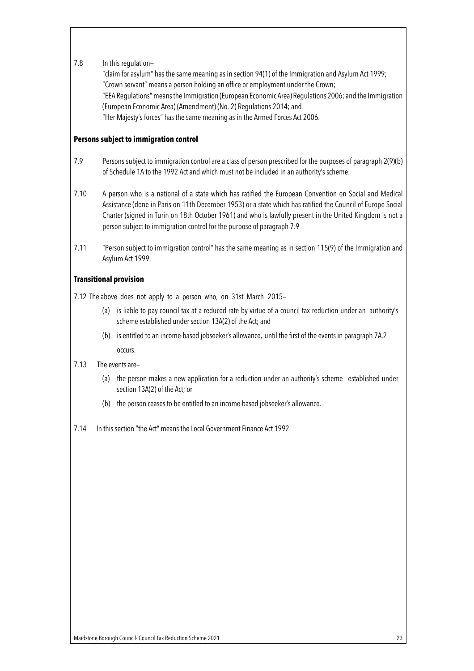#### 7.8 In this regulation—

"claim for asylum" has the same meaning as in section 94(1) of the Immigration and Asylum Act 1999; "Crown servant" means a person holding an office or employment under the Crown; "EEA Regulations" means the Immigration (European Economic Area) Regulations 2006; and the Immigration (European Economic Area) (Amendment) (No. 2) Regulations 2014; and "Her Majesty's forces" has the same meaning as in the Armed Forces Act 2006.

#### **Persons subject to immigration control**

- 7.9 Persons subject to immigration control are a class of person prescribed for the purposes of paragraph 2(9)(b) of Schedule 1A to the 1992 Act and which must not be included in an authority's scheme.
- 7.10 A person who is a national of a state which has ratified the European Convention on Social and Medical Assistance (done in Paris on 11th December 1953) or a state which has ratified the Council of Europe Social Charter (signed in Turin on 18th October 1961) and who is lawfully present in the United Kingdom is not a person subject to immigration control for the purpose of paragraph 7.9
- 7.11 "Person subject to immigration control" has the same meaning as in section 115(9) of the Immigration and Asylum Act 1999.

### **Transitional provision**

7.12 The above does not apply to a person who, on 31st March 2015—

- (a) is liable to pay council tax at a reduced rate by virtue of a council tax reduction under an authority's scheme established under section 13A(2) of the Act; and
- (b) is entitled to an income-based jobseeker's allowance, until the first of the eventsin paragraph 7A.2 occurs.
- 7.13 The events are—
	- (a) the person makes a new application for a reduction under an authority's scheme established under section 13A(2) of the Act; or
	- (b) the person ceasesto be entitled to an income-based jobseeker's allowance.
- 7.14 In this section "the Act" means the Local Government Finance Act 1992.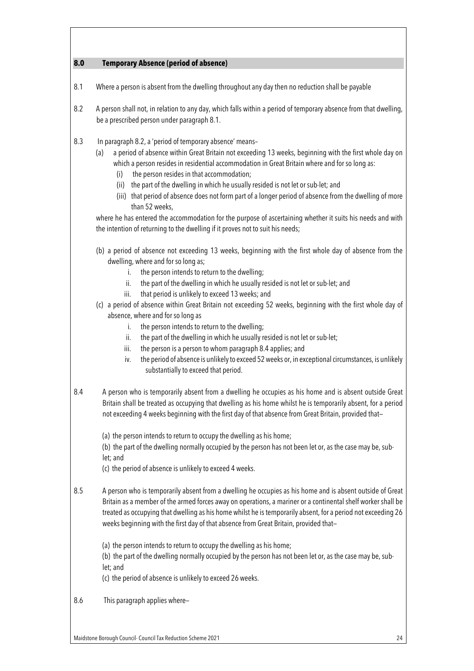### **8.0 Temporary Absence (period of absence)**

- 8.1 Where a person is absent from the dwelling throughout any day then no reduction shall be payable
- 8.2 A person shall not, in relation to any day, which falls within a period of temporary absence from that dwelling, be a prescribed person under paragraph 8.1.
- 8.3 In paragraph 8.2, a 'period of temporary absence' means–
	- (a) a period of absence within Great Britain not exceeding 13 weeks, beginning with the first whole day on which a person resides in residential accommodation in Great Britain where and for so long as:
		- (i) the person resides in that accommodation;
		- (ii) the part of the dwelling in which he usually resided is not let or sub-let; and
		- (iii) that period of absence does not form part of a longer period of absence from the dwelling of more than 52 weeks,

where he has entered the accommodation for the purpose of ascertaining whether it suits his needs and with the intention of returning to the dwelling if it proves not to suit his needs;

- (b) a period of absence not exceeding 13 weeks, beginning with the first whole day of absence from the dwelling, where and for so long as;
	- i. the person intends to return to the dwelling;
	- ii. the part of the dwelling in which he usually resided is not let or sub-let; and
	- iii. that period is unlikely to exceed 13 weeks; and
- (c) a period of absence within Great Britain not exceeding 52 weeks, beginning with the first whole day of absence, where and for so long as
	- i. the person intends to return to the dwelling;
	- ii. the part of the dwelling in which he usually resided is not let or sub-let;
	- iii. the person is a person to whom paragraph 8.4 applies; and
	- iv. the period of absence is unlikely to exceed 52 weeks or, in exceptional circumstances, is unlikely substantially to exceed that period.
- 8.4 A person who is temporarily absent from a dwelling he occupies as his home and is absent outside Great Britain shall be treated as occupying that dwelling as his home whilst he is temporarily absent, for a period not exceeding 4 weeks beginning with the first day of that absence from Great Britain, provided that—
	- (a) the person intends to return to occupy the dwelling as his home;

(b) the part of the dwelling normally occupied by the person has not been let or, as the case may be, sublet; and

- (c) the period of absence is unlikely to exceed 4 weeks.
- 8.5 A person who is temporarily absent from a dwelling he occupies as his home and is absent outside of Great Britain as a member of the armed forces away on operations, a mariner or a continental shelf worker shall be treated as occupying that dwelling as his home whilst he is temporarily absent, for a period not exceeding 26 weeks beginning with the first day of that absence from Great Britain, provided that—
	- (a) the person intends to return to occupy the dwelling as his home;
	- (b) the part of the dwelling normally occupied by the person has not been let or, as the case may be, sublet; and

(c) the period of absence is unlikely to exceed 26 weeks.

8.6 This paragraph applies where—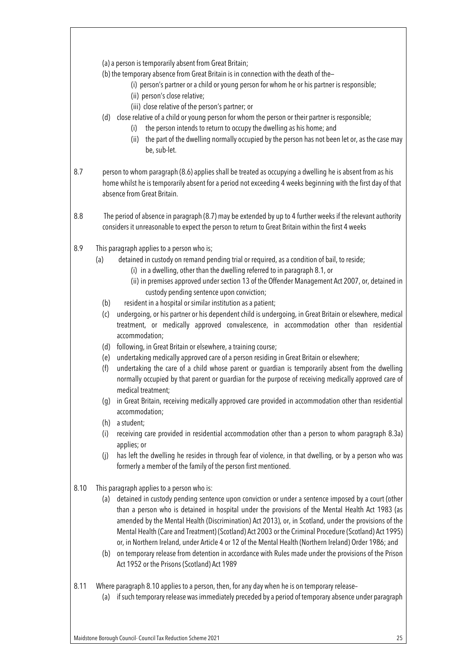(a) a person is temporarily absent from Great Britain;

- (b) the temporary absence from Great Britain is in connection with the death of the—
	- (i) person's partner or a child or young person for whom he or his partner is responsible;
	- (ii) person's close relative;
	- (iii) close relative of the person's partner; or
- (d) close relative of a child or young person for whom the person or their partner is responsible;
	- (i) the person intends to return to occupy the dwelling as his home; and
	- (ii) the part of the dwelling normally occupied by the person has not been let or, as the case may be, sub-let.

8.7 person to whom paragraph (8.6) applies shall be treated as occupying a dwelling he is absent from as his home whilst he is temporarily absent for a period not exceeding 4 weeks beginning with the first day of that absence from Great Britain.

- 8.8 The period of absence in paragraph (8.7) may be extended by up to 4 further weeks if the relevant authority considers it unreasonable to expect the person to return to Great Britain within the first 4 weeks
- 8.9 This paragraph applies to a person who is;
	- (a) detained in custody on remand pending trial or required, as a condition of bail, to reside;
		- (i) in a dwelling, other than the dwelling referred to in paragraph 8.1, or
		- (ii) in premises approved under section 13 of the Offender Management Act 2007, or, detained in custody pending sentence upon conviction;
		- (b) resident in a hospital or similar institution as a patient;
		- (c) undergoing, or his partner or his dependent child is undergoing, in Great Britain or elsewhere, medical treatment, or medically approved convalescence, in accommodation other than residential accommodation;
		- (d) following, in Great Britain or elsewhere, a training course;
		- (e) undertaking medically approved care of a person residing in Great Britain or elsewhere;
		- (f) undertaking the care of a child whose parent or guardian is temporarily absent from the dwelling normally occupied by that parent or guardian for the purpose of receiving medically approved care of medical treatment;
		- (g) in Great Britain, receiving medically approved care provided in accommodation other than residential accommodation;
		- (h) a student;
		- (i) receiving care provided in residential accommodation other than a person to whom paragraph 8.3a) applies; or
		- (j) has left the dwelling he resides in through fear of violence, in that dwelling, or by a person who was formerly a member of the family of the person first mentioned.
- 8.10 This paragraph applies to a person who is:
	- (a) detained in custody pending sentence upon conviction or under a sentence imposed by a court (other than a person who is detained in hospital under the provisions of the Mental Health Act 1983 (as amended by the Mental Health (Discrimination) Act 2013), or, in Scotland, under the provisions of the Mental Health (Care and Treatment) (Scotland) Act 2003 or the Criminal Procedure (Scotland) Act 1995) or, in Northern Ireland, under Article 4 or 12 of the Mental Health (Northern Ireland) Order 1986; and
	- (b) on temporary release from detention in accordance with Rules made under the provisions of the Prison Act 1952 or the Prisons (Scotland) Act 1989

8.11 Where paragraph 8.10 applies to a person, then, for any day when he is on temporary release-

(a) if such temporary release was immediately preceded by a period of temporary absence under paragraph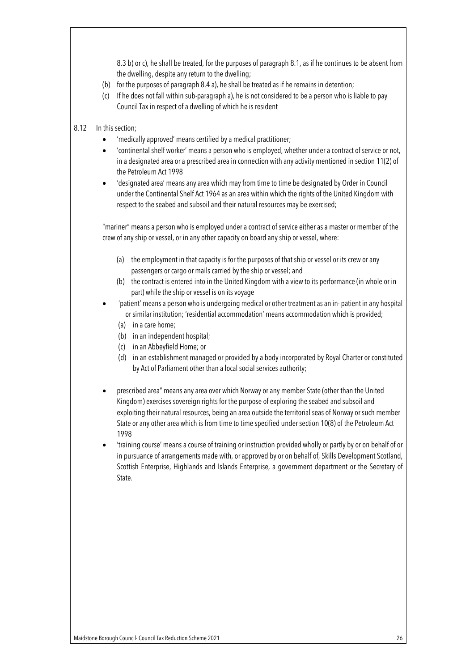8.3 b) or c), he shall be treated, for the purposes of paragraph 8.1, as if he continues to be absent from the dwelling, despite any return to the dwelling;

- (b) for the purposes of paragraph 8.4 a), he shall be treated as if he remains in detention;
- (c) If he does not fall within sub-paragraph a), he is not considered to be a person who is liable to pay Council Tax in respect of a dwelling of which he is resident

#### 8.12 In this section;

- 'medically approved' means certified by a medical practitioner;
- 'continental shelf worker' means a person who is employed, whether under a contract of service or not, in a designated area or a prescribed area in connection with any activity mentioned in section 11(2) of the Petroleum Act 1998
- 'designated area' means any area which may from time to time be designated by Order in Council under the Continental Shelf Act 1964 as an area within which the rights of the United Kingdom with respect to the seabed and subsoil and their natural resources may be exercised;

"mariner" means a person who is employed under a contract of service either as a master or member of the crew of any ship or vessel, or in any other capacity on board any ship or vessel, where:

- (a) the employment in that capacity is for the purposes of that ship or vessel or its crew or any passengers or cargo or mails carried by the ship or vessel; and
- (b) the contract is entered into in the United Kingdom with a view to its performance (in whole or in part) while the ship or vessel is on its voyage
- 'patient' means a person who is undergoing medical or other treatment as an in- patient in any hospital or similar institution; 'residential accommodation' means accommodation which is provided;
	- (a) in a care home;
	- (b) in an independent hospital;
	- (c) in an Abbeyfield Home; or
	- (d) in an establishment managed or provided by a body incorporated by Royal Charter or constituted by Act of Parliament other than a local social services authority;
- prescribed area" means any area over which Norway or any member State (other than the United Kingdom) exercises sovereign rights for the purpose of exploring the seabed and subsoil and exploiting their natural resources, being an area outside the territorial seas of Norway or such member State or any other area which is from time to time specified under section 10(8) of the Petroleum Act 1998
- 'training course' means a course of training or instruction provided wholly or partly by or on behalf of or in pursuance of arrangements made with, or approved by or on behalf of, Skills Development Scotland, Scottish Enterprise, Highlands and Islands Enterprise, a government department or the Secretary of State.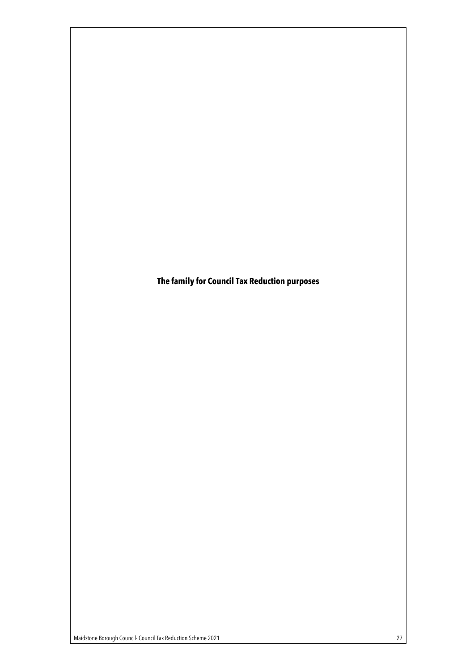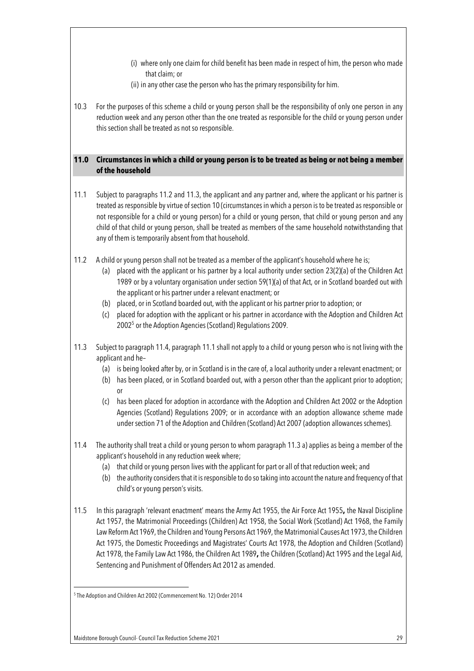- (i) where only one claim for child benefit has been made in respect of him, the person who made that claim; or
- (ii) in any other case the person who has the primary responsibility for him.
- 10.3 For the purposes of this scheme a child or young person shall be the responsibility of only one person in any reduction week and any person other than the one treated as responsible for the child or young person under this section shall be treated as not so responsible.

# **11.0 Circumstances in which a child or young person is to be treated as being or not being a member of the household**

- 11.1 Subject to paragraphs 11.2 and 11.3, the applicant and any partner and, where the applicant or his partner is treated as responsible by virtue of section 10 (circumstances in which a person is to be treated as responsible or not responsible for a child or young person) for a child or young person, that child or young person and any child of that child or young person, shall be treated as members of the same household notwithstanding that any of them is temporarily absent from that household.
- 11.2 A child or young person shall not be treated as a member of the applicant's household where he is;
	- (a) placed with the applicant or his partner by a local authority under section 23(2)(a) of the Children Act 1989 or by a voluntary organisation under section 59(1)(a) of that Act, or in Scotland boarded out with the applicant or his partner under a relevant enactment; or
	- (b) placed, or in Scotland boarded out, with the applicant or his partner prior to adoption; or
	- (c) placed for adoption with the applicant or his partner in accordance with the Adoption and Children Act 20025 or the Adoption Agencies (Scotland) Regulations 2009.
- 11.3 Subject to paragraph 11.4, paragraph 11.1 shall not apply to a child or young person who is not living with the applicant and he–
	- (a) is being looked after by, or in Scotland is in the care of, a local authority under a relevant enactment; or
	- (b) has been placed, or in Scotland boarded out, with a person other than the applicant prior to adoption; or
	- (c) has been placed for adoption in accordance with the Adoption and Children Act 2002 or the Adoption Agencies (Scotland) Regulations 2009; or in accordance with an adoption allowance scheme made under section 71 of the Adoption and Children (Scotland) Act 2007 (adoption allowances schemes).
- 11.4 The authority shall treat a child or young person to whom paragraph 11.3 a) applies as being a member of the applicant's household in any reduction week where;
	- (a) that child or young person lives with the applicant for part or all of that reduction week; and
	- (b) the authority considers that it is responsible to do so taking into account the nature and frequency of that child's or young person's visits.
- 11.5 In this paragraph 'relevant enactment' means the Army Act 1955, the Air Force Act 1955**,** the Naval Discipline Act 1957, the Matrimonial Proceedings (Children) Act 1958, the Social Work (Scotland) Act 1968, the Family Law Reform Act 1969, the Children and Young Persons Act 1969, the Matrimonial Causes Act 1973, the Children Act 1975, the Domestic Proceedings and Magistrates' Courts Act 1978, the Adoption and Children (Scotland) Act 1978, the Family Law Act 1986, the Children Act 1989**,** the Children (Scotland) Act 1995 and the Legal Aid, Sentencing and Punishment of Offenders Act 2012 as amended.

<sup>5</sup> The Adoption and Children Act 2002 (Commencement No. 12) Order 2014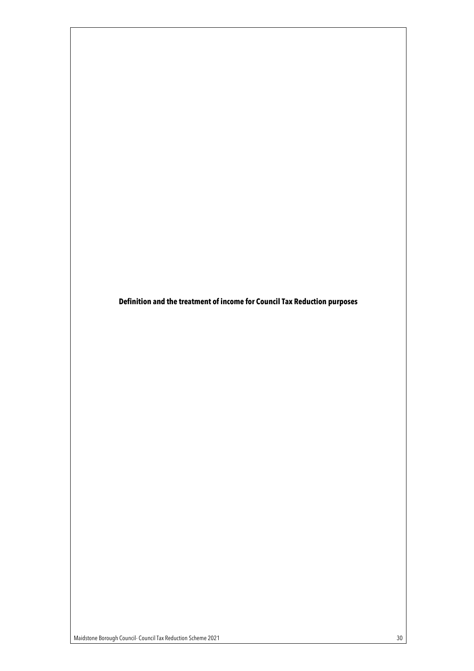**Definition and the treatment of income for Council Tax Reduction purposes**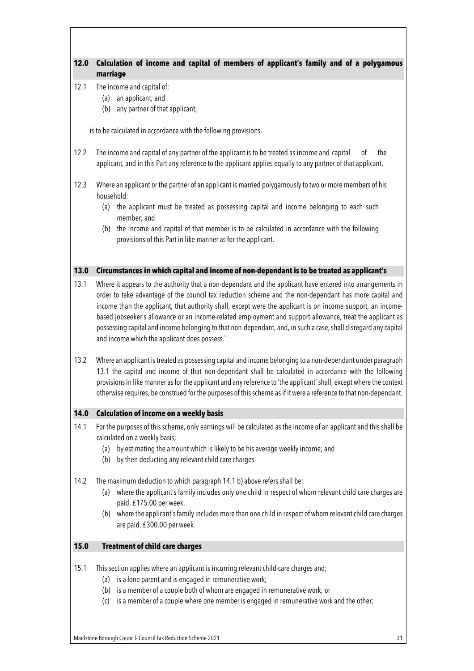# **12.0 Calculation of income and capital of members of applicant's family and of a polygamous marriage** 12.1 The income and capital of: (a) an applicant; and

(b) any partner of that applicant,

is to be calculated in accordance with the following provisions.

- 12.2 The income and capital of any partner of the applicant is to be treated as income and capital of the applicant, and in this Part any reference to the applicant applies equally to any partner of that applicant.
- 12.3 Where an applicant or the partner of an applicant is married polygamously to two or more members of his household:
	- (a) the applicant must be treated as possessing capital and income belonging to each such member; and
	- (b) the income and capital of that member is to be calculated in accordance with the following provisions of this Part in like manner as for the applicant.

#### **13.0 Circumstances in which capital and income of non-dependant is to be treated as applicant's**

- 13.1 Where it appears to the authority that a non-dependant and the applicant have entered into arrangements in order to take advantage of the council tax reduction scheme and the non-dependant has more capital and income than the applicant, that authority shall, except were the applicant is on income support, an incomebased jobseeker's allowance or an income-related employment and support allowance, treat the applicant as possessing capital and income belonging to that non-dependant, and, in such a case, shall disregard any capital and income which the applicant does possess.`
- 13.2 Where an applicant is treated as possessing capital and income belonging to a non-dependant under paragraph 13.1 the capital and income of that non-dependant shall be calculated in accordance with the following provisions in like manner as for the applicant and any reference to 'the applicant' shall, except where the context otherwise requires, be construed for the purposes of this scheme as if it were a reference to that non-dependant.

#### **14.0 Calculation of income on a weekly basis**

- 14.1 For the purposes of this scheme, only earnings will be calculated as the income of an applicant and this shall be calculated on a weekly basis;
	- (a) by estimating the amount which is likely to be his average weekly income; and
	- (b) by then deducting any relevant child care charges
- 14.2 The maximum deduction to which paragraph 14.1 b) above refers shall be;
	- (a) where the applicant's family includes only one child in respect of whom relevant child care charges are paid, £175.00 per week.
	- (b) where the applicant's family includes more than one child in respect of whom relevant child care charges are paid, £300.00 per week.

### **15.0 Treatment of child care charges**

- 15.1 This section applies where an applicant is incurring relevant child-care charges and;
	- (a) is a lone parent and is engaged in remunerative work;
	- (b) is a member of a couple both of whom are engaged in remunerative work; or
	- (c) is a member of a couple where one member is engaged in remunerative work and the other;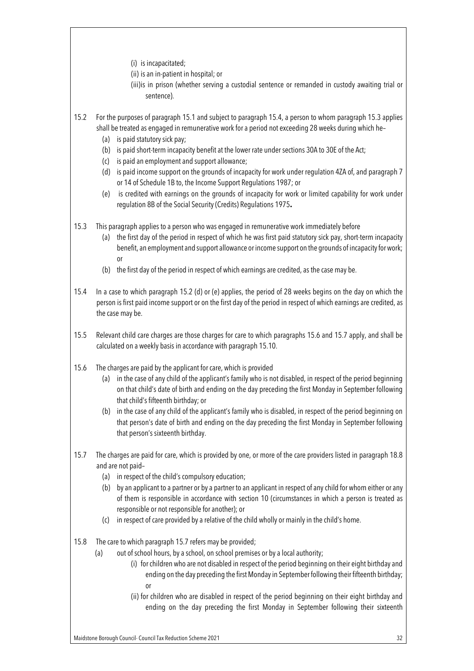| (i) is incapacitated; |  |
|-----------------------|--|
|-----------------------|--|

- (ii) is an in-patient in hospital; or
- (iii)is in prison (whether serving a custodial sentence or remanded in custody awaiting trial or sentence).
- 15.2 For the purposes of paragraph 15.1 and subject to paragraph 15.4, a person to whom paragraph 15.3 applies shall be treated as engaged in remunerative work for a period not exceeding 28 weeks during which he–
	- (a) is paid statutory sick pay;
	- (b) is paid short-term incapacity benefit at the lower rate under sections 30A to 30E of the Act;
	- (c) is paid an employment and support allowance;
	- (d) is paid income support on the grounds of incapacity for work under regulation 4ZA of, and paragraph 7 or 14 of Schedule 1B to, the Income Support Regulations 1987; or
	- (e) is credited with earnings on the grounds of incapacity for work or limited capability for work under regulation 8B of the Social Security (Credits) Regulations 1975**.**
- 15.3 This paragraph applies to a person who was engaged in remunerative work immediately before
	- (a) the first day of the period in respect of which he was first paid statutory sick pay, short-term incapacity benefit, an employment and support allowance or income support on the grounds of incapacity for work; or
	- (b) the first day of the period in respect of which earnings are credited, as the case may be.
- 15.4 In a case to which paragraph 15.2 (d) or (e) applies, the period of 28 weeks begins on the day on which the person is first paid income support or on the first day of the period in respect of which earnings are credited, as the case may be.
- 15.5 Relevant child care charges are those charges for care to which paragraphs 15.6 and 15.7 apply, and shall be calculated on a weekly basis in accordance with paragraph 15.10.
- 15.6 The charges are paid by the applicant for care, which is provided
	- (a) in the case of any child of the applicant's family who is not disabled, in respect of the period beginning on that child's date of birth and ending on the day preceding the first Monday in September following that child's fifteenth birthday; or
	- (b) in the case of any child of the applicant's family who is disabled, in respect of the period beginning on that person's date of birth and ending on the day preceding the first Monday in September following that person's sixteenth birthday.
- 15.7 The charges are paid for care, which is provided by one, or more of the care providers listed in paragraph 18.8 and are not paid–
	- (a) in respect of the child's compulsory education;
	- (b) by an applicant to a partner or by a partner to an applicant in respect of any child for whom either or any of them is responsible in accordance with section 10 (circumstances in which a person is treated as responsible or not responsible for another); or
	- (c) in respect of care provided by a relative of the child wholly or mainly in the child's home.
- 15.8 The care to which paragraph 15.7 refers may be provided;
	- (a) out of school hours, by a school, on school premises or by a local authority;
		- (i) for children who are not disabled in respect of the period beginning on their eight birthday and ending on the day preceding the first Monday in September following their fifteenth birthday; or
		- (ii) for children who are disabled in respect of the period beginning on their eight birthday and ending on the day preceding the first Monday in September following their sixteenth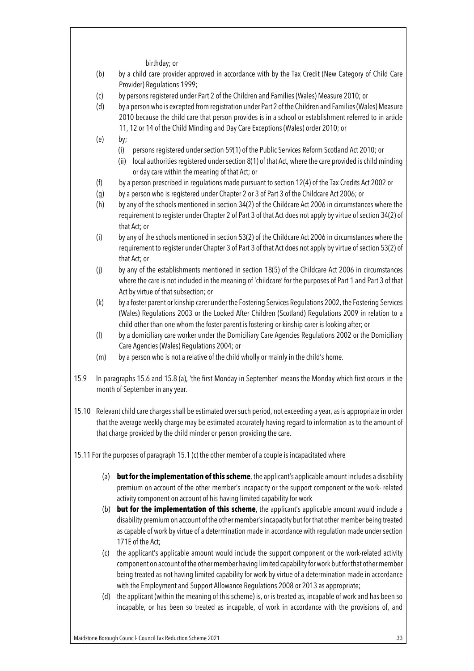birthday; or (b) by a child care provider approved in accordance with by the Tax Credit (New Category of Child Care Provider) Regulations 1999; (c) by persons registered under Part 2 of the Children and Families (Wales) Measure 2010; or (d) by a person who is excepted from registration under Part 2 of the Children and Families (Wales) Measure 2010 because the child care that person provides is in a school or establishment referred to in article 11, 12 or 14 of the Child Minding and Day Care Exceptions (Wales) order 2010; or (e) by; (i) persons registered under section 59(1) of the Public Services Reform Scotland Act 2010; or (ii) local authorities registered under section 8(1) of that Act, where the care provided is child minding or daycare within the meaning of that Act; or (f) by a person prescribed in regulations made pursuant to section 12(4) of the Tax Credits Act 2002 or (g) by a person who is registered under Chapter 2 or 3 of Part 3 of the Childcare Act 2006; or (h) by any of the schools mentioned in section 34(2) of the Childcare Act 2006 in circumstances where the requirement to register under Chapter 2 of Part 3 of that Act does not apply by virtue of section 34(2) of that Act; or (i) by any of the schools mentioned in section 53(2) of the Childcare Act 2006 in circumstances where the requirement to register under Chapter 3 of Part 3 of that Act does not apply by virtue of section 53(2) of that Act; or (j) by any of the establishments mentioned in section 18(5) of the Childcare Act 2006 in circumstances where the care is not included in the meaning of 'childcare' for the purposes of Part 1 and Part 3 of that Act by virtue of that subsection; or (k) by a foster parent or kinship carer under the Fostering Services Regulations 2002, the Fostering Services (Wales) Regulations 2003 or the Looked After Children (Scotland) Regulations 2009 in relation to a child other than one whom the foster parent is fostering or kinship carer is looking after; or (l) by a domiciliary care worker under the Domiciliary Care Agencies Regulations 2002 or the Domiciliary Care Agencies (Wales) Regulations 2004; or (m) by a person who is not a relative of the child wholly or mainly in the child's home. 15.9 In paragraphs 15.6 and 15.8 (a), 'the first Monday in September' means the Monday which first occurs in the month of September in any year. 15.10 Relevant child care charges shall be estimated over such period, not exceeding a year, as is appropriate in order that the average weekly charge may be estimated accurately having regard to information as to the amount of that charge provided by the child minder or person providing the care. 15.11 For the purposes of paragraph 15.1 (c) the other member of a couple is incapacitated where (a) **but for the implementation of this scheme**, the applicant's applicable amount includes a disability premium on account of the other member's incapacity or the support component or the work- related activity component on account of his having limited capability for work (b) **but for the implementation of this scheme**, the applicant's applicable amount would include a disability premiumon account of the other member's incapacity but for that other member being treated as capable of work by virtue of a determination made in accordance with regulation made under section 171E of the Act; (c) the applicant's applicable amount would include the support component or the work-related activity component on account of the other member having limited capability for work but for that other member being treated as not having limited capability for work by virtue of a determination made in accordance with the Employment and Support Allowance Regulations 2008 or 2013 as appropriate;

(d) the applicant (within the meaning of this scheme) is, or is treated as, incapable of work and has been so incapable, or has been so treated as incapable, of work in accordance with the provisions of, and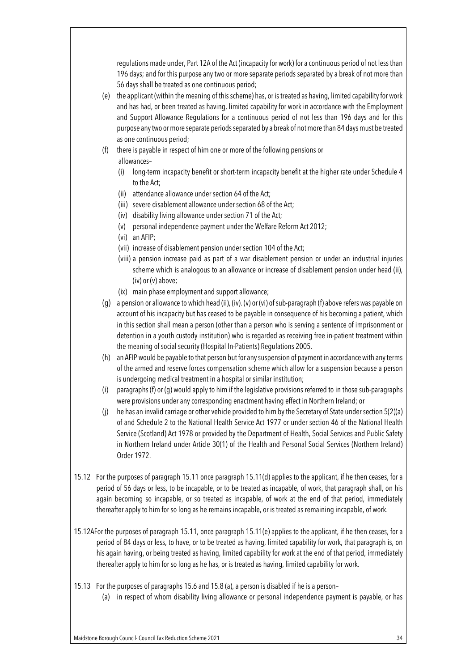regulations made under, Part 12A of the Act (incapacity for work) for a continuous period of not less than 196 days; and for this purpose any two or more separate periods separated by a break of not more than 56 days shall be treated as one continuous period;

- (e) the applicant (within the meaning of this scheme) has, or is treated as having, limited capability for work and has had, or been treated as having, limited capability for work in accordance with the Employment and Support Allowance Regulations for a continuous period of not less than 196 days and for this purpose any two or more separate periods separated by a break of not more than 84 days must be treated as one continuous period;
- (f) there is payable in respect of him one or more of the following pensions or allowances–
	- (i) long-term incapacity benefit or short-term incapacity benefit at the higher rate under Schedule 4 to the Act;
	- (ii) attendance allowance under section 64 of the Act;
	- (iii) severe disablement allowance under section 68 of the Act;
	- (iv) disability living allowance under section 71 of the Act;
	- (v) personal independence payment under the Welfare Reform Act 2012;
	- (vi) an AFIP;
	- (vii) increase of disablement pension under section 104 of the Act;
	- (viii) a pension increase paid as part of a war disablement pension or under an industrial injuries scheme which is analogous to an allowance or increase of disablement pension under head (ii), (iv) or (v) above;
	- (ix) main phase employment and support allowance;
- (g) a pension or allowance to which head (ii), (iv). (v) or (vi) of sub-paragraph (f) above refers was payable on account of his incapacity but has ceased to be payable in consequence of his becoming a patient, which in this section shall mean a person (other than a person who is serving a sentence of imprisonment or detention in a youth custody institution) who is regarded as receiving free in-patient treatment within the meaning of social security (Hospital In-Patients) Regulations 2005.
- (h) an AFIP would be payable to that person but for any suspension of payment in accordance with any terms of the armed and reserve forces compensation scheme which allow for a suspension because a person is undergoing medical treatment in a hospital or similar institution;
- (i) paragraphs (f) or (g) would apply to him if the legislative provisions referred to in those sub-paragraphs were provisions under any corresponding enactment having effect in Northern Ireland; or
- (j) he has an invalid carriage or other vehicle provided to him by the Secretary of State under section 5(2)(a) of and Schedule 2 to the National Health Service Act 1977 or under section 46 of the National Health Service (Scotland) Act 1978 or provided by the Department of Health, Social Services and Public Safety in Northern Ireland under Article 30(1) of the Health and Personal Social Services (Northern Ireland) Order 1972.
- 15.12 For the purposes of paragraph 15.11 once paragraph 15.11(d) applies to the applicant, if he then ceases, for a period of 56 days or less, to be incapable, or to be treated as incapable, of work, that paragraph shall, on his again becoming so incapable, or so treated as incapable, of work at the end of that period, immediately thereafter apply to him for so long as he remains incapable, or is treated as remaining incapable, of work.
- 15.12AFor the purposes of paragraph 15.11, once paragraph 15.11(e) applies to the applicant, if he then ceases, for a period of 84 days or less, to have, or to be treated as having, limited capability for work, that paragraph is, on his again having, or being treated as having, limited capability for work at the end of that period, immediately thereafter apply to him for so long as he has, or is treated as having, limited capability for work.
- 15.13 For the purposes of paragraphs 15.6 and 15.8 (a), a person is disabled if he is a person–
	- (a) in respect of whom disability living allowance or personal independence payment is payable, or has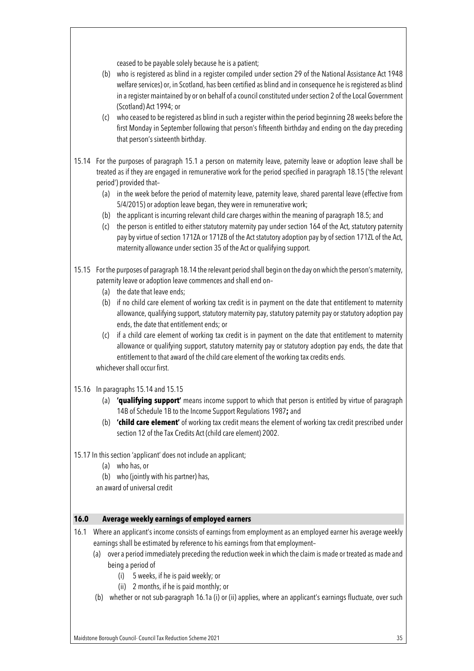ceased to be payable solely because he is a patient;

- (b) who is registered as blind in a register compiled under section 29 of the National Assistance Act 1948 welfare services) or, in Scotland, has been certified as blind and in consequence he is registered as blind in a register maintained by or on behalf of a council constituted under section 2 of the Local Government (Scotland) Act 1994; or
- (c) who ceased to be registered as blind in such a register within the period beginning 28 weeks before the first Monday in September following that person's fifteenth birthday and ending on the day preceding that person's sixteenth birthday.
- 15.14 For the purposes of paragraph 15.1 a person on maternity leave, paternity leave or adoption leave shall be treated as if they are engaged in remunerative work for the period specified in paragraph 18.15 ('the relevant period') provided that–
	- (a) in the week before the period of maternity leave, paternity leave, shared parental leave (effective from 5/4/2015) or adoption leave began, they were in remunerative work;
	- (b) the applicant is incurring relevant child care charges within the meaning of paragraph 18.5; and
	- (c) the person is entitled to either statutory maternity pay under section 164 of the Act, statutory paternity pay by virtue of section 171ZA or 171ZB of the Act statutory adoption pay by of section 171ZL of the Act, maternity allowance under section 35 of the Act or qualifying support.
- 15.15 For the purposes of paragraph 18.14 the relevant period shall begin on the day on which the person's maternity, paternity leave or adoption leave commences and shall end on–
	- (a) the date that leave ends;
	- (b) if no child care element of working tax credit is in payment on the date that entitlement to maternity allowance, qualifying support, statutory maternity pay, statutory paternity pay or statutory adoption pay ends, the date that entitlement ends; or
	- (c) if a child care element of working tax credit is in payment on the date that entitlement to maternity allowance or qualifying support, statutory maternity pay or statutory adoption pay ends, the date that entitlement to that award of the child care element of the working tax credits ends. whichever shall occur first.
- 15.16 In paragraphs 15.14 and 15.15
	- (a) **'qualifying support'** means income support to which that person is entitled by virtue of paragraph 14B of Schedule 1B to the Income Support Regulations 1987**;** and
	- (b) **'child care element'** of working tax credit means the element of working tax credit prescribed under section 12 of the Tax Credits Act (child care element) 2002.

15.17 In this section 'applicant' does not include an applicant;

- (a) who has, or
- (b) who (jointly with his partner) has,

an award of universal credit

### **16.0 Average weekly earnings of employed earners**

- 16.1 Where an applicant's income consists of earnings from employment as an employed earner his average weekly earnings shall be estimated by reference to his earnings from that employment–
	- (a) over a period immediately preceding the reduction week in which the claim is made or treated as made and being a period of
		- (i) 5 weeks, if he is paid weekly; or
		- (ii) 2 months, if he is paid monthly; or
	- (b) whether or not sub-paragraph 16.1a (i) or (ii) applies, where an applicant's earnings fluctuate, over such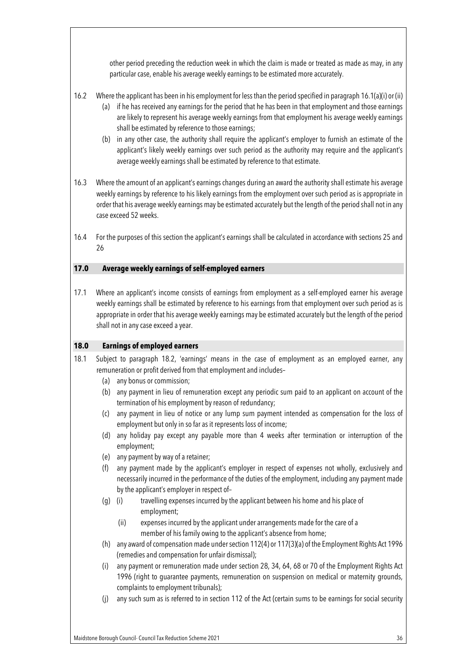other period preceding the reduction week in which the claim is made or treated as made as may, in any particular case, enable his average weekly earnings to be estimated more accurately.

- 16.2 Where the applicant has been in his employment for less than the period specified in paragraph 16.1(a)(i) or (ii)
	- (a) if he has received any earnings for the period that he has been in that employment and those earnings are likely to represent his average weekly earnings from that employment his average weekly earnings shall be estimated by reference to those earnings;
	- (b) in any other case, the authority shall require the applicant's employer to furnish an estimate of the applicant's likely weekly earnings over such period as the authority may require and the applicant's average weekly earnings shall be estimated by reference to that estimate.
- 16.3 Where the amount of an applicant's earnings changes during an award the authority shall estimate his average weekly earnings by reference to his likely earnings from the employment over such period as is appropriate in order that his average weekly earnings may be estimated accurately but the length of the period shall not in any case exceed 52 weeks.
- 16.4 For the purposes of this section the applicant's earnings shall be calculated in accordance with sections 25 and 26

# **17.0 Average weekly earnings of self-employed earners**

17.1 Where an applicant's income consists of earnings from employment as a self-employed earner his average weekly earnings shall be estimated by reference to his earnings from that employment over such period as is appropriate in order that his average weekly earnings may be estimated accurately but the length of the period shall not in any case exceed a year.

### **18.0 Earnings of employed earners**

- 18.1 Subject to paragraph 18.2, 'earnings' means in the case of employment as an employed earner, any remuneration or profit derived from that employment and includes–
	- (a) any bonus or commission;
	- (b) any payment in lieu of remuneration except any periodic sum paid to an applicant on account of the termination of his employment by reason of redundancy;
	- (c) any payment in lieu of notice or any lump sum payment intended as compensation for the loss of employment but only in so far as it represents loss of income;
	- (d) any holiday pay except any payable more than 4 weeks after termination or interruption of the employment;
	- (e) any payment by way of a retainer;
	- (f) any payment made by the applicant's employer in respect of expenses not wholly, exclusively and necessarily incurred in the performance of the duties of the employment, including any payment made by the applicant's employer in respect of–
	- (g) (i) travelling expenses incurred by the applicant between his home and his place of employment;
		- (ii) expenses incurred by the applicant under arrangements made for the care of a member of his family owing to the applicant's absence from home;
	- (h) any award of compensation made under section 112(4) or 117(3)(a) of the Employment Rights Act 1996 (remedies and compensation for unfair dismissal);
	- (i) any payment or remuneration made under section 28, 34, 64, 68 or 70 of the Employment Rights Act 1996 (right to guarantee payments, remuneration on suspension on medical or maternity grounds, complaints to employment tribunals);
	- (j) any such sum as is referred to in section 112 of the Act (certain sums to be earnings for social security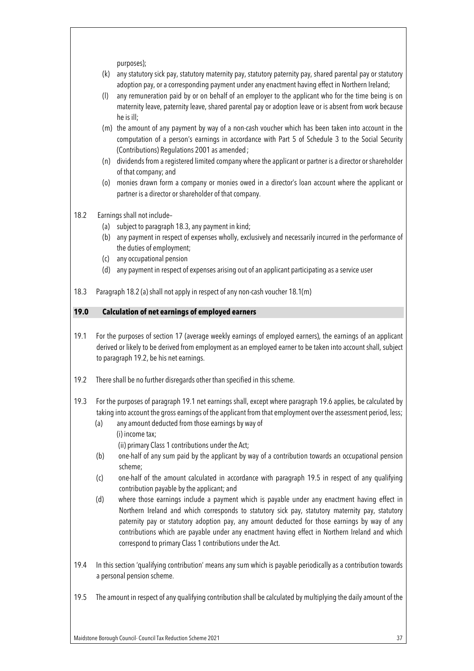purposes);

- (k) any statutory sick pay, statutory maternity pay, statutory paternity pay, shared parental pay or statutory adoption pay, or a corresponding payment under any enactment having effect in Northern Ireland;
- (l) any remuneration paid by or on behalf of an employer to the applicant who for the time being is on maternity leave, paternity leave, shared parental pay or adoption leave or is absent from work because he is ill;
- (m) the amount of any payment by way of a non-cash voucher which has been taken into account in the computation of a person's earnings in accordance with Part 5 of Schedule 3 to the Social Security (Contributions) Regulations 2001 as amended ;
- (n) dividends from a registered limited company where the applicant or partner is a director or shareholder of that company; and
- (o) monies drawn form a company or monies owed in a director's loan account where the applicant or partner is a director or shareholder of that company.
- 18.2 Earnings shall not include–
	- (a) subject to paragraph 18.3, any payment in kind;
	- (b) any payment in respect of expenses wholly, exclusively and necessarily incurred in the performance of the duties of employment;
	- (c) any occupational pension
	- (d) any payment in respect of expenses arising out of an applicant participating as a service user
- 18.3 Paragraph 18.2 (a) shall not apply in respect of any non-cash voucher 18.1(m)

# **19.0 Calculation of net earnings of employed earners**

- 19.1 For the purposes of section 17 (average weekly earnings of employed earners), the earnings of an applicant derived or likely to be derived from employment as an employed earner to be taken into account shall, subject to paragraph 19.2, be his net earnings.
- 19.2 There shall be no further disregards other than specified in this scheme.
- 19.3 For the purposes of paragraph 19.1 net earnings shall, except where paragraph 19.6 applies, be calculated by taking into account the gross earnings of the applicant from that employment over the assessment period, less;
	- (a) any amount deducted from those earnings by way of (i) income tax;
		- (ii) primary Class 1 contributions under the Act;
	- (b) one-half of any sum paid by the applicant by way of a contribution towards an occupational pension scheme;
	- (c) one-half of the amount calculated in accordance with paragraph 19.5 in respect of any qualifying contribution payable by the applicant; and
	- (d) where those earnings include a payment which is payable under any enactment having effect in Northern Ireland and which corresponds to statutory sick pay, statutory maternity pay, statutory paternity pay or statutory adoption pay, any amount deducted for those earnings by way of any contributions which are payable under any enactment having effect in Northern Ireland and which correspond to primary Class 1 contributions under the Act.
- 19.4 In this section 'qualifying contribution' means any sum which is payable periodically as a contribution towards a personal pension scheme.
- 19.5 The amount in respect of any qualifying contribution shall be calculated by multiplying the daily amount of the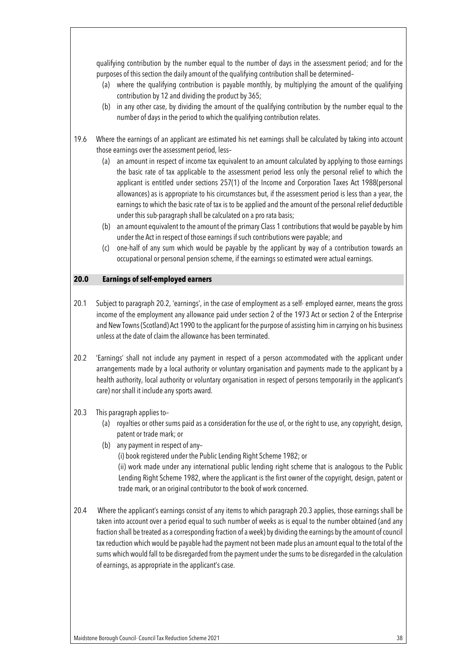qualifying contribution by the number equal to the number of days in the assessment period; and for the purposes of this section the daily amount of the qualifying contribution shall be determined–

- (a) where the qualifying contribution is payable monthly, by multiplying the amount of the qualifying contribution by 12 and dividing the product by 365;
- (b) in any other case, by dividing the amount of the qualifying contribution by the number equal to the number of days in the period to which the qualifying contribution relates.
- 19.6 Where the earnings of an applicant are estimated his net earnings shall be calculated by taking into account those earnings over the assessment period, less–
	- (a) an amount in respect of income tax equivalent to an amount calculated by applying to those earnings the basic rate of tax applicable to the assessment period less only the personal relief to which the applicant is entitled under sections 257(1) of the Income and Corporation Taxes Act 1988(personal allowances) as is appropriate to his circumstances but, if the assessment period is less than a year, the earnings to which the basic rate of tax is to be applied and the amount of the personal relief deductible under this sub-paragraph shall be calculated on a pro rata basis;
	- (b) an amount equivalent to the amount of the primary Class 1 contributions that would be payable by him under the Act in respect of those earnings if such contributions were payable; and
	- (c) one-half of any sum which would be payable by the applicant by way of a contribution towards an occupational or personal pension scheme, if the earnings so estimated were actual earnings.

### **20.0 Earnings of self-employed earners**

- 20.1 Subject to paragraph 20.2, 'earnings', in the case of employment as a self- employed earner, means the gross income of the employment any allowance paid under section 2 of the 1973 Act or section 2 of the Enterprise and New Towns (Scotland) Act 1990 to the applicant for the purpose of assisting him in carrying on his business unless at the date of claim the allowance has been terminated.
- 20.2 'Earnings' shall not include any payment in respect of a person accommodated with the applicant under arrangements made by a local authority or voluntary organisation and payments made to the applicant by a health authority, local authority or voluntary organisation in respect of persons temporarily in the applicant's care) nor shall it include any sports award.

#### 20.3 This paragraph applies to–

- (a) royalties or other sums paid as a consideration for the use of, or the right to use, any copyright, design, patent or trade mark; or
- (b) any payment in respect of any– (i) book registered under the Public Lending Right Scheme 1982; or (ii) work made under any international public lending right scheme that is analogous to the Public Lending Right Scheme 1982, where the applicant is the first owner of the copyright, design, patent or trade mark, or an original contributor to the book of work concerned.
- 20.4 Where the applicant's earnings consist of any items to which paragraph 20.3 applies, those earnings shall be taken into account over a period equal to such number of weeks as is equal to the number obtained (and any fraction shall be treated as a corresponding fraction of a week) by dividing the earnings by the amount of council tax reduction which would be payable had the payment not been made plus an amount equal to the total of the sums which would fall to be disregarded from the payment under the sums to be disregarded in the calculation of earnings, as appropriate in the applicant's case.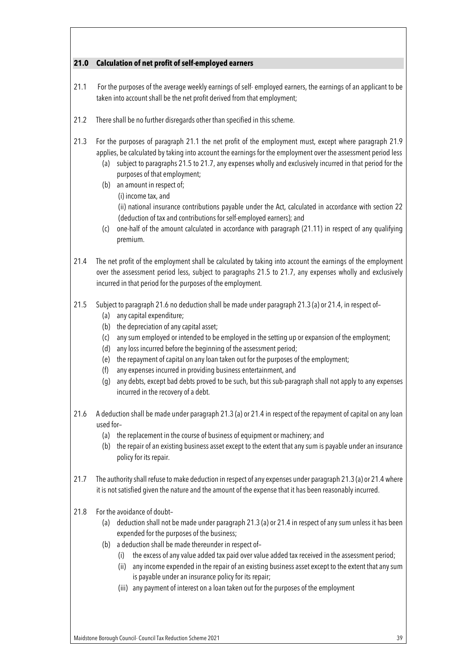## **21.0 Calculation of net profit of self-employed earners**

- 21.1 For the purposes of the average weekly earnings of self- employed earners, the earnings of an applicant to be taken into account shall be the net profit derived from that employment;
- 21.2 There shall be no further disregards other than specified in this scheme.
- 21.3 For the purposes of paragraph 21.1 the net profit of the employment must, except where paragraph 21.9 applies, be calculated by taking into account the earnings for the employment over the assessment period less
	- (a) subject to paragraphs 21.5 to 21.7, any expenses wholly and exclusively incurred in that period for the purposes of that employment;
	- (b) an amount in respect of; (i) income tax, and (ii) national insurance contributions payable under the Act, calculated in accordance with section 22 (deduction of tax and contributions for self-employed earners); and
	- (c) one-half of the amount calculated in accordance with paragraph (21.11) in respect of any qualifying premium.
- 21.4 The net profit of the employment shall be calculated by taking into account the earnings of the employment over the assessment period less, subject to paragraphs 21.5 to 21.7, any expenses wholly and exclusively incurred in that period for the purposes of the employment.
- 21.5 Subject to paragraph 21.6 no deduction shall be made under paragraph 21.3 (a) or 21.4, in respect of–
	- (a) any capital expenditure;
	- (b) the depreciation of any capital asset;
	- (c) any sum employed or intended to be employed in the setting up or expansion of the employment;
	- (d) any loss incurred before the beginning of the assessment period;
	- (e) the repayment of capital on any loan taken out for the purposes of the employment;
	- (f) any expenses incurred in providing business entertainment, and
	- (g) any debts, except bad debts proved to be such, but this sub-paragraph shall not apply to any expenses incurred in the recovery of a debt.
- 21.6 A deduction shall be made under paragraph 21.3 (a) or 21.4 in respect of the repayment of capital on any loan used for–
	- (a) the replacement in the course of business of equipment or machinery; and
	- (b) the repair of an existing business asset except to the extent that any sum is payable under an insurance policy for its repair.
- 21.7 The authority shall refuse to make deduction in respect of any expenses under paragraph 21.3 (a) or 21.4 where it is not satisfied given the nature and the amount of the expense that it has been reasonably incurred.
- 21.8 For the avoidance of doubt–
	- (a) deduction shall not be made under paragraph 21.3 (a) or 21.4 in respect of any sum unless it has been expended for the purposes of the business;
	- (b) a deduction shall be made thereunder in respect of–
		- (i) the excess of any value added tax paid over value added tax received in the assessment period;
		- (ii) any income expended in the repair of an existing business asset except to the extent that any sum is payable under an insurance policy for its repair;
		- (iii) any payment of interest on a loan taken out for the purposes of the employment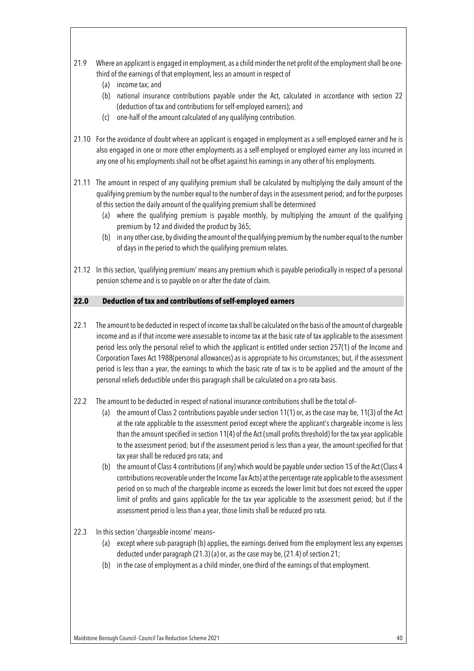- 21.9 Where an applicant is engaged in employment, as a child minder the net profit of the employment shall be onethird of the earnings of that employment, less an amount in respect of
	- (a) income tax; and
	- (b) national insurance contributions payable under the Act, calculated in accordance with section 22 (deduction of tax and contributions for self-employed earners); and
	- (c) one-half of the amount calculated of any qualifying contribution.
- 21.10 For the avoidance of doubt where an applicant is engaged in employment as a self-employed earner and he is also engaged in one or more other employments as a self-employed or employed earner any loss incurred in any one of his employments shall not be offset against his earnings in any other of his employments.
- 21.11 The amount in respect of any qualifying premium shall be calculated by multiplying the daily amount of the qualifying premium by the number equal to the number of days in the assessment period; and for the purposes of this section the daily amount of the qualifying premium shall be determined
	- (a) where the qualifying premium is payable monthly, by multiplying the amount of the qualifying premium by 12 and divided the product by 365;
	- (b) in any other case, by dividing the amount of the qualifying premium by the number equal to the number of days in the period to which the qualifying premium relates.
- 21.12 In this section, 'qualifying premium' means any premium which is payable periodically in respect of a personal pension scheme and is so payable on or after the date of claim.

## **22.0 Deduction of tax and contributions of self-employed earners**

- 22.1 The amount to be deducted in respect of income tax shall be calculated on the basis of the amount of chargeable income and as if that income were assessable to income tax at the basic rate of tax applicable to the assessment period less only the personal relief to which the applicant is entitled under section 257(1) of the Income and Corporation Taxes Act 1988(personal allowances) as is appropriate to his circumstances; but, if the assessment period is less than a year, the earnings to which the basic rate of tax is to be applied and the amount of the personal reliefs deductible under this paragraph shall be calculated on a pro rata basis.
- 22.2 The amount to be deducted in respect of national insurance contributions shall be the total of-
	- (a) the amount of Class 2 contributions payable under section 11(1) or, as the case may be, 11(3) of the Act at the rate applicable to the assessment period except where the applicant's chargeable income is less than the amount specified in section 11(4) of the Act (small profits threshold) for the tax year applicable to the assessment period; but if the assessment period is less than a year, the amount specified for that tax year shall be reduced pro rata; and
	- (b) the amount of Class 4 contributions (if any) which would be payable under section 15 of the Act (Class 4 contributions recoverable under the Income Tax Acts) at the percentage rate applicable to the assessment period on so much of the chargeable income as exceeds the lower limit but does not exceed the upper limit of profits and gains applicable for the tax year applicable to the assessment period; but if the assessment period is less than a year, those limits shall be reduced pro rata.
- 22.3 In this section 'chargeable income' means–
	- (a) except where sub-paragraph (b) applies, the earnings derived from the employment less any expenses deducted under paragraph (21.3) (a) or, as the case may be, (21.4) of section 21;
	- (b) in the case of employment as a child minder, one-third of the earnings of that employment.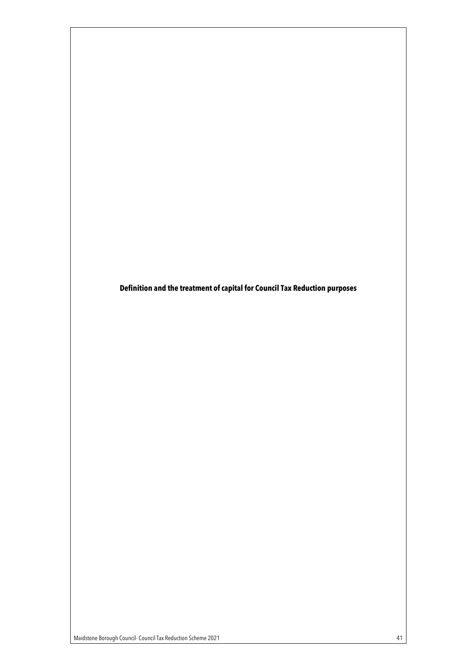**Definition and the treatment of capital for Council Tax Reduction purposes**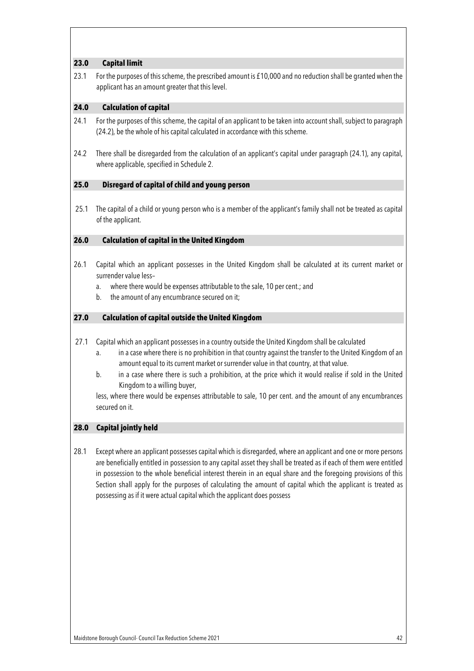### **23.0 Capital limit**

23.1 For the purposes of this scheme, the prescribed amount is £10,000 and no reduction shall be granted when the applicant has an amount greater that this level.

### **24.0 Calculation of capital**

- 24.1 For the purposes of this scheme, the capital of an applicant to be taken into account shall, subject to paragraph (24.2), be the whole of his capital calculated in accordance with this scheme.
- 24.2 There shall be disregarded from the calculation of an applicant's capital under paragraph (24.1), any capital, where applicable, specified in Schedule 2.

### **25.0 Disregard of capital of child and young person**

25.1 The capital of a child or young person who is a member of the applicant's family shall not be treated as capital of the applicant.

## **26.0 Calculation of capital in the United Kingdom**

- 26.1 Capital which an applicant possesses in the United Kingdom shall be calculated at its current market or surrender value less–
	- a. where there would be expenses attributable to the sale, 10 per cent.; and
	- b. the amount of any encumbrance secured on it;

### **27.0 Calculation of capital outside the United Kingdom**

- 27.1 Capital which an applicant possesses in a country outside the United Kingdom shall be calculated
	- a. in a case where there is no prohibition in that country against the transfer to the United Kingdom of an amount equal to its current market or surrender value in that country, at that value.
	- b. in a case where there is such a prohibition, at the price which it would realise if sold in the United Kingdom to a willing buyer,

less, where there would be expenses attributable to sale, 10 per cent. and the amount of any encumbrances secured on it.

#### **28.0 Capital jointly held**

28.1 Except where an applicant possesses capital which is disregarded, where an applicant and one or more persons are beneficially entitled in possession to any capital asset they shall be treated as if each of them were entitled in possession to the whole beneficial interest therein in an equal share and the foregoing provisions of this Section shall apply for the purposes of calculating the amount of capital which the applicant is treated as possessing as if it were actual capital which the applicant does possess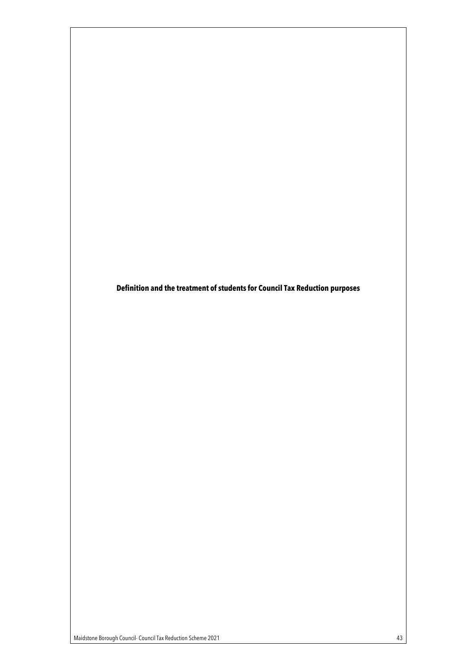**Definition and the treatment of students for Council Tax Reduction purposes**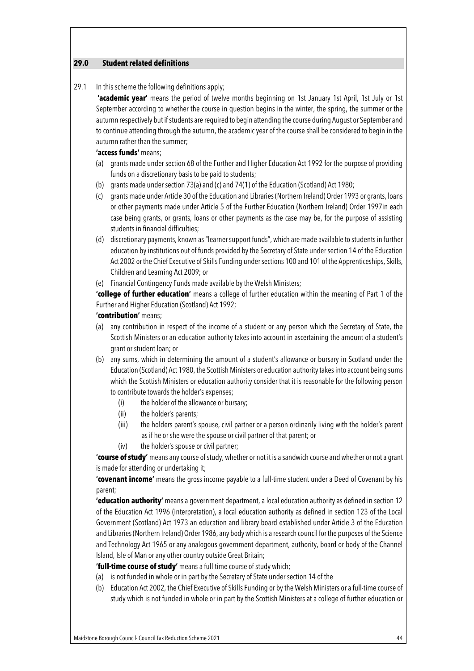#### **29.0 Student related definitions**

### 29.1 In this scheme the following definitions apply;

**'academic year'** means the period of twelve months beginning on 1st January 1st April, 1st July or 1st September according to whether the course in question begins in the winter, the spring, the summer or the autumn respectively but if students are required to begin attending the course during August or September and to continue attending through the autumn, the academic year of the course shall be considered to begin in the autumn rather than the summer;

## **'access funds'** means;

- (a) grants made under section 68 of the Further and Higher Education Act 1992 for the purpose of providing funds on a discretionary basis to be paid to students;
- (b) grants made under section 73(a) and (c) and 74(1) of the Education (Scotland) Act 1980;
- (c) grants made under Article 30 of the Education and Libraries (Northern Ireland) Order 1993 or grants, loans or other payments made under Article 5 of the Further Education (Northern Ireland) Order 1997in each case being grants, or grants, loans or other payments as the case may be, for the purpose of assisting students in financial difficulties;
- (d) discretionary payments, known as "learner support funds", which are made available to students in further education by institutions out of funds provided by the Secretary of State under section 14 of the Education Act 2002 or the Chief Executive of Skills Funding under sections 100 and 101 of the Apprenticeships, Skills, Children and Learning Act 2009; or
- (e) Financial Contingency Funds made available by the Welsh Ministers;

**'college of further education'** means a college of further education within the meaning of Part 1 of the Further and Higher Education (Scotland) Act 1992;

### **'contribution'** means;

- (a) any contribution in respect of the income of a student or any person which the Secretary of State, the Scottish Ministers or an education authority takes into account in ascertaining the amount of a student's grant or student loan; or
- (b) any sums, which in determining the amount of a student's allowance or bursary in Scotland under the Education (Scotland) Act 1980, the Scottish Ministers or education authority takes into account being sums which the Scottish Ministers or education authority consider that it is reasonable for the following person to contribute towards the holder's expenses;
	- (i) the holder of the allowance or bursary;
	- (ii) the holder's parents;
	- (iii) the holders parent's spouse, civil partner or a person ordinarily living with the holder's parent as if he or she were the spouse or civil partner of that parent; or
	- (iv) the holder's spouse or civil partner;

**'course of study'** means any course of study, whether or not it is a sandwich course and whether or not a grant is made for attending or undertaking it;

**'covenant income'** means the gross income payable to a full-time student under a Deed of Covenant by his parent;

**'education authority'** means a government department, a local education authority as defined in section 12 of the Education Act 1996 (interpretation), a local education authority as defined in section 123 of the Local Government (Scotland) Act 1973 an education and library board established under Article 3 of the Education and Libraries (Northern Ireland) Order 1986, any body which is a research council for the purposes of the Science and Technology Act 1965 or any analogous government department, authority, board or body of the Channel Island, Isle of Man or any other country outside Great Britain;

**'full-time course of study'** means a full time course of study which;

- (a) is not funded in whole or in part by the Secretary of State under section 14 of the
- (b) Education Act 2002, the Chief Executive of Skills Funding or by the Welsh Ministers or a full-time course of study which is not funded in whole or in part by the Scottish Ministers at a college of further education or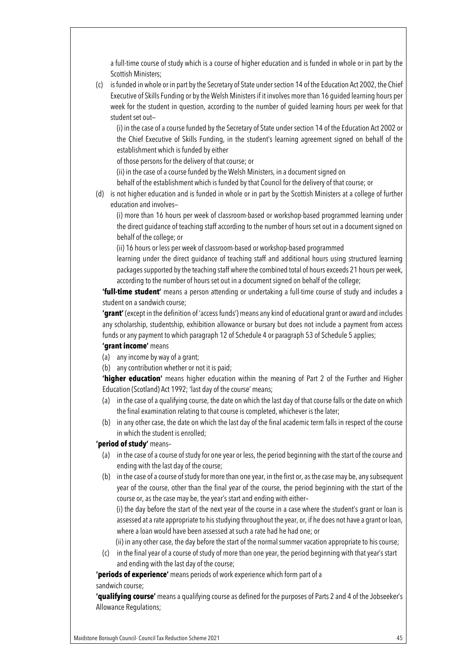a full-time course of study which is a course of higher education and is funded in whole or in part by the Scottish Ministers;

(c) is funded in whole or in part by the Secretary of State under section 14 of the Education Act 2002, the Chief Executive of Skills Funding or by the Welsh Ministers if it involves more than 16 guided learning hours per week for the student in question, according to the number of guided learning hours per week for that student set out—

(i) in the case of a course funded by the Secretary of State under section 14 of the Education Act 2002 or the Chief Executive of Skills Funding, in the student's learning agreement signed on behalf of the establishment which is funded by either

of those persons for the delivery of that course; or

- (ii) in the case of a course funded by the Welsh Ministers, in a document signed on
- behalf of the establishment which is funded by that Council for the delivery of that course; or
- (d) is not higher education and is funded in whole or in part by the Scottish Ministers at a college of further education and involves—

(i) more than 16 hours per week of classroom-based or workshop-based programmed learning under the direct guidance of teaching staff according to the number of hours set out in a document signed on behalf of the college; or

(ii) 16 hours or less per week of classroom-based or workshop-based programmed

learning under the direct guidance of teaching staff and additional hours using structured learning packages supported by the teaching staff where the combined total of hours exceeds 21 hours per week, according to the number of hours set out in a document signed on behalf of the college;

**'full-time student'** means a person attending or undertaking a full-time course of study and includes a student on a sandwich course;

**'grant'** (except in the definition of 'access funds') means any kind of educational grant or award and includes any scholarship, studentship, exhibition allowance or bursary but does not include a payment from access funds or any payment to which paragraph 12 of Schedule 4 or paragraph 53 of Schedule 5 applies;

# **'grant income'** means

- (a) any income by way of a grant;
- (b) any contribution whether or not it is paid;

**'higher education'** means higher education within the meaning of Part 2 of the Further and Higher Education (Scotland) Act 1992; 'last day of the course' means;

- (a) in the case of a qualifying course, the date on which the last day of that course falls or the date on which the final examination relating to that course is completed, whichever is the later;
- (b) in any other case, the date on which the last day of the final academic term falls in respect of the course in which the student is enrolled;

#### **'period of study'** means–

- (a) in the case of a course of study for one year or less, the period beginning with the start of the course and ending with the last day of the course;
- (b) in the case of a course of study for more than one year, in the first or, as the case may be, any subsequent year of the course, other than the final year of the course, the period beginning with the start of the course or, as the case may be, the year's start and ending with either–

(i) the day before the start of the next year of the course in a case where the student's grant or loan is assessed at a rate appropriate to his studying throughout the year, or, if he does not have a grant or loan, where a loan would have been assessed at such a rate had he had one; or

(ii) in any other case, the day before the start of the normalsummer vacation appropriate to his course;

(c) in the final year of a course of study of more than one year, the period beginning with that year's start and ending with the last day of the course;

**'periods of experience'** means periods of work experience which form part of a

#### sandwich course;

**'qualifying course'** means a qualifying course as defined for the purposes of Parts 2 and 4 of the Jobseeker's Allowance Regulations;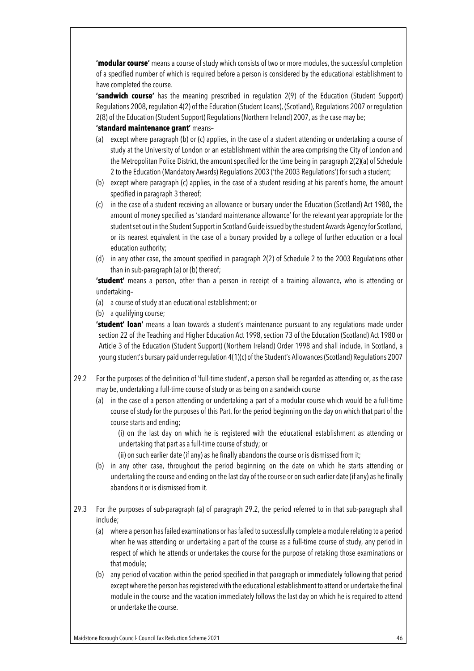**'modular course'** means a course of study which consists of two or more modules, the successful completion of a specified number of which is required before a person is considered by the educational establishment to have completed the course.

**'sandwich course'** has the meaning prescribed in regulation 2(9) of the Education (Student Support) Regulations 2008, regulation 4(2) of the Education (Student Loans), (Scotland), Regulations 2007 or regulation 2(8) of the Education (Student Support) Regulations (Northern Ireland) 2007, as the case may be;

### **'standard maintenance grant'** means–

- (a) except where paragraph (b) or (c) applies, in the case of a student attending or undertaking a course of study at the University of London or an establishment within the area comprising the City of London and the Metropolitan Police District, the amount specified for the time being in paragraph 2(2)(a) of Schedule 2 to the Education (Mandatory Awards) Regulations 2003 ('the 2003 Regulations') for such a student;
- (b) except where paragraph (c) applies, in the case of a student residing at his parent's home, the amount specified in paragraph 3 thereof;
- (c) in the case of a student receiving an allowance or bursary under the Education (Scotland) Act 1980**,** the amount of money specified as 'standard maintenance allowance' for the relevant year appropriate for the student set out in the Student Support in Scotland Guide issued by the student Awards Agency for Scotland, or its nearest equivalent in the case of a bursary provided by a college of further education or a local education authority;
- (d) in any other case, the amount specified in paragraph 2(2) of Schedule 2 to the 2003 Regulations other than in sub-paragraph (a) or (b) thereof;

**'student'** means a person, other than a person in receipt of a training allowance, who is attending or undertaking–

- (a) a course of study at an educational establishment; or
- (b) a qualifying course;

**'student' loan'** means a loan towards a student's maintenance pursuant to any regulations made under section 22 of the Teaching and Higher Education Act 1998, section 73 of the Education (Scotland) Act 1980 or Article 3 of the Education (Student Support) (Northern Ireland) Order 1998 and shall include, in Scotland, a young student's bursary paid under regulation 4(1)(c) of the Student's Allowances (Scotland) Regulations 2007

- 29.2 For the purposes of the definition of 'full-time student', a person shall be regarded as attending or, as the case may be, undertaking a full-time course of study or as being on a sandwich course
	- (a) in the case of a person attending or undertaking a part of a modular course which would be a full-time course of study for the purposes of this Part, for the period beginning on the day on which that part of the course starts and ending;

(i) on the last day on which he is registered with the educational establishment as attending or undertaking that part as a full-time course of study; or

- (ii) on such earlier date (if any) as he finally abandons the course or is dismissed from it;
- (b) in any other case, throughout the period beginning on the date on which he starts attending or undertaking the course and ending on the last day of the course or on such earlier date (if any) as he finally abandons it or is dismissed from it.
- 29.3 For the purposes of sub-paragraph (a) of paragraph 29.2, the period referred to in that sub-paragraph shall include;
	- (a) where a person has failed examinations or has failed to successfully complete a module relating to a period when he was attending or undertaking a part of the course as a full-time course of study, any period in respect of which he attends or undertakes the course for the purpose of retaking those examinations or that module;
	- (b) any period of vacation within the period specified in that paragraph or immediately following that period except where the person has registered with the educational establishment to attend or undertake the final module in the course and the vacation immediately follows the last day on which he is required to attend or undertake the course.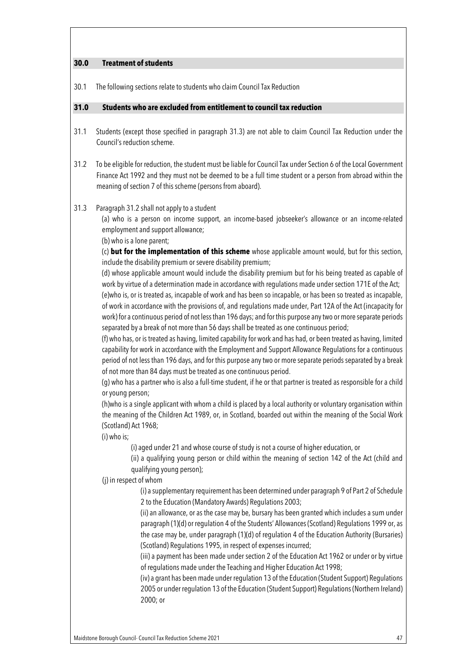#### **30.0 Treatment of students**

30.1 The following sections relate to students who claim Council Tax Reduction

#### **31.0 Students who are excluded from entitlement to council tax reduction**

- 31.1 Students (except those specified in paragraph 31.3) are not able to claim Council Tax Reduction under the Council's reduction scheme.
- 31.2 To be eligible for reduction, the student must be liable for Council Tax under Section 6 of the Local Government Finance Act 1992 and they must not be deemed to be a full time student or a person from abroad within the meaning of section 7 of this scheme (persons from aboard).
- 31.3 Paragraph 31.2 shall not apply to a student

(a) who is a person on income support, an income-based jobseeker's allowance or an income-related employment and support allowance;

(b) who is a lone parent;

(c) **but for the implementation of this scheme** whose applicable amount would, but for this section, include the disability premium or severe disability premium;

(d) whose applicable amount would include the disability premium but for his being treated as capable of work byvirtue of a determination made in accordance with regulations made under section 171E of the Act; (e)who is, or is treated as, incapable of work and has been so incapable, or has been so treated as incapable, of work in accordance with the provisions of, and regulations made under, Part 12A of the Act (incapacity for work) for a continuous period of not less than 196 days; and for this purpose any two or more separate periods separated by a break of not more than 56 days shall be treated as one continuous period;

(f) who has, or is treated as having, limited capability for work and has had, or been treated as having, limited capability for work in accordance with the Employment and Support Allowance Regulations for a continuous period of not less than 196 days, and for this purpose any two or more separate periods separated by a break of not more than 84 days must be treated as one continuous period.

(g) who has a partner who is also a full-time student, if he or that partner is treated as responsible for a child or young person;

(h)who is a single applicant with whom a child is placed by a local authority or voluntary organisation within the meaning of the Children Act 1989, or, in Scotland, boarded out within the meaning of the Social Work (Scotland) Act 1968;

(i) who is;

(i) aged under 21 and whose course of study is not a course of higher education, or

(ii) a qualifying young person or child within the meaning of section 142 of the Act (child and qualifying young person);

(j) in respect of whom

(i) a supplementary requirement has been determined under paragraph 9 of Part 2 of Schedule 2 to the Education (Mandatory Awards) Regulations 2003;

(ii) an allowance, or as the case may be, bursary has been granted which includes a sum under paragraph (1)(d) or regulation 4 of the Students' Allowances (Scotland) Regulations 1999 or, as the case may be, under paragraph (1)(d) of regulation 4 of the Education Authority (Bursaries) (Scotland) Regulations 1995, in respect of expenses incurred;

(iii) a payment has been made under section 2 of the Education Act 1962 or under or by virtue of regulations made under the Teaching and Higher Education Act 1998;

(iv) a grant has been made under regulation 13 of the Education (Student Support) Regulations 2005 or under regulation 13 of the Education (Student Support) Regulations (Northern Ireland) 2000; or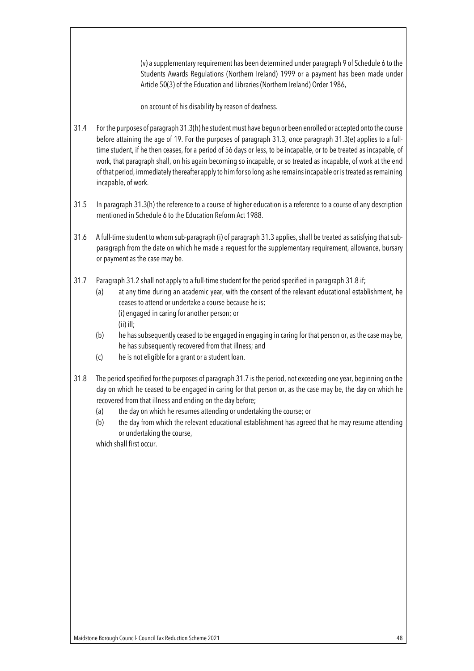(v) a supplementary requirement has been determined under paragraph 9 of Schedule 6 to the Students Awards Regulations (Northern Ireland) 1999 or a payment has been made under Article 50(3) of the Education and Libraries (Northern Ireland) Order 1986,

on account of his disability by reason of deafness.

31.4 For the purposes of paragraph 31.3(h) he student must have begun or been enrolled or accepted onto the course before attaining the age of 19. For the purposes of paragraph 31.3, once paragraph 31.3(e) applies to a fulltime student, if he then ceases, for a period of 56 days or less, to be incapable, or to be treated as incapable, of work, that paragraph shall, on his again becoming so incapable, or so treated as incapable, of work at the end of that period, immediately thereafter apply to him for so long as he remains incapable or is treated as remaining incapable, of work.

- 31.5 In paragraph 31.3(h) the reference to a course of higher education is a reference to a course of any description mentioned in Schedule 6 to the Education Reform Act 1988.
- 31.6 A full-time student to whom sub-paragraph (i) of paragraph 31.3 applies, shall be treated as satisfying that subparagraph from the date on which he made a request for the supplementary requirement, allowance, bursary or payment as the case may be.
- 31.7 Paragraph 31.2 shall not apply to a full-time student for the period specified in paragraph 31.8 if;
	- (a) at any time during an academic year, with the consent of the relevant educational establishment, he ceases to attend or undertake a course because he is; (i) engaged in caring for another person; or (ii) ill;
	- (b) he has subsequently ceased to be engaged in engaging in caring for that person or, as the case may be, he has subsequently recovered from that illness; and
	- (c) he is not eligible for a grant or a student loan.
- 31.8 The period specified for the purposes of paragraph 31.7 is the period, not exceeding one year, beginning on the day on which he ceased to be engaged in caring for that person or, as the case may be, the day on which he recovered from that illness and ending on the day before;
	- (a) the day on which he resumes attending or undertaking the course; or
	- (b) the day from which the relevant educational establishment has agreed that he may resume attending or undertaking the course,

which shall first occur.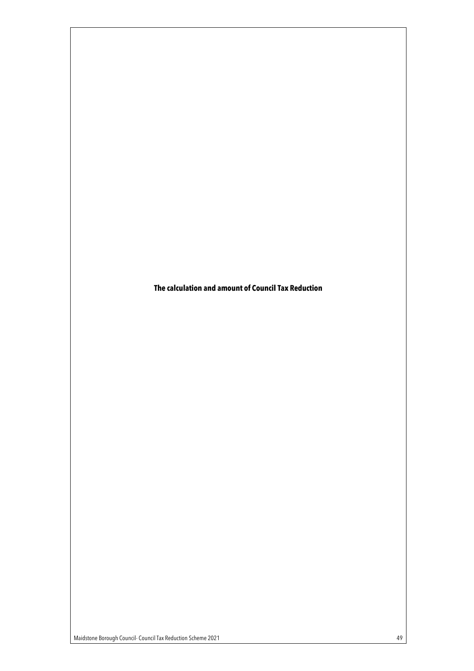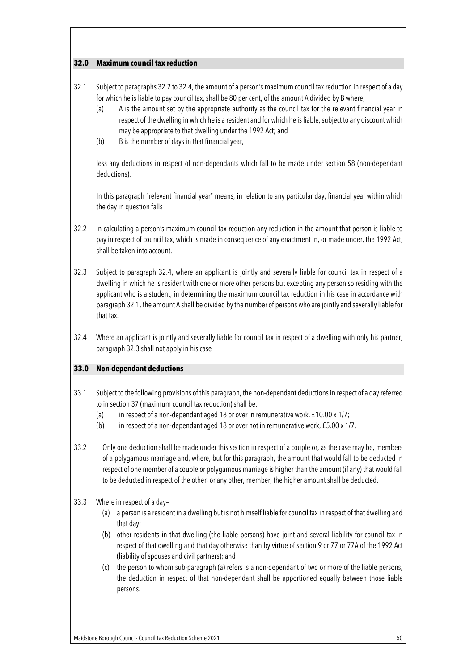### **32.0 Maximum council tax reduction**

- 32.1 Subject to paragraphs 32.2 to 32.4, the amount of a person's maximum council tax reduction in respect of a day for which he is liable to pay council tax, shall be 80 per cent, of the amount A divided by B where;
	- (a) A is the amount set by the appropriate authority as the council tax for the relevant financial year in respect of the dwelling in which he is a resident and for which he is liable, subject to any discount which may be appropriate to that dwelling under the 1992 Act; and
	- (b) B is the number of days in that financial year,

less any deductions in respect of non-dependants which fall to be made under section 58 (non-dependant deductions).

In this paragraph "relevant financial year" means, in relation to any particular day, financial year within which the day in question falls

- 32.2 In calculating a person's maximum council tax reduction any reduction in the amount that person is liable to pay in respect of council tax, which is made in consequence of any enactment in, or made under, the 1992 Act, shall be taken into account.
- 32.3 Subject to paragraph 32.4, where an applicant is jointly and severally liable for council tax in respect of a dwelling in which he is resident with one or more other persons but excepting any person so residing with the applicant who is a student, in determining the maximum council tax reduction in his case in accordance with paragraph 32.1, the amount A shall be divided by the number of persons who are jointly and severally liable for that tax.
- 32.4 Where an applicant is jointly and severally liable for council tax in respect of a dwelling with only his partner, paragraph 32.3 shall not apply in his case

### **33.0 Non-dependant deductions**

- 33.1 Subject to the following provisions of this paragraph, the non-dependant deductions in respect of a day referred to in section 37 (maximum council tax reduction) shall be:
	- (a) in respect of a non-dependant aged 18 or over in remunerative work,  $£10.00 \times 1/7$ ;
	- (b) in respect of a non-dependant aged 18 or over not in remunerative work, £5.00 x 1/7.
- 33.2 Only one deduction shall be made under this section in respect of a couple or, as the case may be, members of a polygamous marriage and, where, but for this paragraph, the amount that would fall to be deducted in respect of one member of a couple or polygamous marriage is higher than the amount (if any) that would fall to be deducted in respect of the other, or any other, member, the higher amount shall be deducted.
- 33.3 Where in respect of a day–
	- (a) a person is a resident in a dwelling but is not himself liable for council tax in respect of that dwelling and that day;
	- (b) other residents in that dwelling (the liable persons) have joint and several liability for council tax in respect of that dwelling and that day otherwise than by virtue of section 9 or 77 or 77A of the 1992 Act (liability of spouses and civil partners); and
	- (c) the person to whom sub-paragraph (a) refers is a non-dependant of two or more of the liable persons, the deduction in respect of that non-dependant shall be apportioned equally between those liable persons.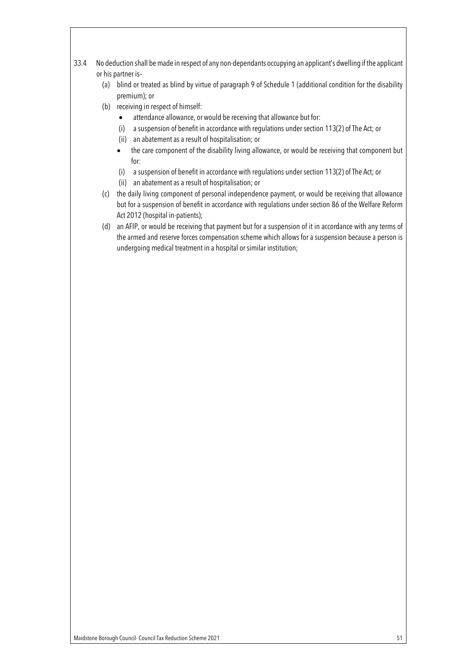- 33.4 No deduction shall be made in respect of any non-dependants occupying an applicant's dwelling if the applicant or his partner is–
	- (a) blind or treated as blind by virtue of paragraph 9 of Schedule 1 (additional condition for the disability premium); or
	- (b) receiving in respect of himself:
		- attendance allowance, or would be receiving that allowance but for:
		- (i) a suspension of benefit in accordance with regulations under section 113(2) of The Act; or
		- (ii) an abatement as a result of hospitalisation; or
		- the care component of the disability living allowance, or would be receiving that component but for:
		- (i) a suspension of benefit in accordance with regulations under section 113(2) of The Act; or
		- (ii) an abatement as a result of hospitalisation; or
	- (c) the daily living component of personal independence payment, or would be receiving that allowance but for a suspension of benefit in accordance with regulations under section 86 of the Welfare Reform Act 2012 (hospital in-patients);
	- (d) an AFIP, or would be receiving that payment but for a suspension of it in accordance with any terms of the armed and reserve forces compensation scheme which allows for a suspension because a person is undergoing medical treatment in a hospital or similar institution;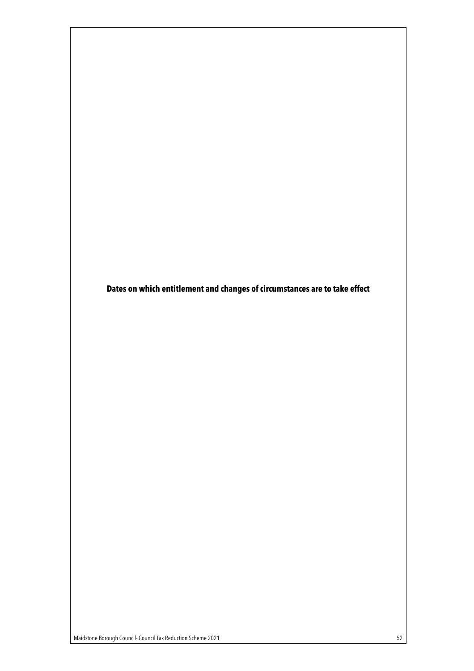**Dates on which entitlement and changes of circumstances are to take effect**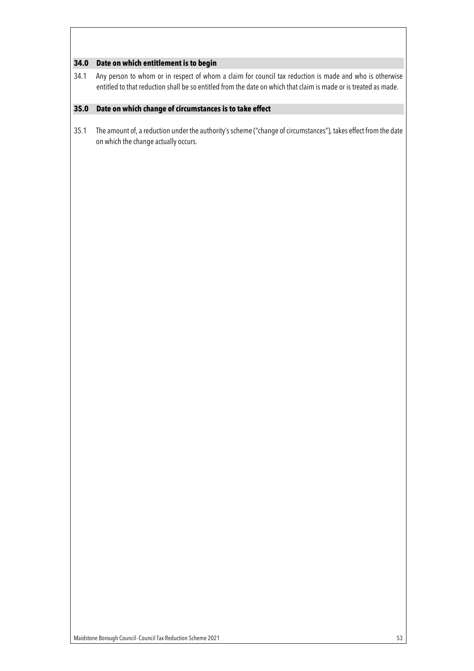### **34.0 Date on which entitlement is to begin**

34.1 Any person to whom or in respect of whom a claim for council tax reduction is made and who is otherwise entitled to that reduction shall be so entitled from the date on which that claim is made or is treated as made.

#### **35.0 Date on which change of circumstances is to take effect**

35.1 The amount of, a reduction under the authority's scheme ("change of circumstances"), takes effect from the date on which the change actually occurs.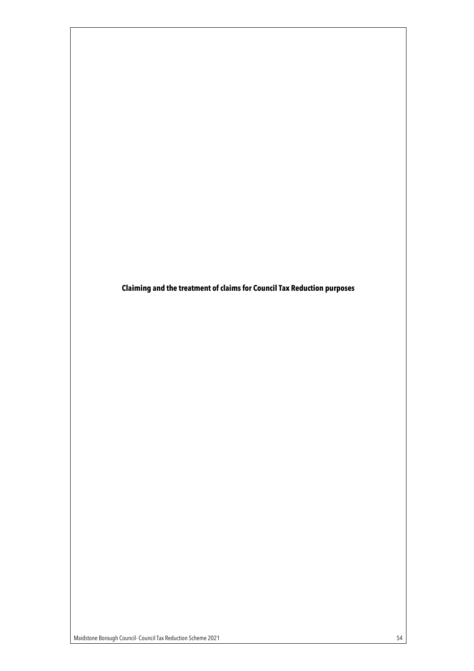**Claiming and the treatment of claims for Council Tax Reduction purposes**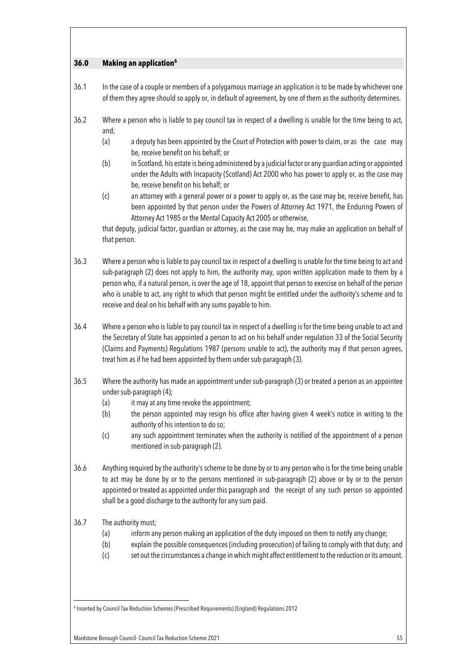### **36.0 Making an application6**

- 36.1 In the case of a couple or members of a polygamous marriage an application is to be made by whichever one of them they agree should so apply or, in default of agreement, by one of them as the authority determines.
- 36.2 Where a person who is liable to pay council tax in respect of a dwelling is unable for the time being to act, and;
	- (a) a deputy has been appointed by the Court of Protection with power to claim, or as the case may be, receive benefit on his behalf; or
	- (b) in Scotland, his estate is being administered by a judicial factor or any guardian acting or appointed under the Adults with Incapacity (Scotland) Act 2000 who has power to apply or, as the case may be, receive benefit on his behalf; or
	- (c) an attorney with a general power or a power to apply or, as the case may be, receive benefit, has been appointed by that person under the Powers of Attorney Act 1971, the Enduring Powers of Attorney Act 1985 or the Mental Capacity Act 2005 or otherwise,

that deputy, judicial factor, guardian or attorney, as the case may be, may make an application on behalf of that person.

- 36.3 Where a person who is liable to pay council tax in respect of a dwelling is unable for the time being to act and sub-paragraph (2) does not apply to him, the authority may, upon written application made to them by a person who, if a natural person, is over the age of 18, appoint that person to exercise on behalf of the person who is unable to act, any right to which that person might be entitled under the authority's scheme and to receive and deal on his behalf with any sums payable to him.
- 36.4 Where a person who is liable to pay council tax in respect of a dwelling is for the time being unable to act and the Secretary of State has appointed a person to act on his behalf under regulation 33 of the Social Security (Claims and Payments) Regulations 1987 (persons unable to act), the authority may if that person agrees, treat him as if he had been appointed by them under sub-paragraph (3).
- 36.5 Where the authority has made an appointment under sub-paragraph (3) or treated a person as an appointee under sub-paragraph (4);
	- (a) it may at any time revoke the appointment;
	- (b) the person appointed may resign his office after having given 4 week's notice in writing to the authority of his intention to do so;
	- (c) any such appointment terminates when the authority is notified of the appointment of a person mentioned in sub-paragraph (2).
- 36.6 Anything required by the authority's scheme to be done by or to any person who is for the time being unable to act may be done by or to the persons mentioned in sub-paragraph (2) above or by or to the person appointed or treated as appointed under this paragraph and the receipt of any such person so appointed shall be a good discharge to the authority for any sum paid.
- 36.7 The authority must;
	- (a) inform any person making an application of the duty imposed on them to notify any change;
	- (b) explain the possible consequences (including prosecution) of failing to comply with that duty; and
	- (c) set out the circumstances a change in which might affect entitlement to the reduction or its amount.

Maidstone Borough Council- Council Tax Reduction Scheme 2021 55

<sup>6</sup> Inserted by Council Tax Reduction Schemes (Prescribed Requirements) (England) Regulations 2012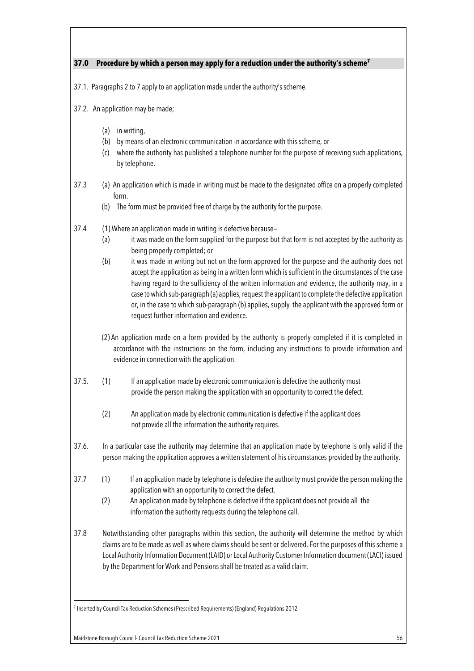| 37.0  |                                                                                                                                                                                                                                                                                                                                                                                                                    | Procedure by which a person may apply for a reduction under the authority's scheme <sup>7</sup>                                                                                                                                                                                                                                                                                                                                                                                                                                                                                                                                                                                                                                                                                  |  |  |
|-------|--------------------------------------------------------------------------------------------------------------------------------------------------------------------------------------------------------------------------------------------------------------------------------------------------------------------------------------------------------------------------------------------------------------------|----------------------------------------------------------------------------------------------------------------------------------------------------------------------------------------------------------------------------------------------------------------------------------------------------------------------------------------------------------------------------------------------------------------------------------------------------------------------------------------------------------------------------------------------------------------------------------------------------------------------------------------------------------------------------------------------------------------------------------------------------------------------------------|--|--|
|       | 37.1. Paragraphs 2 to 7 apply to an application made under the authority's scheme.                                                                                                                                                                                                                                                                                                                                 |                                                                                                                                                                                                                                                                                                                                                                                                                                                                                                                                                                                                                                                                                                                                                                                  |  |  |
|       |                                                                                                                                                                                                                                                                                                                                                                                                                    | 37.2. An application may be made;                                                                                                                                                                                                                                                                                                                                                                                                                                                                                                                                                                                                                                                                                                                                                |  |  |
|       | (a)<br>(b)<br>(c)                                                                                                                                                                                                                                                                                                                                                                                                  | in writing,<br>by means of an electronic communication in accordance with this scheme, or<br>where the authority has published a telephone number for the purpose of receiving such applications,<br>by telephone.                                                                                                                                                                                                                                                                                                                                                                                                                                                                                                                                                               |  |  |
| 37.3  |                                                                                                                                                                                                                                                                                                                                                                                                                    | (a) An application which is made in writing must be made to the designated office on a properly completed<br>form.                                                                                                                                                                                                                                                                                                                                                                                                                                                                                                                                                                                                                                                               |  |  |
|       |                                                                                                                                                                                                                                                                                                                                                                                                                    | (b) The form must be provided free of charge by the authority for the purpose.                                                                                                                                                                                                                                                                                                                                                                                                                                                                                                                                                                                                                                                                                                   |  |  |
| 37.4  | (a)<br>(b)                                                                                                                                                                                                                                                                                                                                                                                                         | (1) Where an application made in writing is defective because-<br>it was made on the form supplied for the purpose but that form is not accepted by the authority as<br>being properly completed; or<br>it was made in writing but not on the form approved for the purpose and the authority does not<br>accept the application as being in a written form which is sufficient in the circumstances of the case<br>having regard to the sufficiency of the written information and evidence, the authority may, in a<br>case to which sub-paragraph (a) applies, request the applicant to complete the defective application<br>or, in the case to which sub-paragraph (b) applies, supply the applicant with the approved form or<br>request further information and evidence. |  |  |
|       |                                                                                                                                                                                                                                                                                                                                                                                                                    | (2) An application made on a form provided by the authority is properly completed if it is completed in<br>accordance with the instructions on the form, including any instructions to provide information and<br>evidence in connection with the application.                                                                                                                                                                                                                                                                                                                                                                                                                                                                                                                   |  |  |
| 37.5. | (1)                                                                                                                                                                                                                                                                                                                                                                                                                | If an application made by electronic communication is defective the authority must<br>provide the person making the application with an opportunity to correct the defect.                                                                                                                                                                                                                                                                                                                                                                                                                                                                                                                                                                                                       |  |  |
|       | (2)                                                                                                                                                                                                                                                                                                                                                                                                                | An application made by electronic communication is defective if the applicant does<br>not provide all the information the authority requires.                                                                                                                                                                                                                                                                                                                                                                                                                                                                                                                                                                                                                                    |  |  |
| 37.6. |                                                                                                                                                                                                                                                                                                                                                                                                                    | In a particular case the authority may determine that an application made by telephone is only valid if the<br>person making the application approves a written statement of his circumstances provided by the authority.                                                                                                                                                                                                                                                                                                                                                                                                                                                                                                                                                        |  |  |
| 37.7  | (1)                                                                                                                                                                                                                                                                                                                                                                                                                | If an application made by telephone is defective the authority must provide the person making the<br>application with an opportunity to correct the defect.                                                                                                                                                                                                                                                                                                                                                                                                                                                                                                                                                                                                                      |  |  |
|       | (2)                                                                                                                                                                                                                                                                                                                                                                                                                | An application made by telephone is defective if the applicant does not provide all the<br>information the authority requests during the telephone call.                                                                                                                                                                                                                                                                                                                                                                                                                                                                                                                                                                                                                         |  |  |
| 37.8  | Notwithstanding other paragraphs within this section, the authority will determine the method by which<br>claims are to be made as well as where claims should be sent or delivered. For the purposes of this scheme a<br>Local Authority Information Document (LAID) or Local Authority Customer Information document (LACI) issued<br>by the Department for Work and Pensions shall be treated as a valid claim. |                                                                                                                                                                                                                                                                                                                                                                                                                                                                                                                                                                                                                                                                                                                                                                                  |  |  |
|       |                                                                                                                                                                                                                                                                                                                                                                                                                    | <sup>7</sup> Inserted by Council Tax Reduction Schemes (Prescribed Requirements) (England) Regulations 2012                                                                                                                                                                                                                                                                                                                                                                                                                                                                                                                                                                                                                                                                      |  |  |

Maidstone Borough Council- Council Tax Reduction Scheme 2021 56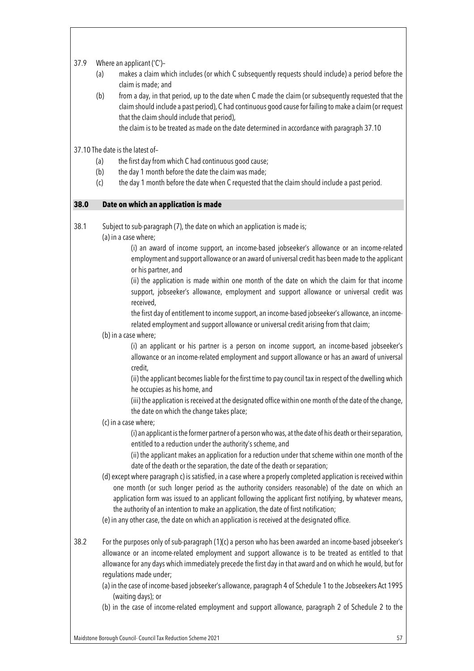37.9 Where an applicant ('C')–

- (a) makes a claim which includes (or which C subsequently requests should include) a period before the claim is made; and
- (b) from a day, in that period, up to the date when C made the claim (or subsequently requested that the claim should include a past period), C had continuous good cause for failing to make a claim (or request that the claim should include that period),
	- the claim is to be treated as made on the date determined in accordance with paragraph 37.10

37.10 The date is the latest of–

- (a) the first day from which C had continuous good cause;
- (b) the day 1 month before the date the claim was made;
- (c) the day 1 month before the date when C requested that the claim should include a past period.

### **38.0 Date on which an application is made**

38.1 Subject to sub-paragraph (7), the date on which an application is made is;

(a) in a case where;

- (i) an award of income support, an income-based jobseeker's allowance or an income-related employment and support allowance or an award of universal credit has been made to the applicant or his partner, and
- (ii) the application is made within one month of the date on which the claim for that income support, jobseeker's allowance, employment and support allowance or universal credit was received,
- the first day of entitlement to income support, an income-based jobseeker's allowance, an incomerelated employment and support allowance or universal credit arising from that claim;
- (b) in a case where;
	- (i) an applicant or his partner is a person on income support, an income-based jobseeker's allowance or an income-related employment and support allowance or has an award of universal credit,
	- (ii) the applicant becomes liable for the first time to pay council tax in respect of the dwelling which he occupies as his home, and
	- (iii) the application is received at the designated office within one month of the date of the change, the date on which the change takes place;

# (c) in a case where;

- (i) an applicant is the former partner of a person whowas, at the date of his death or their separation, entitled to a reduction under the authority's scheme, and
- (ii) the applicant makes an application for a reduction under that scheme within one month of the date of the death or the separation, the date of the death or separation;
- (d) except where paragraph c) is satisfied, in a case where a properly completed application is received within one month (or such longer period as the authority considers reasonable) of the date on which an application form was issued to an applicant following the applicant first notifying, by whatever means, the authority of an intention to make an application, the date of first notification;
- (e) in any other case, the date on which an application is received at the designated office.
- 38.2 For the purposes only of sub-paragraph (1)(c) a person who has been awarded an income-based jobseeker's allowance or an income-related employment and support allowance is to be treated as entitled to that allowance for any days which immediately precede the first day in that award and on which he would, but for regulations made under;
	- (a) in the case of income-based jobseeker's allowance, paragraph 4 of Schedule 1 to the Jobseekers Act 1995 (waiting days); or
	- (b) in the case of income-related employment and support allowance, paragraph 2 of Schedule 2 to the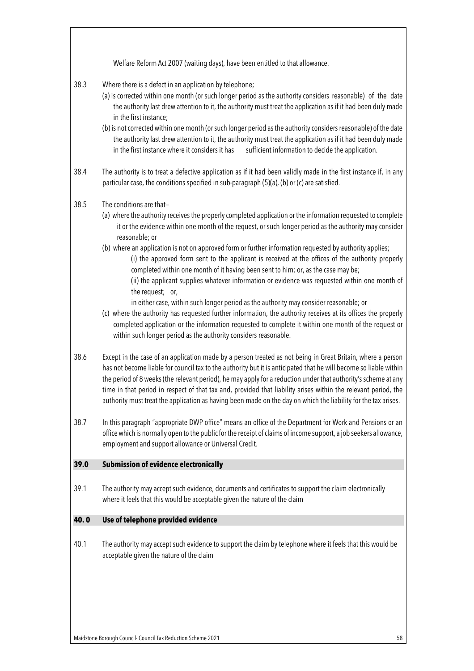|      | Welfare Reform Act 2007 (waiting days), have been entitled to that allowance.                                                                                                                                                                                                                                                                                                                                                                                                                                                                                                                                                                                                                                                                                                                                                                                                                                                                                                                                                                                                          |
|------|----------------------------------------------------------------------------------------------------------------------------------------------------------------------------------------------------------------------------------------------------------------------------------------------------------------------------------------------------------------------------------------------------------------------------------------------------------------------------------------------------------------------------------------------------------------------------------------------------------------------------------------------------------------------------------------------------------------------------------------------------------------------------------------------------------------------------------------------------------------------------------------------------------------------------------------------------------------------------------------------------------------------------------------------------------------------------------------|
| 38.3 | Where there is a defect in an application by telephone;<br>(a) is corrected within one month (or such longer period as the authority considers reasonable) of the date<br>the authority last drew attention to it, the authority must treat the application as if it had been duly made<br>in the first instance;<br>(b) is not corrected within one month (or such longer period as the authority considers reasonable) of the date<br>the authority last drew attention to it, the authority must treat the application as if it had been duly made<br>in the first instance where it considers it has<br>sufficient information to decide the application.                                                                                                                                                                                                                                                                                                                                                                                                                          |
| 38.4 | The authority is to treat a defective application as if it had been validly made in the first instance if, in any<br>particular case, the conditions specified in sub-paragraph (5)(a), (b) or (c) are satisfied.                                                                                                                                                                                                                                                                                                                                                                                                                                                                                                                                                                                                                                                                                                                                                                                                                                                                      |
| 38.5 | The conditions are that-<br>(a) where the authority receives the properly completed application or the information requested to complete<br>it or the evidence within one month of the request, or such longer period as the authority may consider<br>reasonable; or<br>(b) where an application is not on approved form or further information requested by authority applies;<br>(i) the approved form sent to the applicant is received at the offices of the authority properly<br>completed within one month of it having been sent to him; or, as the case may be;<br>(ii) the applicant supplies whatever information or evidence was requested within one month of<br>the request; or,<br>in either case, within such longer period as the authority may consider reasonable; or<br>(c) where the authority has requested further information, the authority receives at its offices the properly<br>completed application or the information requested to complete it within one month of the request or<br>within such longer period as the authority considers reasonable. |
| 38.6 | Except in the case of an application made by a person treated as not being in Great Britain, where a person<br>has not become liable for council tax to the authority but it is anticipated that he will become so liable within<br>the period of 8 weeks (the relevant period), he may apply for a reduction under that authority's scheme at any<br>time in that period in respect of that tax and, provided that liability arises within the relevant period, the<br>authority must treat the application as having been made on the day on which the liability for the tax arises.                                                                                                                                                                                                                                                                                                                                                                                                                                                                                                 |
| 38.7 | In this paragraph "appropriate DWP office" means an office of the Department for Work and Pensions or an<br>office which is normally open to the public for the receipt of claims of income support, a job seekers allowance,<br>employment and support allowance or Universal Credit.                                                                                                                                                                                                                                                                                                                                                                                                                                                                                                                                                                                                                                                                                                                                                                                                 |
| 39.0 | <b>Submission of evidence electronically</b>                                                                                                                                                                                                                                                                                                                                                                                                                                                                                                                                                                                                                                                                                                                                                                                                                                                                                                                                                                                                                                           |
| 39.1 | The authority may accept such evidence, documents and certificates to support the claim electronically<br>where it feels that this would be acceptable given the nature of the claim                                                                                                                                                                                                                                                                                                                                                                                                                                                                                                                                                                                                                                                                                                                                                                                                                                                                                                   |
| 40.0 | Use of telephone provided evidence                                                                                                                                                                                                                                                                                                                                                                                                                                                                                                                                                                                                                                                                                                                                                                                                                                                                                                                                                                                                                                                     |
| 40.1 | The authority may accept such evidence to support the claim by telephone where it feels that this would be<br>acceptable given the nature of the claim                                                                                                                                                                                                                                                                                                                                                                                                                                                                                                                                                                                                                                                                                                                                                                                                                                                                                                                                 |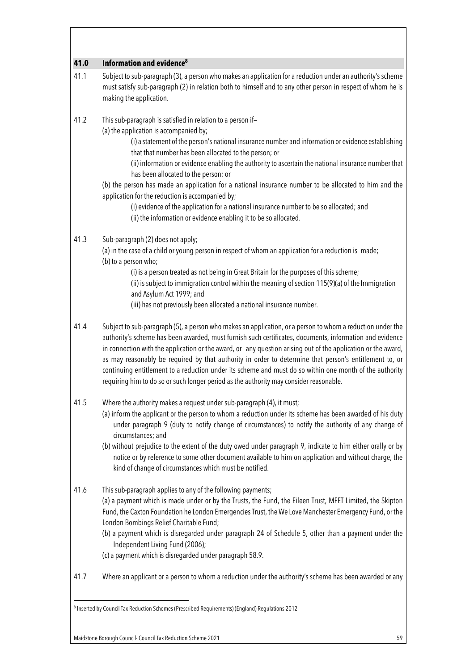| 41.0 | Information and evidence <sup>8</sup>                                                                                                                                                                                                                                                                                                                                                                                                                                                                                                                                                                                                                                                                                                           |
|------|-------------------------------------------------------------------------------------------------------------------------------------------------------------------------------------------------------------------------------------------------------------------------------------------------------------------------------------------------------------------------------------------------------------------------------------------------------------------------------------------------------------------------------------------------------------------------------------------------------------------------------------------------------------------------------------------------------------------------------------------------|
| 41.1 | Subject to sub-paragraph (3), a person who makes an application for a reduction under an authority's scheme<br>must satisfy sub-paragraph (2) in relation both to himself and to any other person in respect of whom he is<br>making the application.                                                                                                                                                                                                                                                                                                                                                                                                                                                                                           |
| 41.2 | This sub-paragraph is satisfied in relation to a person if-<br>(a) the application is accompanied by;<br>(i) a statement of the person's national insurance number and information or evidence establishing<br>that that number has been allocated to the person; or<br>(ii) information or evidence enabling the authority to ascertain the national insurance number that<br>has been allocated to the person; or<br>(b) the person has made an application for a national insurance number to be allocated to him and the<br>application for the reduction is accompanied by;<br>(i) evidence of the application for a national insurance number to be so allocated; and<br>(ii) the information or evidence enabling it to be so allocated. |
| 41.3 | Sub-paragraph (2) does not apply;<br>(a) in the case of a child or young person in respect of whom an application for a reduction is made;<br>(b) to a person who;<br>(i) is a person treated as not being in Great Britain for the purposes of this scheme;<br>(ii) is subject to immigration control within the meaning of section 115(9)(a) of the Immigration<br>and Asylum Act 1999; and<br>(iii) has not previously been allocated a national insurance number.                                                                                                                                                                                                                                                                           |
| 41.4 | Subject to sub-paragraph (5), a person who makes an application, or a person to whom a reduction under the<br>authority's scheme has been awarded, must furnish such certificates, documents, information and evidence<br>in connection with the application or the award, or any question arising out of the application or the award,<br>as may reasonably be required by that authority in order to determine that person's entitlement to, or<br>continuing entitlement to a reduction under its scheme and must do so within one month of the authority<br>requiring him to do so or such longer period as the authority may consider reasonable.                                                                                          |
| 41.5 | Where the authority makes a request under sub-paragraph (4), it must;<br>(a) inform the applicant or the person to whom a reduction under its scheme has been awarded of his duty<br>under paragraph 9 (duty to notify change of circumstances) to notify the authority of any change of<br>circumstances; and<br>(b) without prejudice to the extent of the duty owed under paragraph 9, indicate to him either orally or by<br>notice or by reference to some other document available to him on application and without charge, the<br>kind of change of circumstances which must be notified.                                                                                                                                               |
| 41.6 | This sub-paragraph applies to any of the following payments;<br>(a) a payment which is made under or by the Trusts, the Fund, the Eileen Trust, MFET Limited, the Skipton<br>Fund, the Caxton Foundation he London Emergencies Trust, the We Love Manchester Emergency Fund, or the<br>London Bombings Relief Charitable Fund;<br>(b) a payment which is disregarded under paragraph 24 of Schedule 5, other than a payment under the<br>Independent Living Fund (2006);<br>(c) a payment which is disregarded under paragraph 58.9.                                                                                                                                                                                                            |
| 41.7 | Where an applicant or a person to whom a reduction under the authority's scheme has been awarded or any                                                                                                                                                                                                                                                                                                                                                                                                                                                                                                                                                                                                                                         |

 $^8$  Inserted by Council Tax Reduction Schemes (Prescribed Requirements) (England) Regulations 2012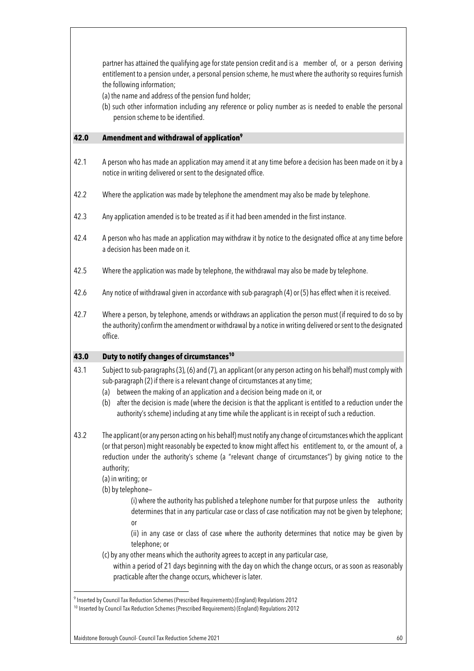partner has attained the qualifying age for state pension credit and is a member of, or a person deriving entitlement to a pension under, a personal pension scheme, he must where the authority so requires furnish the following information;

(a) the name and address of the pension fund holder;

(b) such other information including any reference or policy number as is needed to enable the personal pension scheme to be identified.

### **42.0 Amendment and withdrawal of application9**

- 42.1 A person who has made an application may amend it at any time before a decision has been made on it by a notice in writing delivered or sent to the designated office.
- 42.2 Where the application was made by telephone the amendment may also be made by telephone.
- 42.3 Any application amended is to be treated as if it had been amended in the first instance.
- 42.4 A person who has made an application may withdraw it by notice to the designated office at any time before a decision has been made on it.
- 42.5 Where the application was made by telephone, the withdrawal may also be made by telephone.
- 42.6 Any notice of withdrawal given in accordance with sub-paragraph (4) or (5) has effect when it is received.
- 42.7 Where a person, by telephone, amends or withdraws an application the person must (if required to do so by the authority) confirm the amendment or withdrawal by a notice in writing delivered or sent to the designated office.

#### **43.0 Duty to notify changes of circumstances10**

- 43.1 Subject to sub-paragraphs (3), (6) and (7), an applicant (or any person acting on his behalf) must comply with sub-paragraph (2) if there is a relevant change of circumstances at any time;
	- (a) between the making of an application and a decision being made on it, or
	- (b) after the decision is made (where the decision is that the applicant is entitled to a reduction under the authority's scheme) including at any time while the applicant is in receipt of such a reduction.
- 43.2 The applicant (or any person acting on his behalf) must notify any change of circumstances which the applicant (or that person) might reasonably be expected to know might affect his entitlement to, or the amount of, a reduction under the authority's scheme (a "relevant change of circumstances") by giving notice to the authority;

(a) in writing; or

(b) by telephone—

- $(i)$  where the authority has published a telephone number for that purpose unless the authority determines that in any particular case or class of case notification may not be given by telephone; or
- (ii) in any case or class of case where the authority determines that notice may be given by telephone; or
- (c) by any other means which the authority agrees to accept in any particular case,

within a period of 21 days beginning with the day on which the change occurs, or as soon as reasonably practicable after the change occurs, whichever is later.

<sup>9</sup> Inserted by Council Tax Reduction Schemes (Prescribed Requirements) (England) Regulations 2012

<sup>10</sup> Inserted by Council Tax Reduction Schemes (Prescribed Requirements) (England) Regulations 2012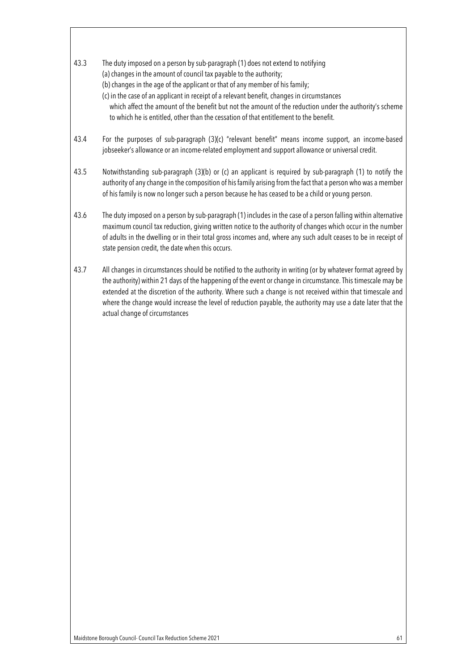- 43.3 The duty imposed on a person by sub-paragraph (1) does not extend to notifying (a) changes in the amount of council tax payable to the authority; (b) changes in the age of the applicant or that of any member of his family; (c) in the case of an applicant in receipt of a relevant benefit, changes in circumstances which affect the amount of the benefit but not the amount of the reduction under the authority's scheme to which he is entitled, other than the cessation of that entitlement to the benefit.
- 43.4 For the purposes of sub-paragraph (3)(c) "relevant benefit" means income support, an income-based jobseeker's allowance or an income-related employment and support allowance or universal credit.
- 43.5 Notwithstanding sub-paragraph (3)(b) or (c) an applicant is required by sub-paragraph (1) to notify the authority of any change in the composition of his family arising from the fact that a person who was a member of his family is now no longer such a person because he has ceased to be a child or young person.
- 43.6 The duty imposed on a person by sub-paragraph (1) includes in the case of a person falling within alternative maximum council tax reduction, giving written notice to the authority of changes which occur in the number of adults in the dwelling or in their total gross incomes and, where any such adult ceases to be in receipt of state pension credit, the date when this occurs.
- 43.7 All changes in circumstances should be notified to the authority in writing (or by whatever format agreed by the authority) within 21 days of the happening of the event or change in circumstance. This timescale may be extended at the discretion of the authority. Where such a change is not received within that timescale and where the change would increase the level of reduction payable, the authority may use a date later that the actual change of circumstances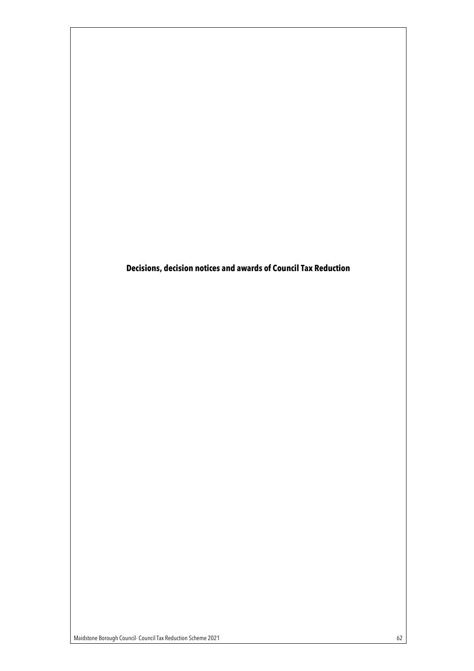**Decisions, decision notices and awards of Council Tax Reduction**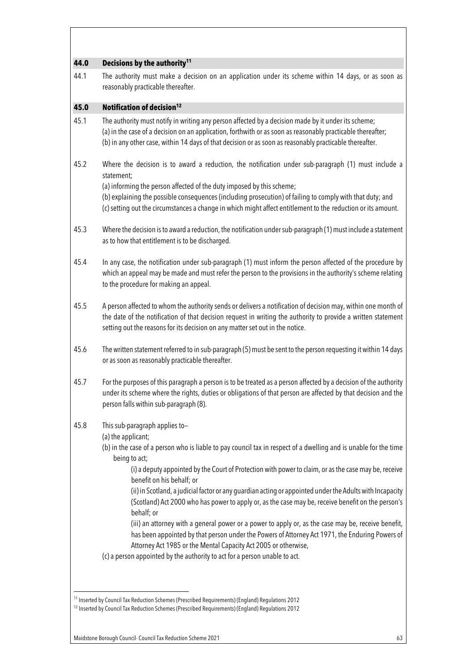| 44.0 | Decisions by the authority <sup>11</sup>                                                                                                                                                                                                                                                                                                                                                                                |
|------|-------------------------------------------------------------------------------------------------------------------------------------------------------------------------------------------------------------------------------------------------------------------------------------------------------------------------------------------------------------------------------------------------------------------------|
| 44.1 | The authority must make a decision on an application under its scheme within 14 days, or as soon as<br>reasonably practicable thereafter.                                                                                                                                                                                                                                                                               |
| 45.0 | Notification of decision <sup>12</sup>                                                                                                                                                                                                                                                                                                                                                                                  |
| 45.1 | The authority must notify in writing any person affected by a decision made by it under its scheme;<br>(a) in the case of a decision on an application, forthwith or as soon as reasonably practicable thereafter;<br>(b) in any other case, within 14 days of that decision or as soon as reasonably practicable thereafter.                                                                                           |
| 45.2 | Where the decision is to award a reduction, the notification under sub-paragraph (1) must include a<br>statement;<br>(a) informing the person affected of the duty imposed by this scheme;<br>(b) explaining the possible consequences (including prosecution) of failing to comply with that duty; and<br>(c) setting out the circumstances a change in which might affect entitlement to the reduction or its amount. |
| 45.3 | Where the decision is to award a reduction, the notification under sub-paragraph (1) must include a statement<br>as to how that entitlement is to be discharged.                                                                                                                                                                                                                                                        |
| 45.4 | In any case, the notification under sub-paragraph (1) must inform the person affected of the procedure by<br>which an appeal may be made and must refer the person to the provisions in the authority's scheme relating<br>to the procedure for making an appeal.                                                                                                                                                       |
| 45.5 | A person affected to whom the authority sends or delivers a notification of decision may, within one month of<br>the date of the notification of that decision request in writing the authority to provide a written statement<br>setting out the reasons for its decision on any matter set out in the notice.                                                                                                         |
| 45.6 | The written statement referred to in sub-paragraph (5) must be sent to the person requesting it within 14 days<br>or as soon as reasonably practicable thereafter.                                                                                                                                                                                                                                                      |
| 45.7 | For the purposes of this paragraph a person is to be treated as a person affected by a decision of the authority<br>under its scheme where the rights, duties or obligations of that person are affected by that decision and the<br>person falls within sub-paragraph (8).                                                                                                                                             |
| 45.8 | This sub-paragraph applies to-<br>(a) the applicant;<br>(b) in the case of a person who is liable to pay council tax in respect of a dwelling and is unable for the time                                                                                                                                                                                                                                                |
|      | being to act;<br>(i) a deputy appointed by the Court of Protection with power to claim, or as the case may be, receive<br>benefit on his behalf; or                                                                                                                                                                                                                                                                     |
|      | (ii) in Scotland, a judicial factor or any guardian acting or appointed under the Adults with Incapacity<br>(Scotland) Act 2000 who has power to apply or, as the case may be, receive benefit on the person's<br>behalf; or                                                                                                                                                                                            |
|      | (iii) an attorney with a general power or a power to apply or, as the case may be, receive benefit,<br>has been appointed by that person under the Powers of Attorney Act 1971, the Enduring Powers of<br>Attorney Act 1985 or the Mental Capacity Act 2005 or otherwise,                                                                                                                                               |
|      | (c) a person appointed by the authority to act for a person unable to act.                                                                                                                                                                                                                                                                                                                                              |
|      | <sup>11</sup> Inserted by Council Tax Reduction Schemes (Prescribed Requirements) (England) Regulations 2012                                                                                                                                                                                                                                                                                                            |

<sup>&</sup>lt;sup>12</sup> Inserted by Council Tax Reduction Schemes (Prescribed Requirements) (England) Regulations 2012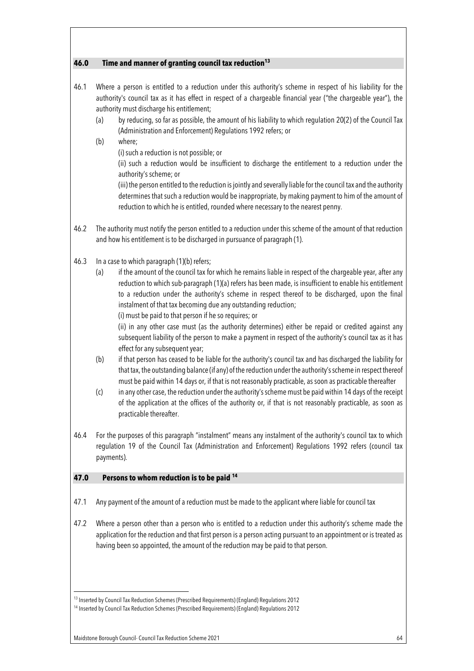### **46.0 Time and manner of granting council tax reduction13**

- 46.1 Where a person is entitled to a reduction under this authority's scheme in respect of his liability for the authority's council tax as it has effect in respect of a chargeable financial year ("the chargeable year"), the authority must discharge his entitlement;
	- (a) by reducing, so far as possible, the amount of his liability to which regulation 20(2) of the Council Tax (Administration and Enforcement) Regulations 1992 refers; or
	- (b) where;

(i) such a reduction is not possible; or

(ii) such a reduction would be insufficient to discharge the entitlement to a reduction under the authority's scheme; or

(iii) the person entitled to the reduction is jointly and severally liable for the council tax and the authority determines that such a reduction would be inappropriate, by making payment to him of the amount of reduction to which he is entitled, rounded where necessary to the nearest penny.

- 46.2 The authority must notify the person entitled to a reduction under this scheme of the amount of that reduction and how his entitlement is to be discharged in pursuance of paragraph (1).
- 46.3 In a case to which paragraph (1)(b) refers;
	- (a) if the amount of the council tax for which he remains liable in respect of the chargeable year, after any reduction to which sub-paragraph (1)(a) refers has been made, is insufficient to enable his entitlement to a reduction under the authority's scheme in respect thereof to be discharged, upon the final instalment of that tax becoming due any outstanding reduction;

(i) must be paid to that person if he so requires; or

(ii) in any other case must (as the authority determines) either be repaid or credited against any subsequent liability of the person to make a payment in respect of the authority's council tax as it has effect for any subsequent year;

- (b) if that person has ceased to be liable for the authority's council tax and has discharged the liability for that tax, the outstanding balance (if any) of the reduction under the authority's scheme in respect thereof must be paid within 14 days or, if that is not reasonably practicable, as soon as practicable thereafter
- (c) in any other case, the reduction under the authority's scheme must be paid within 14 days of the receipt of the application at the offices of the authority or, if that is not reasonably practicable, as soon as practicable thereafter.
- 46.4 For the purposes of this paragraph "instalment" means any instalment of the authority's council tax to which regulation 19 of the Council Tax (Administration and Enforcement) Regulations 1992 refers (council tax payments).

### **47.0 Persons to whom reduction is to be paid 14**

- 47.1 Any payment of the amount of a reduction must be made to the applicant where liable for council tax
- 47.2 Where a person other than a person who is entitled to a reduction under this authority's scheme made the application for the reduction and that first person is a person acting pursuant to an appointment or is treated as having been so appointed, the amount of the reduction may be paid to that person.

<sup>13</sup> Inserted by Council Tax Reduction Schemes (Prescribed Requirements) (England) Regulations 2012

<sup>14</sup> Inserted by Council Tax Reduction Schemes (Prescribed Requirements) (England) Regulations 2012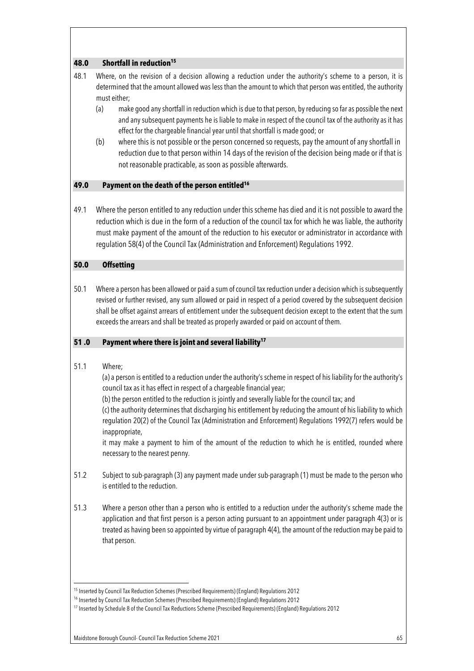### **48.0 Shortfall in reduction15**

- 48.1 Where, on the revision of a decision allowing a reduction under the authority's scheme to a person, it is determined that the amount allowed was less than the amount to which that person was entitled, the authority must either;
	- (a) make good any shortfall in reduction which is due to that person, by reducing so far as possible the next and any subsequent payments he is liable to make in respect of the council tax of the authority as it has effect for the chargeable financial year until that shortfall is made good; or
	- (b) where this is not possible or the person concerned so requests, pay the amount of any shortfall in reduction due to that person within 14 days of the revision of the decision being made or if that is not reasonable practicable, as soon as possible afterwards.

#### **49.0 Payment on the death of the person entitled16**

49.1 Where the person entitled to any reduction under this scheme has died and it is not possible to award the reduction which is due in the form of a reduction of the council tax for which he was liable, the authority must make payment of the amount of the reduction to his executor or administrator in accordance with regulation 58(4) of the Council Tax (Administration and Enforcement) Regulations 1992.

### **50.0 Offsetting**

50.1 Where a person has been allowed or paid a sum of council tax reduction under a decision which is subsequently revised or further revised, any sum allowed or paid in respect of a period covered by the subsequent decision shall be offset against arrears of entitlement under the subsequent decision except to the extent that the sum exceeds the arrears and shall be treated as properly awarded or paid on account of them.

### **51 .0 Payment where there is joint and several liability17**

51.1 Where;

(a) a person is entitled to a reduction under the authority's scheme in respect of his liability for the authority's council tax as it has effect in respect of a chargeable financial year;

(b) the person entitled to the reduction is jointly and severally liable for the council tax; and (c) the authority determines that discharging his entitlement by reducing the amount of his liability to which regulation 20(2) of the Council Tax (Administration and Enforcement) Regulations 1992(7) refers would be inappropriate,

it may make a payment to him of the amount of the reduction to which he is entitled, rounded where necessary to the nearest penny.

- 51.2 Subject to sub-paragraph (3) any payment made under sub-paragraph (1) must be made to the person who is entitled to the reduction.
- 51.3 Where a person other than a person who is entitled to a reduction under the authority's scheme made the application and that first person is a person acting pursuant to an appointment under paragraph 4(3) or is treated as having been so appointed by virtue of paragraph 4(4), the amount of the reduction may be paid to that person.

<sup>&</sup>lt;sup>15</sup> Inserted by Council Tax Reduction Schemes (Prescribed Requirements) (England) Regulations 2012

<sup>16</sup> Inserted by Council Tax Reduction Schemes (Prescribed Requirements) (England) Regulations 2012

<sup>17</sup> Inserted by Schedule 8 of the Council Tax Reductions Scheme (Prescribed Requirements) (England) Regulations 2012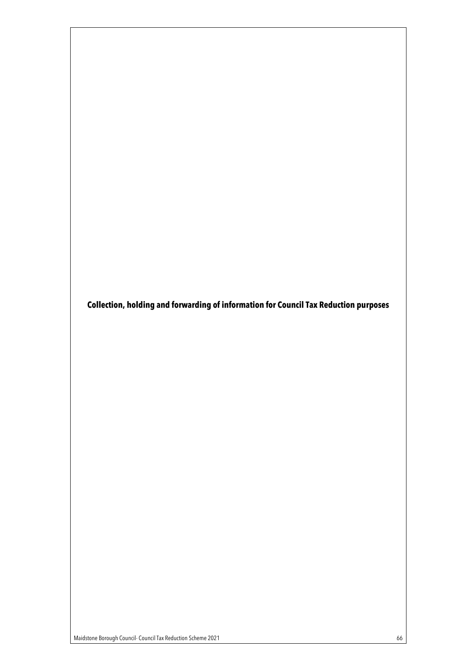**Collection, holding and forwarding of information for Council Tax Reduction purposes**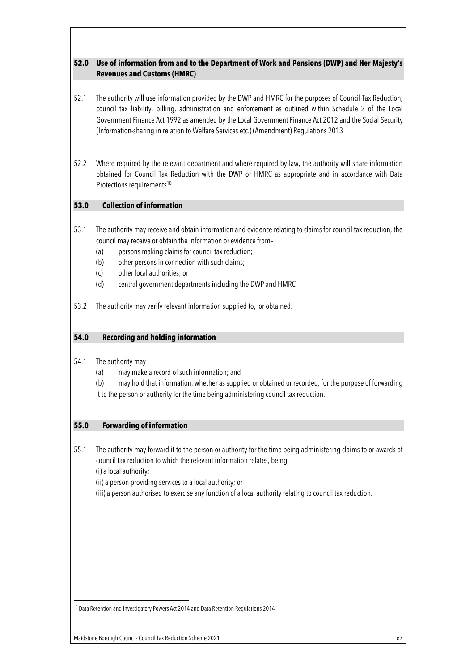# **52.0 Use of information from and to the Department of Work and Pensions (DWP) and Her Majesty's Revenues and Customs (HMRC)**

- 52.1 The authority will use information provided by the DWP and HMRC for the purposes of Council Tax Reduction, council tax liability, billing, administration and enforcement as outlined within Schedule 2 of the Local Government Finance Act 1992 as amended by the Local Government Finance Act 2012 and the Social Security (Information-sharing in relation to Welfare Services etc.) (Amendment) Regulations 2013
- 52.2 Where required by the relevant department and where required by law, the authority will share information obtained for Council Tax Reduction with the DWP or HMRC as appropriate and in accordance with Data Protections requirements<sup>18</sup>.

### **53.0 Collection of information**

- 53.1 The authority may receive and obtain information and evidence relating to claims for council tax reduction, the council may receive or obtain the information or evidence from–
	- (a) persons making claims for council tax reduction;
	- (b) other persons in connection with such claims;
	- (c) other local authorities; or
	- (d) central government departments including the DWP and HMRC
- 53.2 The authority may verify relevant information supplied to, or obtained.

## **54.0 Recording and holding information**

- 54.1 The authority may
	- (a) may make a record of such information; and
	- (b) may hold that information, whether as supplied or obtained or recorded, for the purpose of forwarding it to the person or authority for the time being administering council tax reduction.

### **55.0 Forwarding of information**

55.1 The authority may forward it to the person or authority for the time being administering claims to or awards of council tax reduction to which the relevant information relates, being

(i) a local authority;

(ii) a person providing services to a local authority; or

(iii) a person authorised to exercise any function of a local authority relating to council tax reduction.

<sup>18</sup> Data Retention and Investigatory Powers Act 2014 and Data Retention Regulations 2014

Maidstone Borough Council- Council Tax Reduction Scheme 2021 67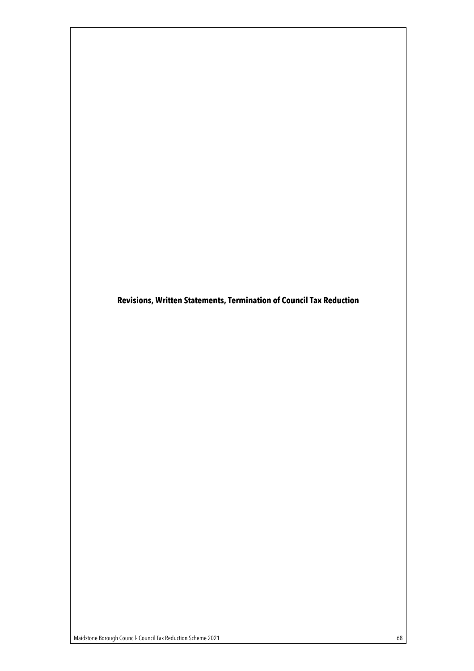**Revisions, Written Statements, Termination of Council Tax Reduction**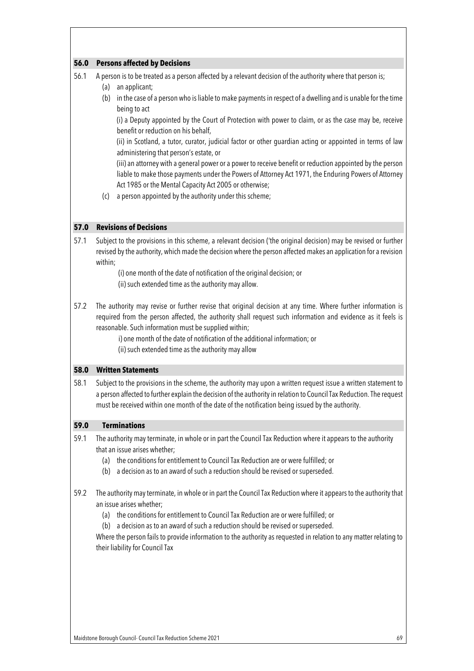## **56.0 Persons affected by Decisions**

- 56.1 A person is to be treated as a person affected by a relevant decision of the authority where that person is;
	- (a) an applicant;
	- (b) in the case of a person who is liable to make payments in respect of a dwelling and is unable for the time being to act

(i) a Deputy appointed by the Court of Protection with power to claim, or as the case may be, receive benefit or reduction on his behalf,

(ii) in Scotland, a tutor, curator, judicial factor or other guardian acting or appointed in terms of law administering that person's estate, or

(iii) an attorney with a general power or a power to receive benefit or reduction appointed by the person liable to make those payments under the Powers of Attorney Act 1971, the Enduring Powers of Attorney Act 1985 or the Mental Capacity Act 2005 or otherwise;

(c) a person appointed by the authority under this scheme;

## **57.0 Revisions of Decisions**

57.1 Subject to the provisions in this scheme, a relevant decision ('the original decision) may be revised or further revised by the authority, which made the decision where the person affected makes an application for a revision within;

(i) one month of the date of notification of the original decision; or

(ii) such extended time as the authority may allow.

57.2 The authority may revise or further revise that original decision at any time. Where further information is required from the person affected, the authority shall request such information and evidence as it feels is reasonable. Such information must be supplied within;

i) one month of the date of notification of the additional information; or

(ii) such extended time as the authority may allow

### **58.0 Written Statements**

58.1 Subject to the provisions in the scheme, the authority may upon a written request issue a written statement to a person affected to further explain the decision of the authority in relation to Council Tax Reduction. The request must be received within one month of the date of the notification being issued by the authority.

### **59.0 Terminations**

- 59.1 The authority may terminate, in whole or in part the Council Tax Reduction where it appears to the authority that an issue arises whether;
	- (a) the conditions for entitlement to Council Tax Reduction are or were fulfilled; or
	- (b) a decision as to an award of such a reduction should be revised or superseded.
- 59.2 The authority may terminate, in whole or in part the Council Tax Reduction where it appears to the authority that an issue arises whether;
	- (a) the conditions for entitlement to Council Tax Reduction are or were fulfilled; or
	- (b) a decision as to an award of such a reduction should be revised or superseded.

Where the person fails to provide information to the authority as requested in relation to any matter relating to their liability for Council Tax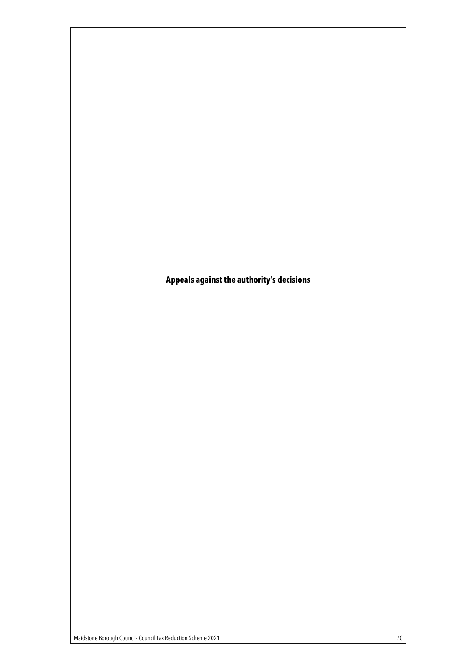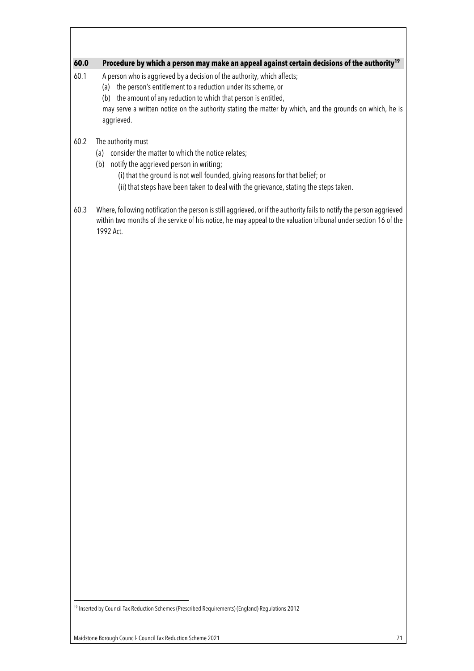## **60.0 Procedure by which a person may make an appeal against certain decisions of the authority19**

- 60.1 A person who is aggrieved by a decision of the authority, which affects;
	- (a) the person's entitlement to a reduction under its scheme, or
		- (b) the amount of any reduction to which that person is entitled,

may serve a written notice on the authority stating the matter by which, and the grounds on which, he is aggrieved.

- 60.2 The authority must
	- (a) consider the matter to which the notice relates;
	- (b) notify the aggrieved person in writing;
		- (i) that the ground is not well founded, giving reasons for that belief; or
		- (ii) that steps have been taken to deal with the grievance, stating the steps taken.
- 60.3 Where, following notification the person is still aggrieved, or if the authority fails to notify the person aggrieved within two months of the service of his notice, he may appeal to the valuation tribunal under section 16 of the 1992 Act.

<sup>19</sup> Inserted by Council Tax Reduction Schemes (Prescribed Requirements) (England) Regulations 2012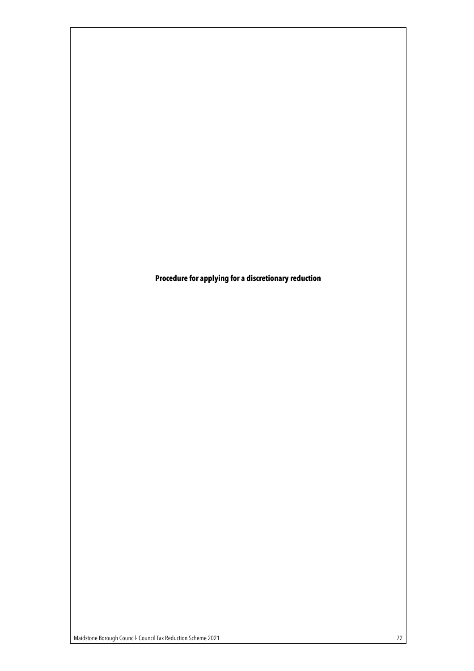**Procedure for applying for a discretionary reduction**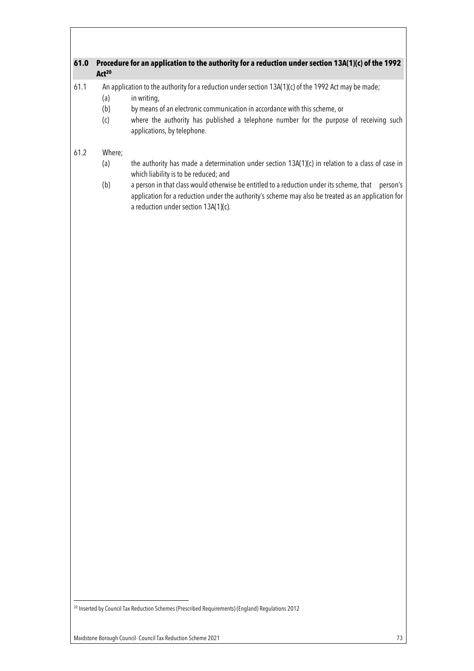## **61.0 Procedure for an application to the authority for a reduction under section 13A(1)(c) of the 1992 Act20**

- 61.1 An application to the authority for a reduction under section 13A(1)(c) of the 1992 Act may be made;
	- (a) in writing,
	- (b) by means of an electronic communication in accordance with this scheme, or
	- (c) where the authority has published a telephone number for the purpose of receiving such applications, by telephone.

## 61.2 Where;

- (a) the authority has made a determination under section 13A(1)(c) in relation to a class of case in which liability is to be reduced; and
- (b) a person in that class would otherwise be entitled to a reduction under its scheme, that person's application for a reduction under the authority's scheme may also be treated as an application for a reduction under section 13A(1)(c).

<sup>&</sup>lt;sup>20</sup> Inserted by Council Tax Reduction Schemes (Prescribed Requirements) (England) Regulations 2012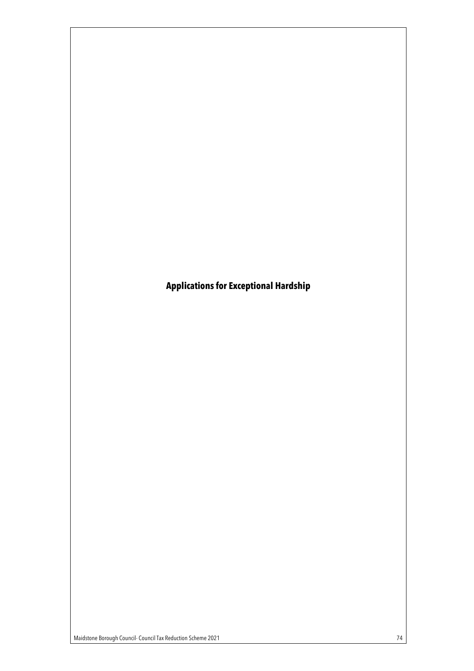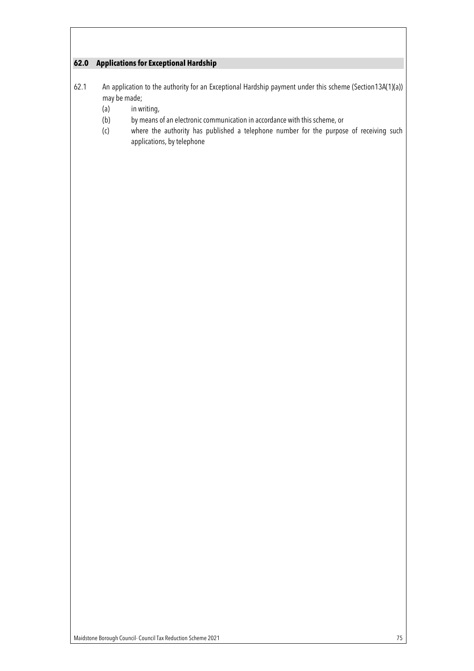## **62.0 Applications for Exceptional Hardship**

- 62.1 An application to the authority for an Exceptional Hardship payment under this scheme (Section13A(1)(a)) may be made;
	- (a) in writing,
	- (b) by means of an electronic communication in accordance with this scheme, or
	- (c) where the authority has published a telephone number for the purpose of receiving such applications, by telephone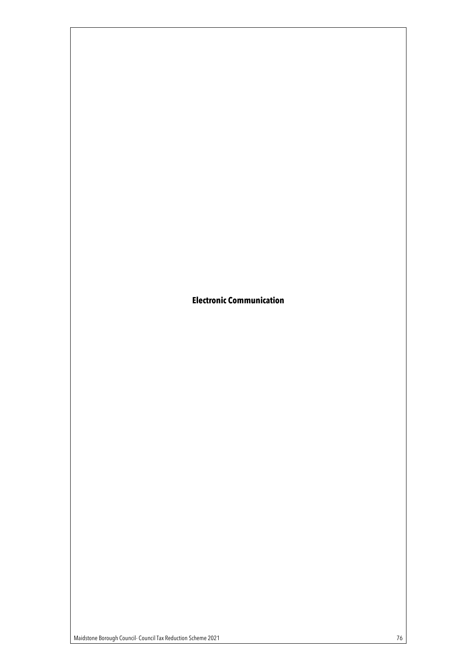**Electronic Communication**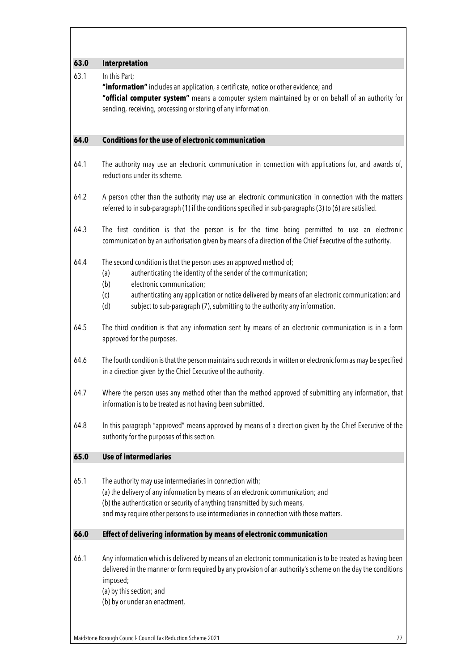# **63.0 Interpretation**

| 63.1 | In this Part;<br>"information" includes an application, a certificate, notice or other evidence; and<br>"official computer system" means a computer system maintained by or on behalf of an authority for<br>sending, receiving, processing or storing of any information.                                                                                                       |  |  |  |  |
|------|----------------------------------------------------------------------------------------------------------------------------------------------------------------------------------------------------------------------------------------------------------------------------------------------------------------------------------------------------------------------------------|--|--|--|--|
| 64.0 | <b>Conditions for the use of electronic communication</b>                                                                                                                                                                                                                                                                                                                        |  |  |  |  |
| 64.1 | The authority may use an electronic communication in connection with applications for, and awards of,<br>reductions under its scheme.                                                                                                                                                                                                                                            |  |  |  |  |
| 64.2 | A person other than the authority may use an electronic communication in connection with the matters<br>referred to in sub-paragraph (1) if the conditions specified in sub-paragraphs (3) to (6) are satisfied.                                                                                                                                                                 |  |  |  |  |
| 64.3 | The first condition is that the person is for the time being permitted to use an electronic<br>communication by an authorisation given by means of a direction of the Chief Executive of the authority.                                                                                                                                                                          |  |  |  |  |
| 64.4 | The second condition is that the person uses an approved method of;<br>authenticating the identity of the sender of the communication;<br>(a)<br>(b)<br>electronic communication;<br>authenticating any application or notice delivered by means of an electronic communication; and<br>(c)<br>subject to sub-paragraph (7), submitting to the authority any information.<br>(d) |  |  |  |  |
| 64.5 | The third condition is that any information sent by means of an electronic communication is in a form<br>approved for the purposes.                                                                                                                                                                                                                                              |  |  |  |  |
| 64.6 | The fourth condition is that the person maintains such records in written or electronic form as may be specified<br>in a direction given by the Chief Executive of the authority.                                                                                                                                                                                                |  |  |  |  |
| 64.7 | Where the person uses any method other than the method approved of submitting any information, that<br>information is to be treated as not having been submitted.                                                                                                                                                                                                                |  |  |  |  |
| 64.8 | In this paragraph "approved" means approved by means of a direction given by the Chief Executive of the<br>authority for the purposes of this section.                                                                                                                                                                                                                           |  |  |  |  |
| 65.0 | <b>Use of intermediaries</b>                                                                                                                                                                                                                                                                                                                                                     |  |  |  |  |
| 65.1 | The authority may use intermediaries in connection with;<br>(a) the delivery of any information by means of an electronic communication; and<br>(b) the authentication or security of anything transmitted by such means,<br>and may require other persons to use intermediaries in connection with those matters.                                                               |  |  |  |  |
| 66.0 | Effect of delivering information by means of electronic communication                                                                                                                                                                                                                                                                                                            |  |  |  |  |
| 66.1 | Any information which is delivered by means of an electronic communication is to be treated as having been<br>delivered in the manner or form required by any provision of an authority's scheme on the day the conditions<br>imposed;<br>(a) by this section; and<br>(b) by or under an enactment,                                                                              |  |  |  |  |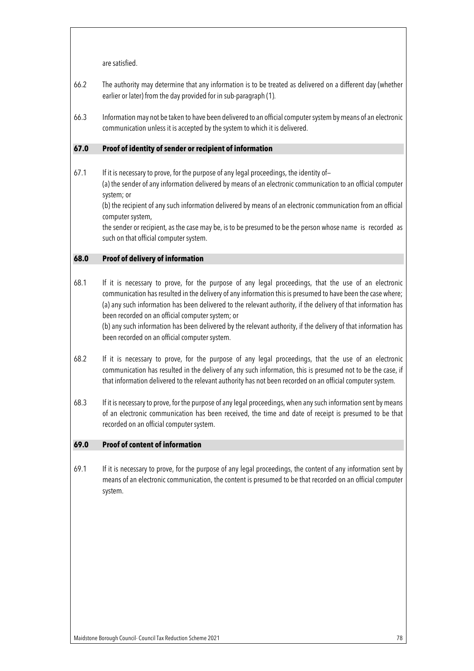are satisfied.

- 66.2 The authority may determine that any information is to be treated as delivered on a different day (whether earlier or later) from the day provided for in sub-paragraph (1).
- 66.3 Information may not be taken to have been delivered to an official computer system by means of an electronic communication unless it is accepted by the system to which it is delivered.

## **67.0 Proof of identity of sender or recipient of information**

67.1 If it is necessary to prove, for the purpose of any legal proceedings, the identity of-(a) the sender of any information delivered by means of an electronic communication to an official computer system; or

(b) the recipient of any such information delivered by means of an electronic communication from an official computer system,

the sender or recipient, as the case may be, is to be presumed to be the person whose name is recorded as such on that official computer system.

### **68.0 Proof of delivery of information**

68.1 If it is necessary to prove, for the purpose of any legal proceedings, that the use of an electronic communication has resulted in the delivery of any information this is presumed to have been the case where; (a) any such information has been delivered to the relevant authority, if the delivery of that information has been recorded on an official computer system; or

(b) any such information has been delivered by the relevant authority, if the delivery of that information has been recorded on an official computer system.

- 68.2 If it is necessary to prove, for the purpose of any legal proceedings, that the use of an electronic communication has resulted in the delivery of any such information, this is presumed not to be the case, if that information delivered to the relevant authority has not been recorded on an official computer system.
- 68.3 If it is necessary to prove, for the purpose of any legal proceedings, when any such information sent by means of an electronic communication has been received, the time and date of receipt is presumed to be that recorded on an official computer system.

### **69.0 Proof of content of information**

69.1 If it is necessary to prove, for the purpose of any legal proceedings, the content of any information sent by means of an electronic communication, the content is presumed to be that recorded on an official computer system.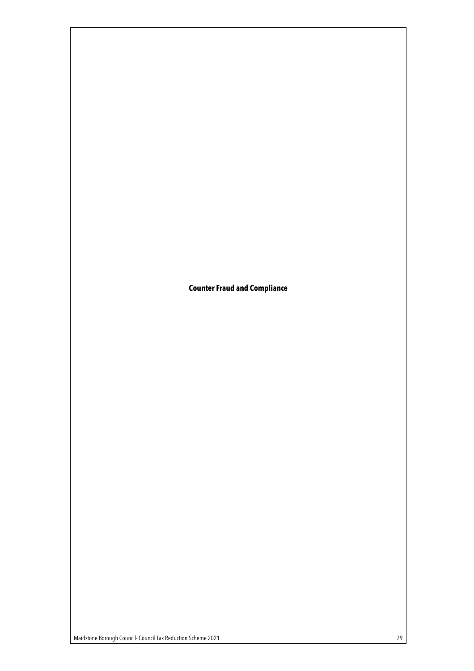**Counter Fraud and Compliance**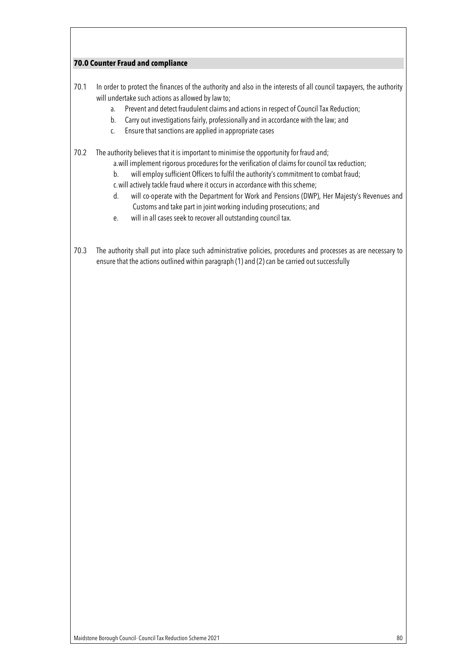### **70.0 Counter Fraud and compliance**

- 70.1 In order to protect the finances of the authority and also in the interests of all council taxpayers, the authority will undertake such actions as allowed by law to;
	- a. Prevent and detect fraudulent claims and actions in respect of Council Tax Reduction;
	- b. Carry out investigations fairly, professionally and in accordance with the law; and
	- c. Ensure that sanctions are applied in appropriate cases

70.2 The authority believes that it is important to minimise the opportunity for fraud and;

- a.will implement rigorous procedures for the verification of claims for council tax reduction;
- b. will employ sufficient Officers to fulfil the authority's commitment to combat fraud;

c.will actively tackle fraud where it occurs in accordance with this scheme;

- d. will co-operate with the Department for Work and Pensions (DWP), Her Majesty's Revenues and Customs and take part in joint working including prosecutions; and
- e. will in all cases seek to recover all outstanding council tax.
- 70.3 The authority shall put into place such administrative policies, procedures and processes as are necessary to ensure that the actions outlined within paragraph (1) and (2) can be carried out successfully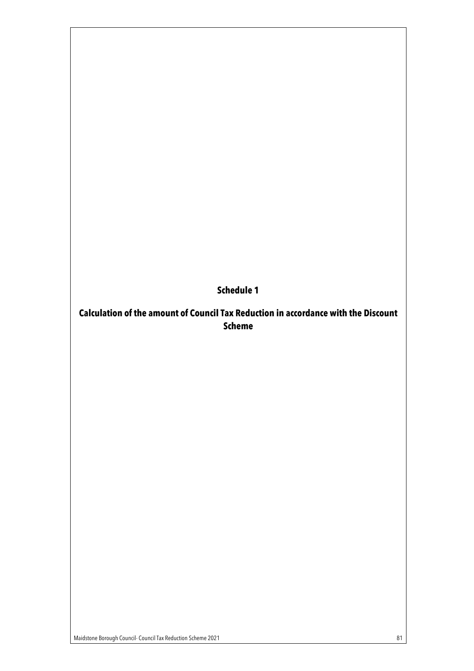**Schedule 1**

**Calculation of the amount of Council Tax Reduction in accordance with the Discount Scheme**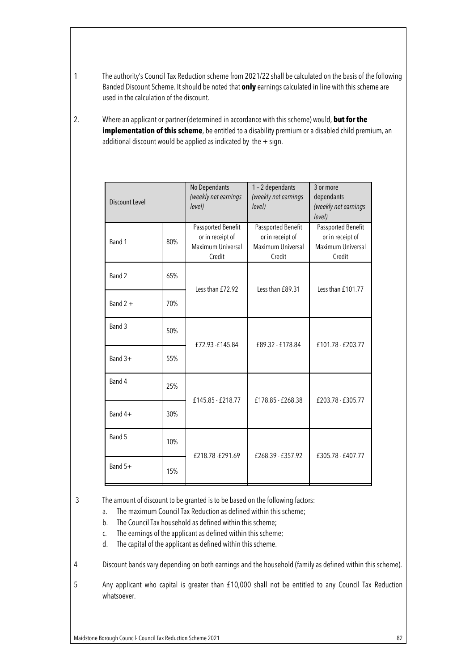- 1 The authority's Council Tax Reduction scheme from 2021/22 shall be calculated on the basis of the following Banded Discount Scheme. It should be noted that **only** earnings calculated in line with this scheme are used in the calculation of the discount.
- 2. Where an applicant or partner (determined in accordance with this scheme) would, **but for the implementation of this scheme**, be entitled to a disability premium or a disabled child premium, an additional discount would be applied as indicated by the  $+$  sign.

| Discount Level                  |     | No Dependants<br>(weekly net earnings<br>level)                       | 1 - 2 dependants<br>(weekly net earnings<br>level)                    | 3 or more<br>dependants<br>(weekly net earnings<br>level)             |
|---------------------------------|-----|-----------------------------------------------------------------------|-----------------------------------------------------------------------|-----------------------------------------------------------------------|
| Band 1                          | 80% | Passported Benefit<br>or in receipt of<br>Maximum Universal<br>Credit | Passported Benefit<br>or in receipt of<br>Maximum Universal<br>Credit | Passported Benefit<br>or in receipt of<br>Maximum Universal<br>Credit |
| Band 2<br>65%                   |     | Less than £72.92                                                      | Less than £89.31                                                      | Less than £101.77                                                     |
| Band $2 +$                      | 70% |                                                                       |                                                                       |                                                                       |
| Band 3                          | 50% |                                                                       | £89.32 - £178.84                                                      | £101.78 - £203.77                                                     |
| Band 3+<br>55%                  |     | £72.93 -£145.84                                                       |                                                                       |                                                                       |
| Band 4<br>25%<br>Band 4+<br>30% |     | £145.85 - £218.77                                                     | £178.85 - £268.38                                                     | £203.78 - £305.77                                                     |
|                                 |     |                                                                       |                                                                       |                                                                       |
| Band 5+<br>15%                  |     |                                                                       |                                                                       |                                                                       |

3 The amount of discount to be granted is to be based on the following factors:

- a. The maximum Council Tax Reduction as defined within this scheme;
- b. The Council Tax household as defined within this scheme;
- c. The earnings of the applicant as defined within this scheme;
- d. The capital of the applicant as defined within this scheme.
- 4 Discount bands vary depending on both earnings and the household (family as defined within this scheme).
- 5 Any applicant who capital is greater than £10,000 shall not be entitled to any Council Tax Reduction whatsoever.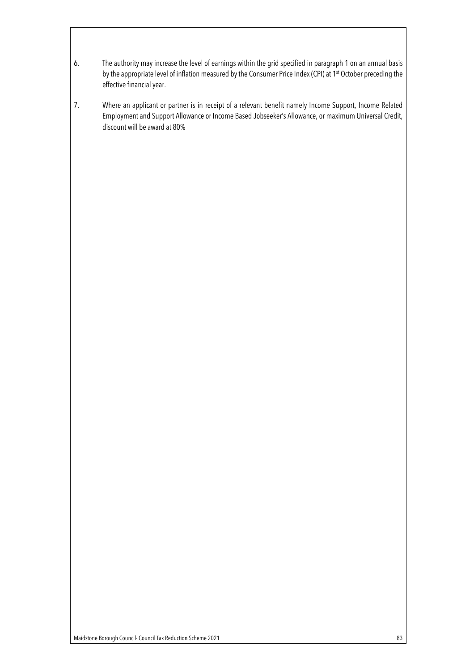- 6. The authority may increase the level of earnings within the grid specified in paragraph 1 on an annual basis by the appropriate level of inflation measured by the Consumer Price Index (CPI) at 1st October preceding the effective financial year.
- 7. Where an applicant or partner is in receipt of a relevant benefit namely Income Support, Income Related Employment and Support Allowance or Income Based Jobseeker's Allowance, or maximum Universal Credit, discount will be award at 80%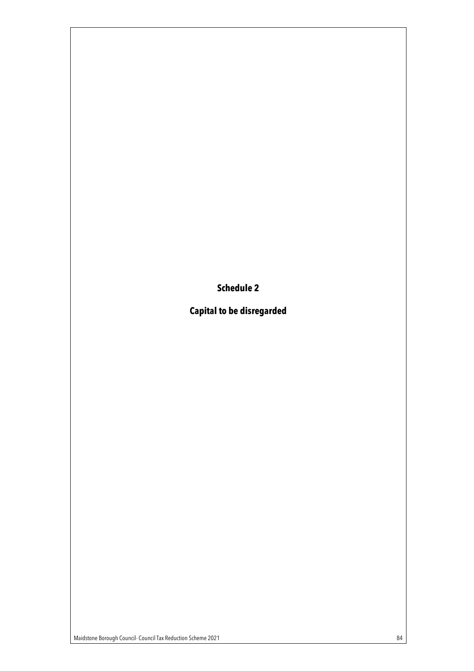**Schedule 2**

**Capital to be disregarded**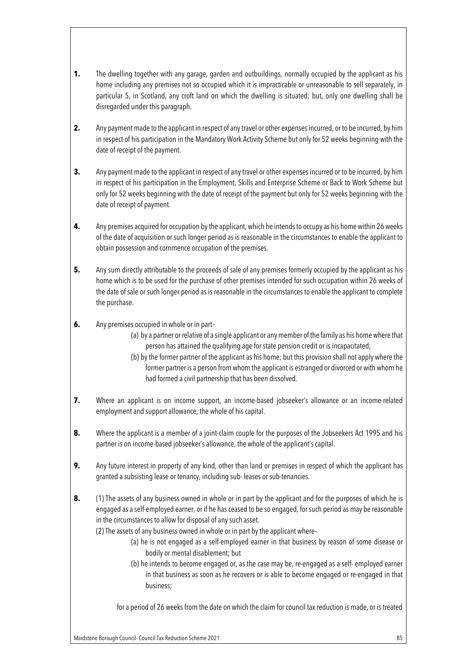- **1.** The dwelling together with any garage, garden and outbuildings, normally occupied by the applicant as his home including any premises not so occupied which it is impracticable or unreasonable to sell separately, in particular 5, in Scotland, any croft land on which the dwelling is situated; but, only one dwelling shall be disregarded under this paragraph.
- **2.** Any payment made to the applicant in respect of any travel or other expenses incurred, or to be incurred, by him in respect of his participation in the Mandatory Work Activity Scheme but only for 52 weeks beginning with the date of receipt of the payment.
- **3.** Any payment made to the applicant in respect of any travel or other expenses incurred or to be incurred, by him in respect of his participation in the Employment, Skills and Enterprise Scheme or Back to Work Scheme but only for 52 weeks beginning with the date of receipt of the payment but only for 52 weeks beginning with the date of receipt of payment.
- **4.** Any premises acquired for occupation by the applicant, which he intends to occupy as his home within 26 weeks of the date of acquisition or such longer period as is reasonable in the circumstances to enable the applicant to obtain possession and commence occupation of the premises.
- **5.** Any sum directly attributable to the proceeds of sale of any premises formerly occupied by the applicant as his home which is to be used for the purchase of other premises intended for such occupation within 26 weeks of the date of sale or such longer period as is reasonable in the circumstances to enable the applicant to complete the purchase.
- **6.** Any premises occupied in whole or in part–
	- (a) by a partner or relative of a single applicant or any member of the family as his home where that person has attained the qualifying age for state pension credit or is incapacitated;
	- (b) by the former partner of the applicant as his home; but this provision shall not apply where the former partner is a person from whom the applicant is estranged or divorced or with whom he had formed a civil partnership that has been dissolved.
- **7.** Where an applicant is on income support, an income-based jobseeker's allowance or an income-related employment and support allowance, the whole of his capital.
- 8. Where the applicant is a member of a joint-claim couple for the purposes of the Jobseekers Act 1995 and his partner is on income-based jobseeker's allowance, the whole of the applicant's capital.
- **9.** Any future interest in property of any kind, other than land or premises in respect of which the applicant has granted a subsisting lease or tenancy, including sub- leases or sub-tenancies.
- **8.** (1) The assets of any business owned in whole or in part by the applicant and for the purposes of which he is engaged as a self-employed earner, or if he has ceased to be so engaged, for such period as may be reasonable in the circumstances to allow for disposal of any such asset.

(2) The assets of any business owned in whole or in part by the applicant where–

- (a) he is not engaged as a self-employed earner in that business by reason of some disease or bodily or mental disablement; but
- (b) he intends to become engaged or, as the case may be, re-engaged as a self- employed earner in that business as soon as he recovers or is able to become engaged or re-engaged in that business;

for a period of 26 weeks from the date on which the claim for council tax reduction is made, or is treated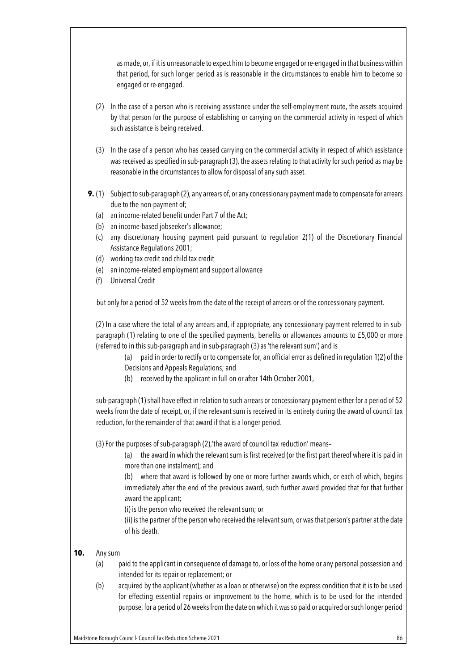as made, or, if it is unreasonable to expect him to become engaged or re-engaged in that business within that period, for such longer period as is reasonable in the circumstances to enable him to become so engaged or re-engaged.

- (2) In the case of a person who is receiving assistance under the self-employment route, the assets acquired by that person for the purpose of establishing or carrying on the commercial activity in respect of which such assistance is being received.
- (3) In the case of a person who has ceased carrying on the commercial activity in respect of which assistance was received as specified in sub-paragraph (3), the assets relating to that activity for such period as may be reasonable in the circumstances to allow for disposal of any such asset.
- **9.** (1) Subject to sub-paragraph (2), any arrears of, or any concessionary payment made to compensate for arrears due to the non-payment of;
	- (a) an income-related benefit under Part 7 of the Act;
	- (b) an income-based jobseeker's allowance;
	- (c) any discretionary housing payment paid pursuant to regulation 2(1) of the Discretionary Financial Assistance Regulations 2001;
	- (d) working tax credit and child tax credit
	- (e) an income-related employment and support allowance
	- (f) Universal Credit

but only for a period of 52 weeks from the date of the receipt of arrears or of the concessionary payment.

(2) In a case where the total of any arrears and, if appropriate, any concessionary payment referred to in subparagraph (1) relating to one of the specified payments, benefits or allowances amounts to £5,000 or more (referred to in this sub-paragraph and in sub-paragraph (3) as 'the relevant sum') and is

- (a) paid in order to rectify or to compensate for, an official error as defined in regulation 1(2) of the Decisions and Appeals Regulations; and
- (b) received by the applicant in full on or after 14th October 2001,

sub-paragraph (1) shall have effect in relation to such arrears or concessionary payment either for a period of 52 weeks from the date of receipt, or, if the relevant sum is received in its entirety during the award of council tax reduction, for the remainder of that award if that is a longer period.

(3) For the purposes of sub-paragraph (2),'the award of council tax reduction' means–

(a) the award in which the relevant sum is first received (or the first part thereof where it is paid in more than one instalment); and

(b) where that award is followed by one or more further awards which, or each of which, begins immediately after the end of the previous award, such further award provided that for that further award the applicant;

(i) is the person who received the relevant sum; or

(ii) is the partner of the person who received the relevant sum, or was that person's partner at the date of his death.

### **10.** Any sum

- (a) paid to the applicant in consequence of damage to, or loss of the home or any personal possession and intended for its repair or replacement; or
- (b) acquired by the applicant (whether as a loan or otherwise) on the express condition that it is to be used for effecting essential repairs or improvement to the home, which is to be used for the intended purpose, for a period of 26 weeks from the date on which it was so paid or acquired or such longer period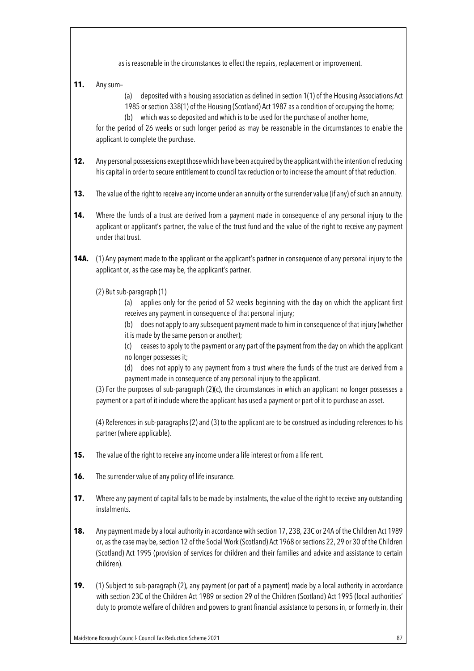as is reasonable in the circumstances to effect the repairs, replacement or improvement.

**11.** Any sum–

(a) deposited with a housing association as defined in section 1(1) of the Housing Associations Act 1985 or section 338(1) of the Housing (Scotland) Act 1987 as a condition of occupying the home;

(b) which was so deposited and which is to be used for the purchase of another home,

for the period of 26 weeks or such longer period as may be reasonable in the circumstances to enable the applicant to complete the purchase.

- **12.** Any personal possessions except those which have been acquired by the applicant with the intention of reducing his capital in order to secure entitlement to council tax reduction or to increase the amount of that reduction.
- **13.** The value of the right to receive any income under an annuity or the surrender value (if any) of such an annuity.
- **14.** Where the funds of a trust are derived from a payment made in consequence of any personal injury to the applicant or applicant's partner, the value of the trust fund and the value of the right to receive any payment under that trust.
- **14A.** (1) Any payment made to the applicant or the applicant's partner in consequence of any personal injury to the applicant or, as the case may be, the applicant's partner.
	- (2) But sub-paragraph (1)

(a) applies only for the period of 52 weeks beginning with the day on which the applicant first receives any payment in consequence of that personal injury;

(b) does not apply to any subsequent payment made to him in consequence of that injury (whether it is made by the same person or another);

(c) ceases to apply to the payment or any part of the payment from the day on which the applicant no longer possesses it;

(d) does not apply to any payment from a trust where the funds of the trust are derived from a payment made in consequence of any personal injury to the applicant.

(3) For the purposes of sub-paragraph (2)(c), the circumstances in which an applicant no longer possesses a payment or a part of it include where the applicant has used a payment or part of it to purchase an asset.

(4) References in sub-paragraphs (2) and (3) to the applicant are to be construed as including references to his partner (where applicable).

- **15.** The value of the right to receive any income under a life interest or from a life rent.
- **16.** The surrender value of any policy of life insurance.
- **17.** Where any payment of capital falls to be made by instalments, the value of the right to receive any outstanding instalments.
- **18.** Any payment made by a local authority in accordance with section 17, 23B, 23C or 24A of the Children Act 1989 or, as the case may be, section 12 of the Social Work (Scotland) Act 1968 or sections 22, 29 or 30 of the Children (Scotland) Act 1995 (provision of services for children and their families and advice and assistance to certain children).
- **19.** (1) Subject to sub-paragraph (2), any payment (or part of a payment) made by a local authority in accordance with section 23C of the Children Act 1989 or section 29 of the Children (Scotland) Act 1995 (local authorities' duty to promote welfare of children and powers to grant financial assistance to persons in, or formerly in, their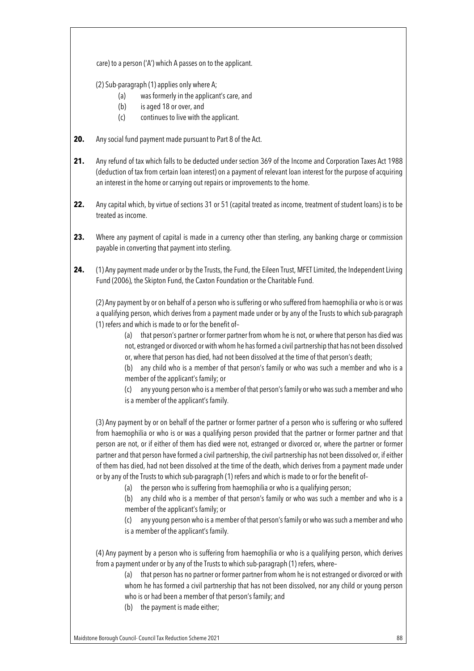care) to a person ('A') which A passes on to the applicant.

(2) Sub-paragraph (1) applies only where A;

- (a) was formerly in the applicant's care, and
- (b) is aged 18 or over, and
- (c) continues to live with the applicant.
- **20.** Any social fund payment made pursuant to Part 8 of the Act.
- **21.** Any refund of tax which falls to be deducted under section 369 of the Income and Corporation Taxes Act 1988 (deduction of tax from certain loan interest) on a payment of relevant loan interest for the purpose of acquiring an interest in the home or carrying out repairs or improvements to the home.
- **22.** Any capital which, by virtue of sections 31 or 51 (capital treated as income, treatment of student loans) is to be treated as income.
- 23. Where any payment of capital is made in a currency other than sterling, any banking charge or commission payable in converting that payment into sterling.
- **24.** (1) Any payment made under or bythe Trusts, the Fund, the Eileen Trust, MFET Limited, the Independent Living Fund (2006), the Skipton Fund, the Caxton Foundation or the Charitable Fund.

(2) Any payment by or on behalf of a person who is suffering or who suffered from haemophilia or who is or was a qualifying person, which derives from a payment made under or by any of the Trusts to which sub-paragraph (1) refers and which is made to or for the benefit of–

- (a) that person's partner or former partner from whom he is not, or where that person has died was not, estranged or divorced or with whom he has formed a civil partnership that has not been dissolved or, where that person has died, had not been dissolved at the time of that person's death;
- (b) any child who is a member of that person's family or who was such a member and who is a member of the applicant's family; or
- (c) any young person who is a member of that person's family or who was such a member and who is a member of the applicant's family.

(3) Any payment by or on behalf of the partner or former partner of a person who is suffering or who suffered from haemophilia or who is or was a qualifying person provided that the partner or former partner and that person are not, or if either of them has died were not, estranged or divorced or, where the partner or former partner and that person have formed a civil partnership, the civil partnership has not been dissolved or, if either of them has died, had not been dissolved at the time of the death, which derives from a payment made under or by any of the Trusts to which sub-paragraph (1) refers and which is made to or for the benefit of–

(a) the person who is suffering from haemophilia or who is a qualifying person;

(b) any child who is a member of that person's family or who was such a member and who is a member of the applicant's family; or

(c) any young person who is a member of that person's family or who was such a member and who is a member of the applicant's family.

(4) Any payment by a person who is suffering from haemophilia or who is a qualifying person, which derives from a payment under or by any of the Trusts to which sub-paragraph (1) refers, where–

(a) that person has no partner or former partner from whom he is not estranged or divorced or with whom he has formed a civil partnership that has not been dissolved, nor any child or young person who is or had been a member of that person's family; and

(b) the payment is made either;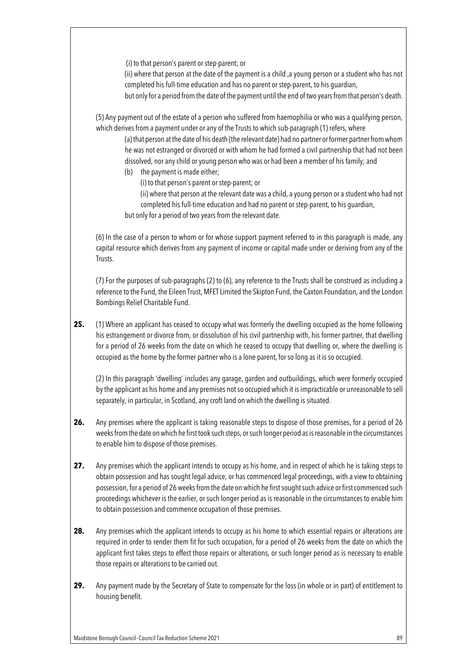(i) to that person's parent or step-parent; or

(ii) where that person at the date of the payment is a child ,a young person or a student who has not completed his full-time education and has no parent or step-parent, to his guardian,

but only for a period from the date of the payment until the end of two years from that person's death.

(5) Any payment out of the estate of a person who suffered from haemophilia or who was a qualifying person, which derives from a payment under or any of the Trusts to which sub-paragraph (1) refers, where

(a) that person at the date of his death (the relevant date) had no partner or former partner from whom he was not estranged or divorced or with whom he had formed a civil partnership that had not been dissolved, nor any child or young person who was or had been a member of his family; and

(b) the payment is made either;

(i) to that person's parent or step-parent; or

(ii) where that person at the relevant date was a child, a young person or a student who had not completed his full-time education and had no parent or step-parent, to his guardian, but only for a period of two years from the relevant date.

(6) In the case of a person to whom or for whose support payment referred to in this paragraph is made, any capital resource which derives from any payment of income or capital made under or deriving from any of the Trusts.

(7) For the purposes of sub-paragraphs (2) to (6), any reference to the Trusts shall be construed as including a reference to the Fund, the Eileen Trust, MFET Limited the Skipton Fund, the Caxton Foundation, and the London Bombings Relief Charitable Fund.

**25.** (1) Where an applicant has ceased to occupy what was formerly the dwelling occupied as the home following his estrangement or divorce from, or dissolution of his civil partnership with, his former partner, that dwelling for a period of 26 weeks from the date on which he ceased to occupy that dwelling or, where the dwelling is occupied as the home by the former partner who is a lone parent, for so long as it is so occupied.

(2) In this paragraph 'dwelling' includes any garage, garden and outbuildings, which were formerly occupied by the applicant as his home and any premises not so occupied which it is impracticable or unreasonable to sell separately, in particular, in Scotland, any croft land on which the dwelling is situated.

- 26. Any premises where the applicant is taking reasonable steps to dispose of those premises, for a period of 26 weeks from the date on which he first took such steps, or such longer period as is reasonable in the circumstances to enable him to dispose of those premises.
- **27.** Any premises which the applicant intends to occupy as his home, and in respect of which he is taking steps to obtain possession and has sought legal advice, or has commenced legal proceedings, with a view to obtaining possession, for a period of 26 weeks from the date on which he first sought such advice or first commenced such proceedings whichever is the earlier, or such longer period as is reasonable in the circumstances to enable him to obtain possession and commence occupation of those premises.
- **28.** Any premises which the applicant intends to occupy as his home to which essential repairs or alterations are required in order to render them fit for such occupation, for a period of 26 weeks from the date on which the applicant first takes steps to effect those repairs or alterations, or such longer period as is necessary to enable those repairs or alterations to be carried out.
- **29.** Any payment made by the Secretary of State to compensate for the loss (in whole or in part) of entitlement to housing benefit.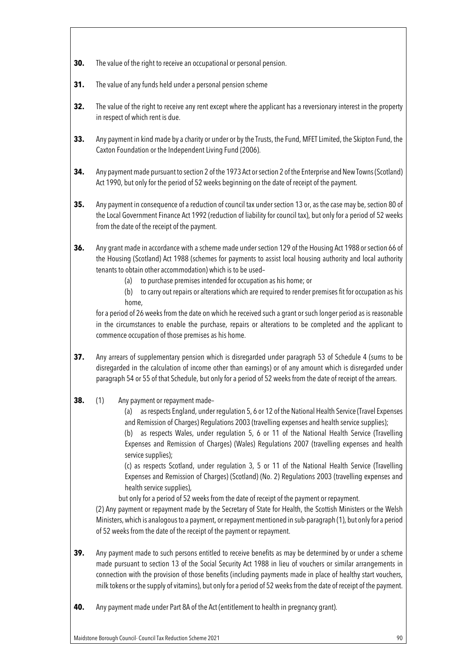- **30.** The value of the right to receive an occupational or personal pension.
- **31.** The value of any funds held under a personal pension scheme
- **32.** The value of the right to receive any rent except where the applicant has a reversionary interest in the property in respect of which rent is due.
- **33.** Any payment in kind made by a charity or under or by the Trusts, the Fund, MFET Limited, the Skipton Fund, the Caxton Foundation or the Independent Living Fund (2006).
- **34.** Any payment made pursuant to section 2 of the 1973 Act or section 2 of the Enterprise and New Towns (Scotland) Act 1990, but only for the period of 52 weeks beginning on the date of receipt of the payment.
- **35.** Any payment in consequence of a reduction of council tax under section 13 or, as the case may be, section 80 of the Local Government Finance Act 1992 (reduction of liability for council tax), but only for a period of 52 weeks from the date of the receipt of the payment.
- **36.** Any grant made in accordance with a scheme made under section 129 of the Housing Act 1988 or section 66 of the Housing (Scotland) Act 1988 (schemes for payments to assist local housing authority and local authority tenants to obtain other accommodation) which is to be used–
	- (a) to purchase premises intended for occupation as his home; or

(b) to carry out repairs or alterations which are required to render premises fit for occupation as his home,

for a period of 26 weeks from the date on which he received such a grant or such longer period as is reasonable in the circumstances to enable the purchase, repairs or alterations to be completed and the applicant to commence occupation of those premises as his home.

- **37.** Any arrears of supplementary pension which is disregarded under paragraph 53 of Schedule 4 (sums to be disregarded in the calculation of income other than earnings) or of any amount which is disregarded under paragraph 54 or 55 of that Schedule, but only for a period of 52 weeks from the date of receipt of the arrears.
- **38.** (1) Any payment or repayment made–

(a) as respects England, under regulation 5, 6 or 12 of the National Health Service (Travel Expenses and Remission of Charges) Regulations 2003 (travelling expenses and health service supplies);

(b) as respects Wales, under regulation 5, 6 or 11 of the National Health Service (Travelling Expenses and Remission of Charges) (Wales) Regulations 2007 (travelling expenses and health service supplies);

(c) as respects Scotland, under regulation 3, 5 or 11 of the National Health Service (Travelling Expenses and Remission of Charges) (Scotland) (No. 2) Regulations 2003 (travelling expenses and health service supplies),

but only for a period of 52 weeks from the date of receipt of the payment or repayment.

(2) Any payment or repayment made by the Secretary of State for Health, the Scottish Ministers or the Welsh Ministers, which is analogous to a payment, or repayment mentioned in sub-paragraph (1), but only for a period of 52 weeks from the date of the receipt of the payment or repayment.

- **39.** Any payment made to such persons entitled to receive benefits as may be determined by or under a scheme made pursuant to section 13 of the Social Security Act 1988 in lieu of vouchers or similar arrangements in connection with the provision of those benefits (including payments made in place of healthy start vouchers, milk tokens or the supply of vitamins), but only for a period of 52 weeks from the date of receipt of the payment.
- **40.** Any payment made under Part 8A of the Act (entitlement to health in pregnancy grant).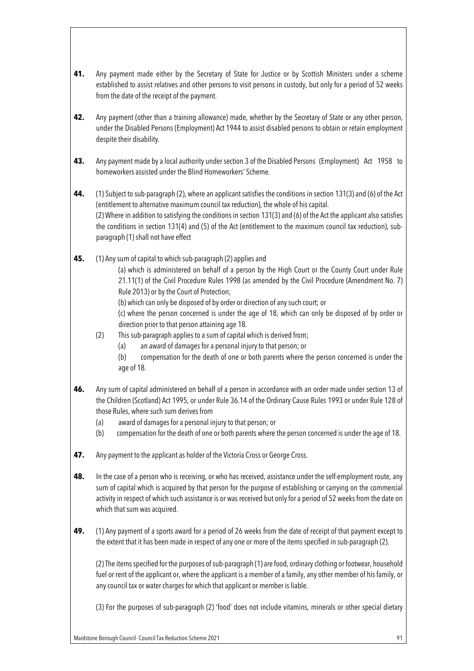- **41.** Any payment made either by the Secretary of State for Justice or by Scottish Ministers under a scheme established to assist relatives and other persons to visit persons in custody, but only for a period of 52 weeks from the date of the receipt of the payment.
- **42.** Any payment (other than a training allowance) made, whether by the Secretary of State or any other person, under the Disabled Persons (Employment) Act 1944 to assist disabled persons to obtain or retain employment despite their disability.
- **43.** Any payment made by a local authority under section 3 of the Disabled Persons (Employment) Act 1958 to homeworkers assisted under the Blind Homeworkers' Scheme.
- **44.** (1) Subject to sub-paragraph (2), where an applicant satisfies the conditions in section 131(3) and (6) of the Act (entitlement to alternative maximum council tax reduction), the whole of his capital. (2) Where in addition to satisfying the conditions in section 131(3) and (6) of the Act the applicant also satisfies the conditions in section 131(4) and (5) of the Act (entitlement to the maximum council tax reduction), subparagraph (1) shall not have effect
- **45.** (1) Any sum of capital to which sub-paragraph (2) applies and

(a) which is administered on behalf of a person by the High Court or the County Court under Rule 21.11(1) of the Civil Procedure Rules 1998 (as amended by the Civil Procedure (Amendment No. 7) Rule 2013) or by the Court of Protection;

(b) which can only be disposed of by order or direction of any such court; or

(c) where the person concerned is under the age of 18, which can only be disposed of by order or direction prior to that person attaining age 18.

- (2) This sub-paragraph applies to a sum of capital which is derived from;
	- (a) an award of damages for a personal injury to that person; or
	- (b) compensation for the death of one or both parents where the person concerned is under the age of 18.
- **46.** Any sum of capital administered on behalf of a person in accordance with an order made under section 13 of the Children (Scotland) Act 1995, or under Rule 36.14 of the Ordinary Cause Rules 1993 or under Rule 128 of those Rules, where such sum derives from
	- (a) award of damages for a personal injury to that person; or
	- (b) compensation for the death of one or both parents where the person concerned is under the age of 18.
- **47.** Any payment to the applicant as holder of the Victoria Cross or George Cross.
- **48.** In the case of a person who is receiving, or who has received, assistance under the self-employment route, any sum of capital which is acquired by that person for the purpose of establishing or carrying on the commercial activity in respect of which such assistance is or was received but only for a period of 52 weeks from the date on which that sum was acquired.
- **49.** (1) Any payment of a sports award for a period of 26 weeks from the date of receipt of that payment except to the extent that it has been made in respect of any one or more of the items specified in sub-paragraph (2).

(2) The items specified for the purposes of sub-paragraph (1) are food, ordinary clothing or footwear, household fuel or rent of the applicant or, where the applicant is a member of a family, any other member of his family, or any council tax or water charges for which that applicant or member is liable.

(3) For the purposes of sub-paragraph (2) 'food' does not include vitamins, minerals or other special dietary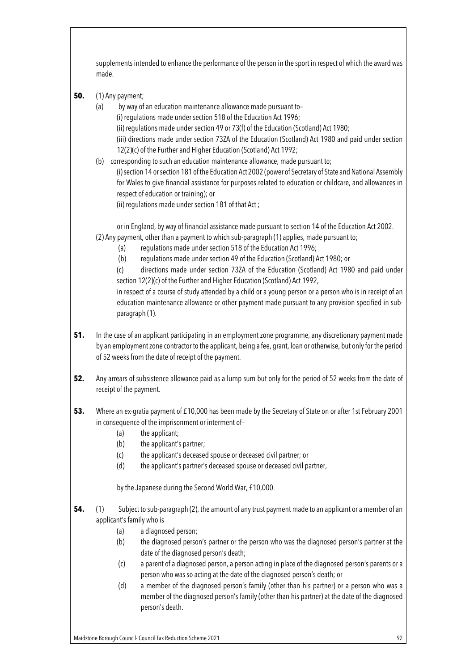supplements intended to enhance the performance of the person in the sport in respect of which the award was made.

- **50.** (1) Any payment;
	- (a) by way of an education maintenance allowance made pursuant to–
		- (i) regulations made under section 518 of the Education Act 1996;
		- (ii) regulations made under section 49 or 73(f) of the Education (Scotland) Act 1980;

(iii) directions made under section 73ZA of the Education (Scotland) Act 1980 and paid under section 12(2)(c) of the Further and Higher Education (Scotland) Act 1992;

(b) corresponding to such an education maintenance allowance, made pursuant to; (i) section 14 or section 181 of the Education Act 2002 (power of Secretary of State and National Assembly for Wales to give financial assistance for purposes related to education or childcare, and allowances in

respect of education or training); or

(ii) regulations made under section 181 of that Act ;

or in England, by way of financial assistance made pursuant to section 14 of the Education Act 2002. (2) Any payment, other than a payment to which sub-paragraph (1) applies, made pursuant to;

- (a) regulations made under section 518 of the Education Act 1996;
- (b) regulations made under section 49 of the Education (Scotland) Act 1980; or

(c) directions made under section 73ZA of the Education (Scotland) Act 1980 and paid under section 12(2)(c) of the Further and Higher Education (Scotland) Act 1992,

in respect of a course of study attended by a child or a young person or a person who is in receipt of an education maintenance allowance or other payment made pursuant to any provision specified in subparagraph (1).

- **51.** In the case of an applicant participating in an employment zone programme, any discretionary payment made by an employment zone contractor to the applicant, being a fee, grant, loan or otherwise, but only for the period of 52 weeks from the date of receipt of the payment.
- **52.** Any arrears of subsistence allowance paid as a lump sum but only for the period of 52 weeks from the date of receipt of the payment.
- **53.** Where an ex-gratia payment of £10,000 has been made by the Secretary of State on or after 1st February 2001 in consequence of the imprisonment or interment of–
	- (a) the applicant;
	- (b) the applicant's partner;
	- (c) the applicant's deceased spouse or deceased civil partner; or
	- (d) the applicant's partner's deceased spouse or deceased civil partner,

by the Japanese during the Second World War, £10,000.

- **54.** (1) Subject to sub-paragraph (2), the amount of any trust payment made to an applicant or a member of an applicant's family who is
	- (a) a diagnosed person;
	- (b) the diagnosed person's partner or the person who was the diagnosed person's partner at the date of the diagnosed person's death;
	- (c) a parent of a diagnosed person, a person acting in place of the diagnosed person's parents or a person who was so acting at the date of the diagnosed person's death; or
	- (d) a member of the diagnosed person's family (other than his partner) or a person who was a member of the diagnosed person's family (other than his partner) at the date of the diagnosed person's death.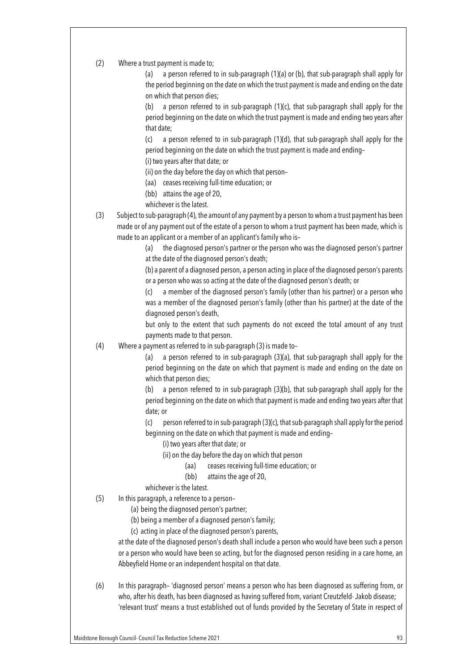(2) Where a trust payment is made to;

(a) a person referred to in sub-paragraph (1)(a) or (b), that sub-paragraph shall apply for the period beginning on the date on which the trust payment is made and ending on the date on which that person dies;

(b) a person referred to in sub-paragraph  $(1)(c)$ , that sub-paragraph shall apply for the period beginning on the date on which the trust payment is made and ending two years after that date;

(c) a person referred to in sub-paragraph (1)(d), that sub-paragraph shall apply for the period beginning on the date on which the trust payment is made and ending– (i) two years after that date; or

(ii) on the day before the day on which that person–

- (aa) ceases receiving full-time education; or
- (bb) attains the age of 20,

whichever is the latest.

- (3) Subject to sub-paragraph (4), the amount of any payment by a person to whom a trust payment has been made or of any payment out of the estate of a person to whom a trust payment has been made, which is made to an applicant or a member of an applicant's family who is–
	- (a) the diagnosed person's partner or the person who was the diagnosed person's partner at the date of the diagnosed person's death;

(b) a parent of a diagnosed person, a person acting in place of the diagnosed person's parents or a person who was so acting at the date of the diagnosed person's death; or

(c) a member of the diagnosed person's family (other than his partner) or a person who was a member of the diagnosed person's family (other than his partner) at the date of the diagnosed person's death,

but only to the extent that such payments do not exceed the total amount of any trust payments made to that person.

(4) Where a payment as referred to in sub-paragraph (3) is made to–

(a) a person referred to in sub-paragraph (3)(a), that sub-paragraph shall apply for the period beginning on the date on which that payment is made and ending on the date on which that person dies;

(b) a person referred to in sub-paragraph (3)(b), that sub-paragraph shall apply for the period beginning on the date on which that payment is made and ending two years after that date; or

(c) person referred to in sub-paragraph (3)(c), that sub-paragraph shall apply for the period beginning on the date on which that payment is made and ending–

(i) two years after that date; or

- (ii) on the day before the day on which that person
	- (aa) ceases receiving full-time education; or
	- (bb) attains the age of 20,

whichever is the latest.

(5) In this paragraph, a reference to a person–

(a) being the diagnosed person's partner;

(b) being a member of a diagnosed person's family;

(c) acting in place of the diagnosed person's parents,

at the date of the diagnosed person's death shall include a person who would have been such a person or a person who would have been so acting, but for the diagnosed person residing in a care home, an Abbeyfield Home or an independent hospital on that date.

(6) In this paragraph– 'diagnosed person' means a person who has been diagnosed as suffering from, or who, after his death, has been diagnosed as having suffered from, variant Creutzfeld-Jakob disease; 'relevant trust' means a trust established out of funds provided by the Secretary of State in respect of